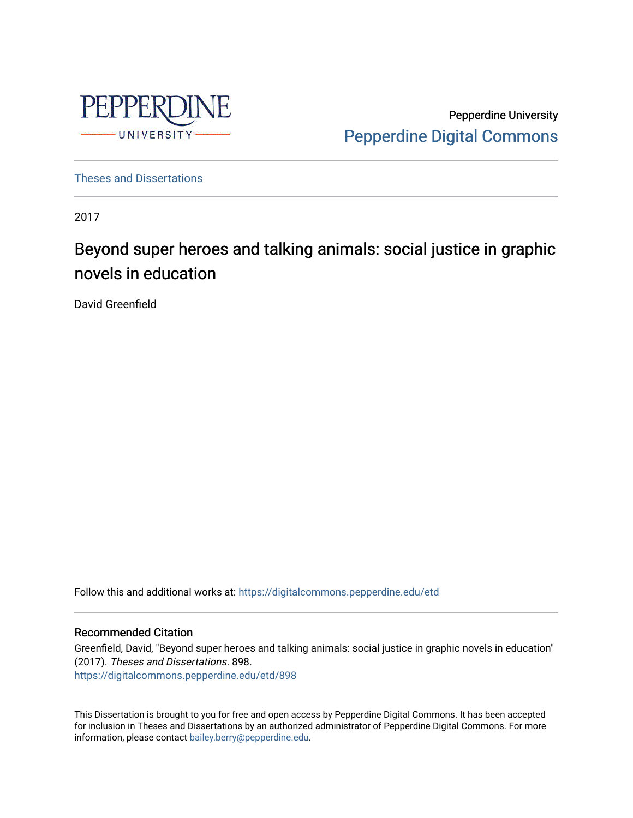

Pepperdine University [Pepperdine Digital Commons](https://digitalcommons.pepperdine.edu/) 

[Theses and Dissertations](https://digitalcommons.pepperdine.edu/etd)

2017

# Beyond super heroes and talking animals: social justice in graphic novels in education

David Greenfield

Follow this and additional works at: [https://digitalcommons.pepperdine.edu/etd](https://digitalcommons.pepperdine.edu/etd?utm_source=digitalcommons.pepperdine.edu%2Fetd%2F898&utm_medium=PDF&utm_campaign=PDFCoverPages) 

#### Recommended Citation

Greenfield, David, "Beyond super heroes and talking animals: social justice in graphic novels in education" (2017). Theses and Dissertations. 898. [https://digitalcommons.pepperdine.edu/etd/898](https://digitalcommons.pepperdine.edu/etd/898?utm_source=digitalcommons.pepperdine.edu%2Fetd%2F898&utm_medium=PDF&utm_campaign=PDFCoverPages) 

This Dissertation is brought to you for free and open access by Pepperdine Digital Commons. It has been accepted for inclusion in Theses and Dissertations by an authorized administrator of Pepperdine Digital Commons. For more information, please contact [bailey.berry@pepperdine.edu.](mailto:bailey.berry@pepperdine.edu)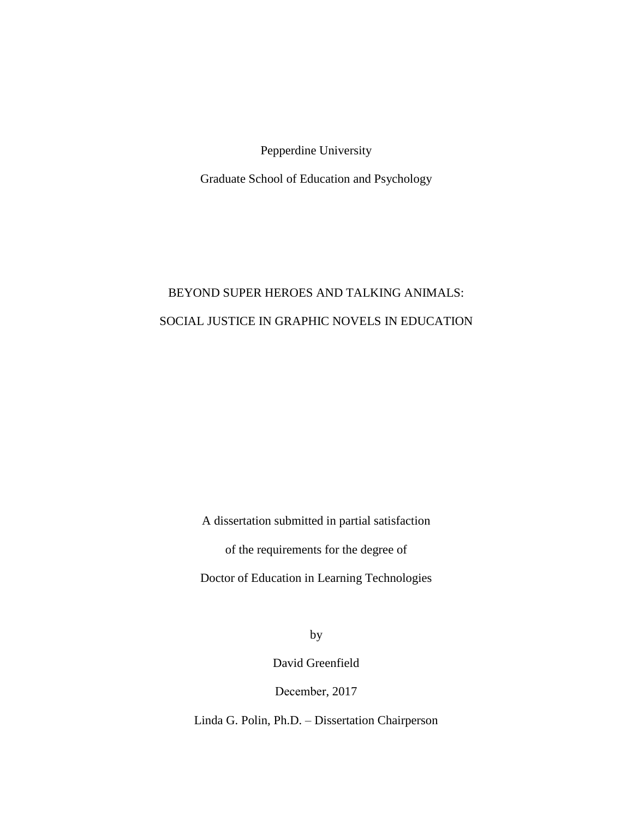Pepperdine University

Graduate School of Education and Psychology

# BEYOND SUPER HEROES AND TALKING ANIMALS: SOCIAL JUSTICE IN GRAPHIC NOVELS IN EDUCATION

A dissertation submitted in partial satisfaction of the requirements for the degree of Doctor of Education in Learning Technologies

by

David Greenfield

December, 2017

Linda G. Polin, Ph.D. ‒ Dissertation Chairperson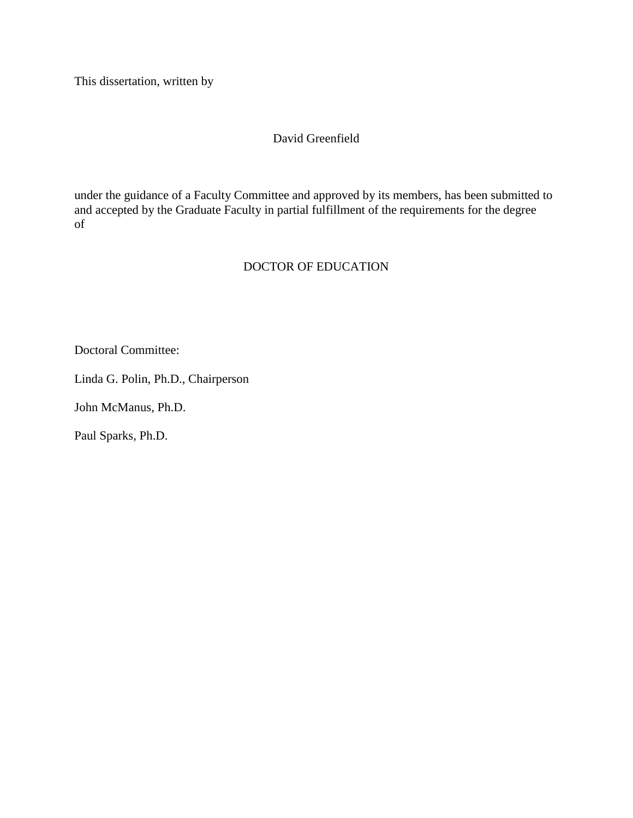This dissertation, written by

#### David Greenfield

under the guidance of a Faculty Committee and approved by its members, has been submitted to and accepted by the Graduate Faculty in partial fulfillment of the requirements for the degree of

## DOCTOR OF EDUCATION

Doctoral Committee:

Linda G. Polin, Ph.D., Chairperson

John McManus, Ph.D.

Paul Sparks, Ph.D.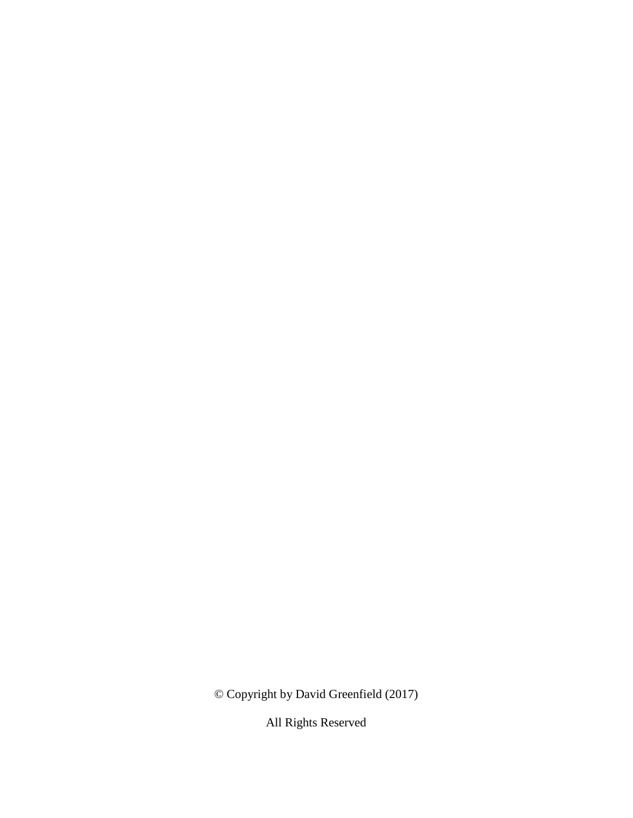© Copyright by David Greenfield (2017)

All Rights Reserved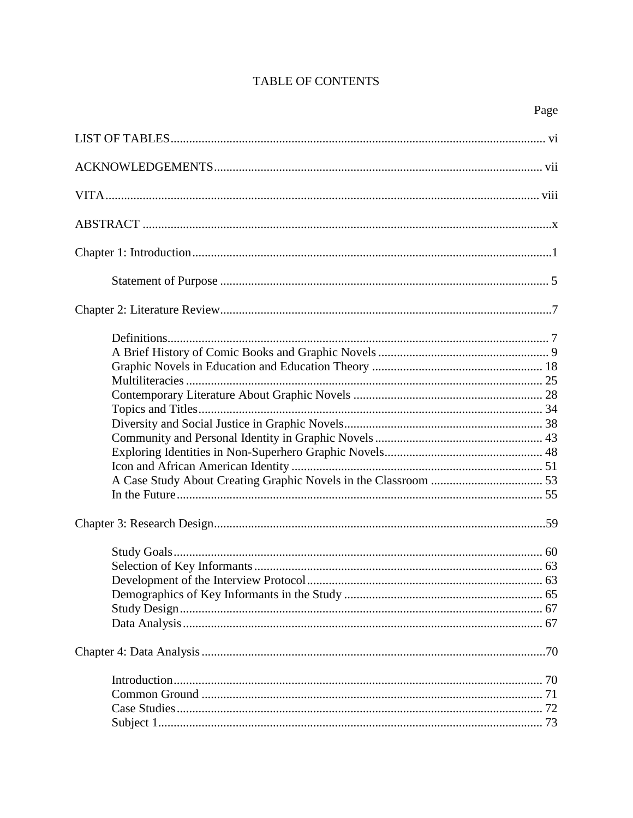## **TABLE OF CONTENTS**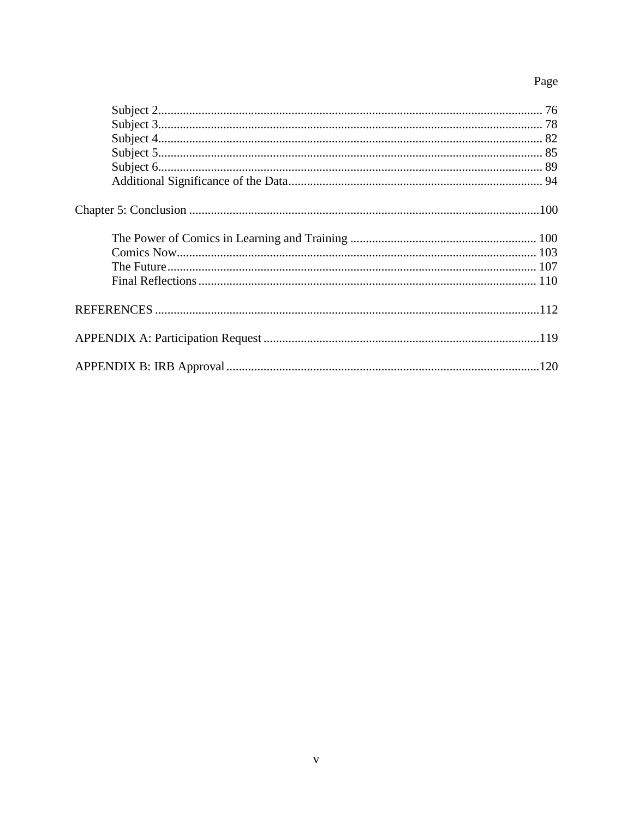# Page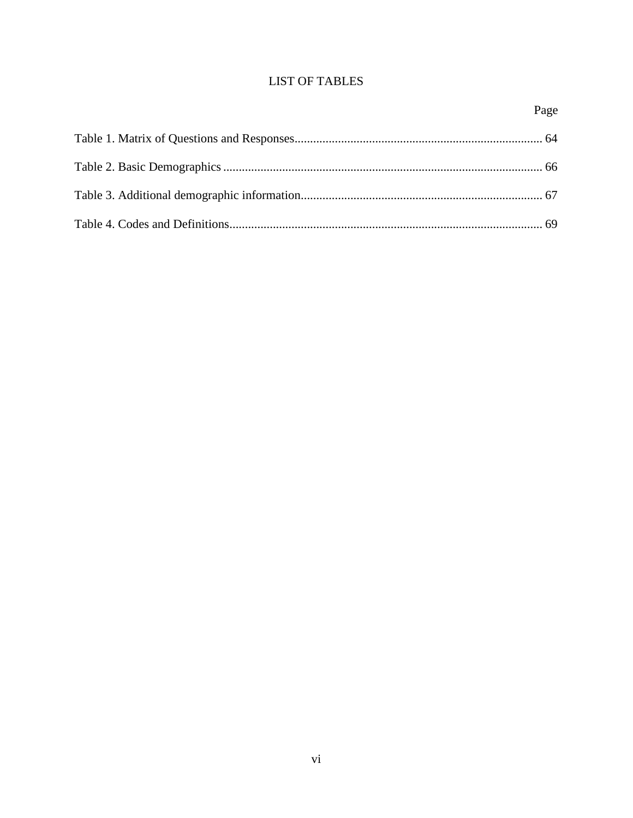## **LIST OF TABLES**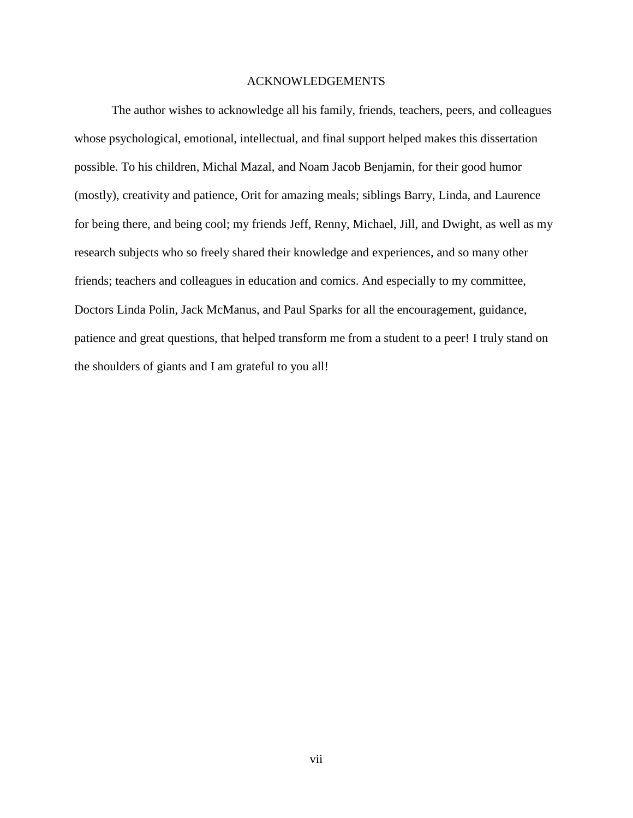#### ACKNOWLEDGEMENTS

The author wishes to acknowledge all his family, friends, teachers, peers, and colleagues whose psychological, emotional, intellectual, and final support helped makes this dissertation possible. To his children, Michal Mazal, and Noam Jacob Benjamin, for their good humor (mostly), creativity and patience, Orit for amazing meals; siblings Barry, Linda, and Laurence for being there, and being cool; my friends Jeff, Renny, Michael, Jill, and Dwight, as well as my research subjects who so freely shared their knowledge and experiences, and so many other friends; teachers and colleagues in education and comics. And especially to my committee, Doctors Linda Polin, Jack McManus, and Paul Sparks for all the encouragement, guidance, patience and great questions, that helped transform me from a student to a peer! I truly stand on the shoulders of giants and I am grateful to you all!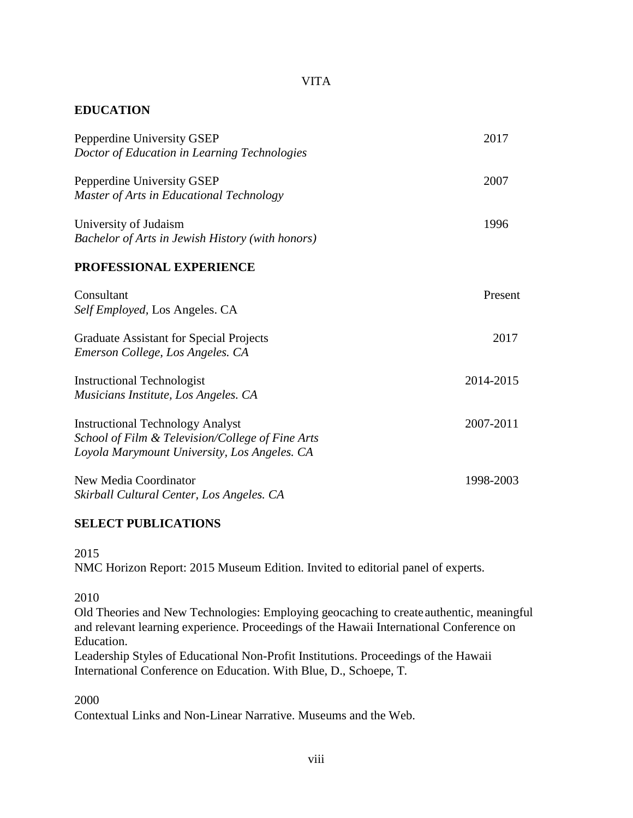## VITA

## **EDUCATION**

| Pepperdine University GSEP<br>Doctor of Education in Learning Technologies                                                                  | 2017      |
|---------------------------------------------------------------------------------------------------------------------------------------------|-----------|
| Pepperdine University GSEP<br>Master of Arts in Educational Technology                                                                      | 2007      |
| University of Judaism<br>Bachelor of Arts in Jewish History (with honors)                                                                   | 1996      |
| PROFESSIONAL EXPERIENCE                                                                                                                     |           |
| Consultant<br>Self Employed, Los Angeles. CA                                                                                                | Present   |
| <b>Graduate Assistant for Special Projects</b><br>Emerson College, Los Angeles. CA                                                          | 2017      |
| <b>Instructional Technologist</b><br>Musicians Institute, Los Angeles. CA                                                                   | 2014-2015 |
| <b>Instructional Technology Analyst</b><br>School of Film & Television/College of Fine Arts<br>Loyola Marymount University, Los Angeles. CA | 2007-2011 |
| New Media Coordinator<br>Skirball Cultural Center, Los Angeles. CA                                                                          | 1998-2003 |

#### **SELECT PUBLICATIONS**

2015

NMC Horizon Report: 2015 Museum Edition. Invited to editorial panel of experts.

2010

Old Theories and New Technologies: Employing geocaching to createauthentic, meaningful and relevant learning experience. Proceedings of the Hawaii International Conference on Education.

Leadership Styles of Educational Non-Profit Institutions. Proceedings of the Hawaii International Conference on Education. With Blue, D., Schoepe, T.

2000

Contextual Links and Non-Linear Narrative. Museums and the Web.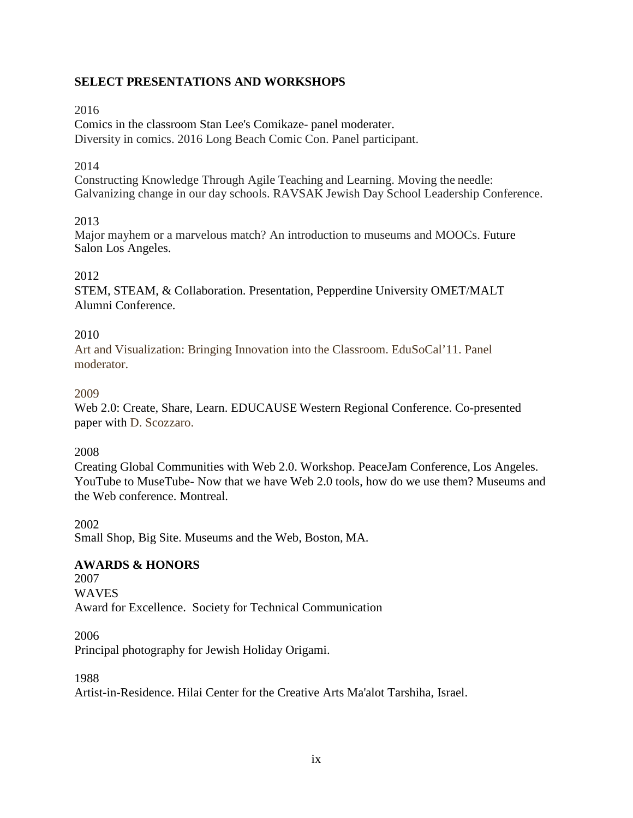## **SELECT PRESENTATIONS AND WORKSHOPS**

## 2016

Comics in the classroom Stan Lee's Comikaze- panel moderater. Diversity in comics. 2016 Long Beach Comic Con. Panel participant.

## 2014

Constructing Knowledge Through Agile Teaching and Learning. Moving the needle: Galvanizing change in our day schools. RAVSAK Jewish Day School Leadership Conference.

## 2013

Major mayhem or a marvelous match? An introduction to museums and MOOCs. Future Salon Los Angeles.

## 2012

STEM, STEAM, & Collaboration. Presentation, Pepperdine University OMET/MALT Alumni Conference.

## 2010

Art and Visualization: Bringing Innovation into the Classroom. EduSoCal'11. Panel moderator.

## 2009

Web 2.0: Create, Share, Learn. EDUCAUSE Western Regional Conference. Co-presented paper with D. Scozzaro.

#### 2008

Creating Global Communities with Web 2.0. Workshop. PeaceJam Conference, Los Angeles. YouTube to MuseTube- Now that we have Web 2.0 tools, how do we use them? Museums and the Web conference. Montreal.

2002

Small Shop, Big Site. Museums and the Web, Boston, MA.

## **AWARDS & HONORS**

2007 WAVES Award for Excellence. Society for Technical Communication

2006 Principal photography for Jewish Holiday Origami.

1988

Artist-in-Residence. Hilai Center for the Creative Arts Ma'alot Tarshiha, Israel.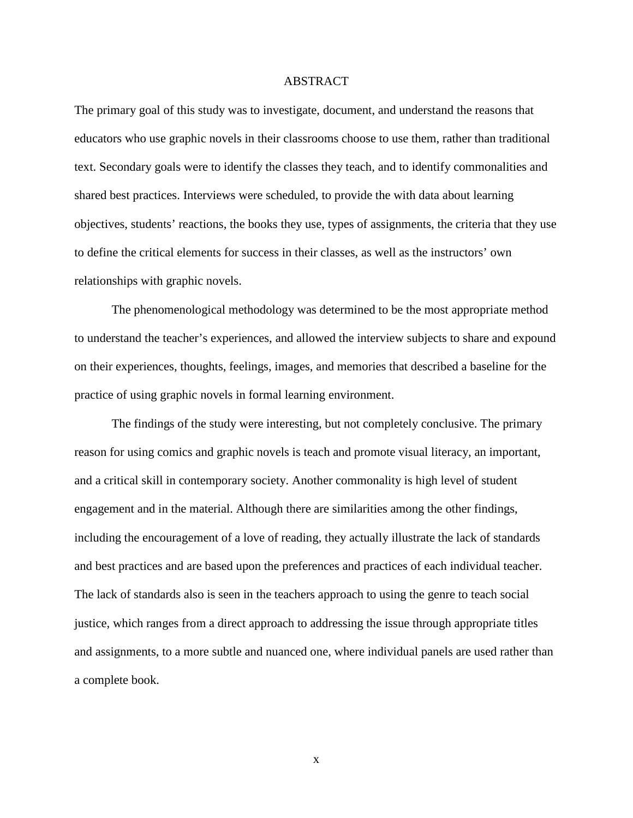#### ABSTRACT

The primary goal of this study was to investigate, document, and understand the reasons that educators who use graphic novels in their classrooms choose to use them, rather than traditional text. Secondary goals were to identify the classes they teach, and to identify commonalities and shared best practices. Interviews were scheduled, to provide the with data about learning objectives, students' reactions, the books they use, types of assignments, the criteria that they use to define the critical elements for success in their classes, as well as the instructors' own relationships with graphic novels.

The phenomenological methodology was determined to be the most appropriate method to understand the teacher's experiences, and allowed the interview subjects to share and expound on their experiences, thoughts, feelings, images, and memories that described a baseline for the practice of using graphic novels in formal learning environment.

The findings of the study were interesting, but not completely conclusive. The primary reason for using comics and graphic novels is teach and promote visual literacy, an important, and a critical skill in contemporary society. Another commonality is high level of student engagement and in the material. Although there are similarities among the other findings, including the encouragement of a love of reading, they actually illustrate the lack of standards and best practices and are based upon the preferences and practices of each individual teacher. The lack of standards also is seen in the teachers approach to using the genre to teach social justice, which ranges from a direct approach to addressing the issue through appropriate titles and assignments, to a more subtle and nuanced one, where individual panels are used rather than a complete book.

x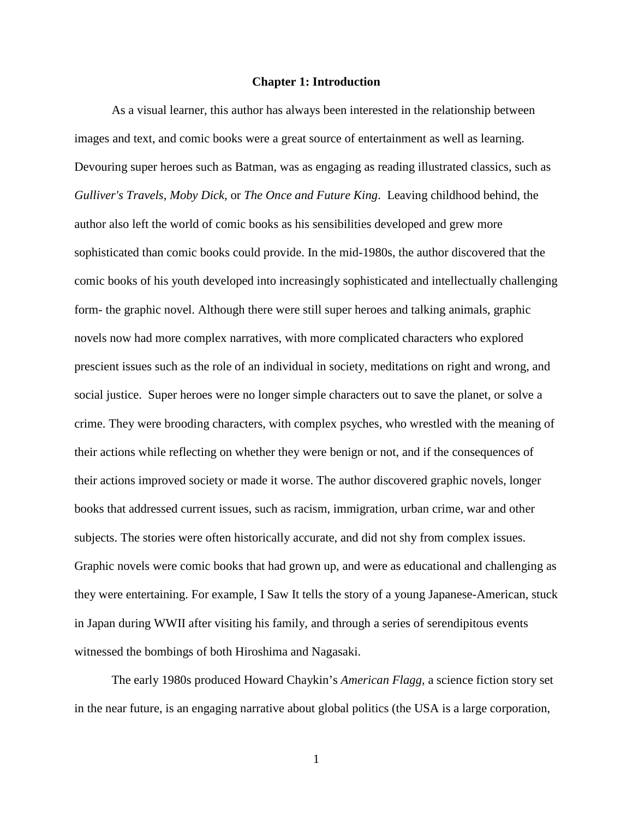#### **Chapter 1: Introduction**

As a visual learner, this author has always been interested in the relationship between images and text, and comic books were a great source of entertainment as well as learning. Devouring super heroes such as Batman, was as engaging as reading illustrated classics, such as *Gulliver's Travels*, *Moby Dick*, or *The Once and Future King*. Leaving childhood behind, the author also left the world of comic books as his sensibilities developed and grew more sophisticated than comic books could provide. In the mid-1980s, the author discovered that the comic books of his youth developed into increasingly sophisticated and intellectually challenging form- the graphic novel. Although there were still super heroes and talking animals, graphic novels now had more complex narratives, with more complicated characters who explored prescient issues such as the role of an individual in society, meditations on right and wrong, and social justice. Super heroes were no longer simple characters out to save the planet, or solve a crime. They were brooding characters, with complex psyches, who wrestled with the meaning of their actions while reflecting on whether they were benign or not, and if the consequences of their actions improved society or made it worse. The author discovered graphic novels, longer books that addressed current issues, such as racism, immigration, urban crime, war and other subjects. The stories were often historically accurate, and did not shy from complex issues. Graphic novels were comic books that had grown up, and were as educational and challenging as they were entertaining. For example, I Saw It tells the story of a young Japanese-American, stuck in Japan during WWII after visiting his family, and through a series of serendipitous events witnessed the bombings of both Hiroshima and Nagasaki.

The early 1980s produced Howard Chaykin's *American Flagg,* a science fiction story set in the near future, is an engaging narrative about global politics (the USA is a large corporation,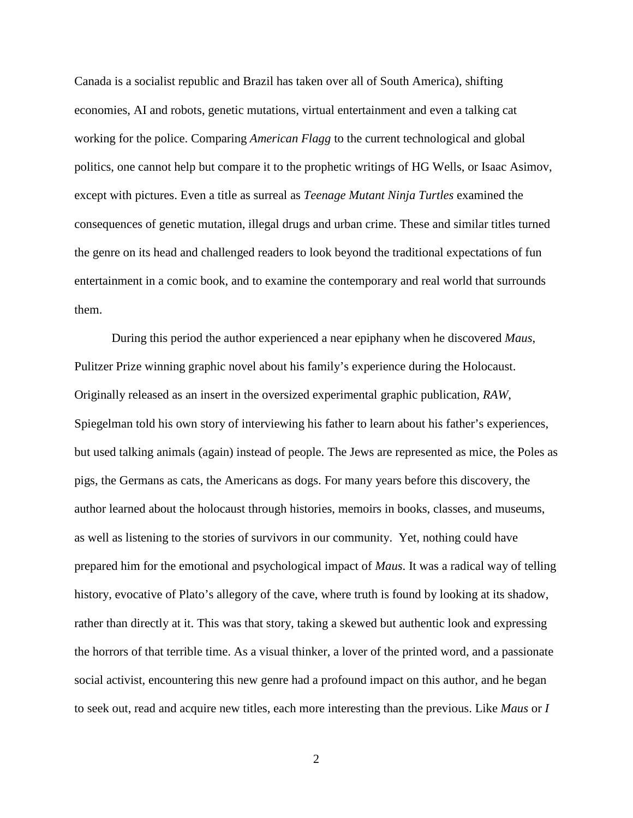Canada is a socialist republic and Brazil has taken over all of South America), shifting economies, AI and robots, genetic mutations, virtual entertainment and even a talking cat working for the police. Comparing *American Flagg* to the current technological and global politics, one cannot help but compare it to the prophetic writings of HG Wells, or Isaac Asimov, except with pictures. Even a title as surreal as *Teenage Mutant Ninja Turtles* examined the consequences of genetic mutation, illegal drugs and urban crime. These and similar titles turned the genre on its head and challenged readers to look beyond the traditional expectations of fun entertainment in a comic book, and to examine the contemporary and real world that surrounds them.

During this period the author experienced a near epiphany when he discovered *Maus*, Pulitzer Prize winning graphic novel about his family's experience during the Holocaust. Originally released as an insert in the oversized experimental graphic publication, *RAW*, Spiegelman told his own story of interviewing his father to learn about his father's experiences, but used talking animals (again) instead of people. The Jews are represented as mice, the Poles as pigs, the Germans as cats, the Americans as dogs. For many years before this discovery, the author learned about the holocaust through histories, memoirs in books, classes, and museums, as well as listening to the stories of survivors in our community. Yet, nothing could have prepared him for the emotional and psychological impact of *Maus*. It was a radical way of telling history, evocative of Plato's allegory of the cave, where truth is found by looking at its shadow, rather than directly at it. This was that story, taking a skewed but authentic look and expressing the horrors of that terrible time. As a visual thinker, a lover of the printed word, and a passionate social activist, encountering this new genre had a profound impact on this author, and he began to seek out, read and acquire new titles, each more interesting than the previous. Like *Maus* or *I*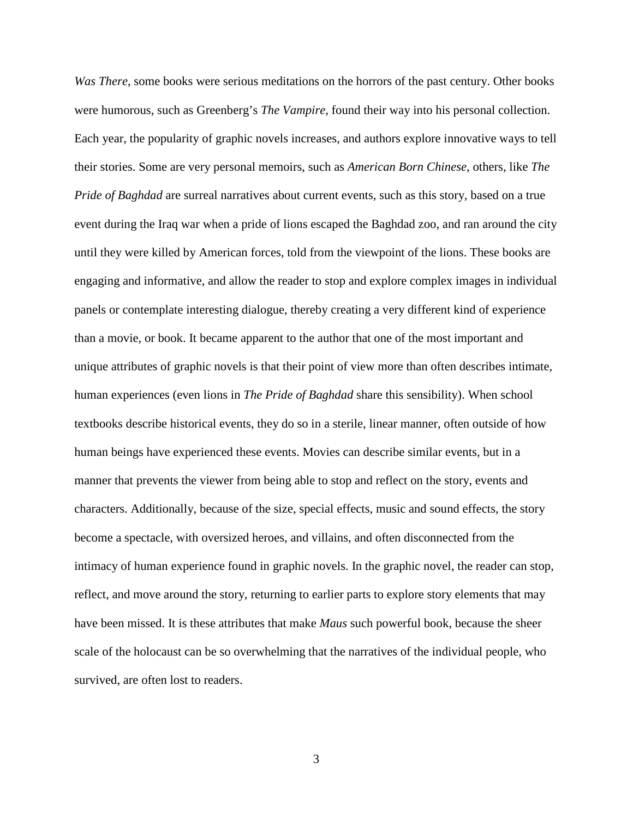*Was There*, some books were serious meditations on the horrors of the past century. Other books were humorous, such as Greenberg's *The Vampire*, found their way into his personal collection. Each year, the popularity of graphic novels increases, and authors explore innovative ways to tell their stories. Some are very personal memoirs, such as *American Born Chinese*, others, like *The Pride of Baghdad* are surreal narratives about current events, such as this story, based on a true event during the Iraq war when a pride of lions escaped the Baghdad zoo, and ran around the city until they were killed by American forces, told from the viewpoint of the lions. These books are engaging and informative, and allow the reader to stop and explore complex images in individual panels or contemplate interesting dialogue, thereby creating a very different kind of experience than a movie, or book. It became apparent to the author that one of the most important and unique attributes of graphic novels is that their point of view more than often describes intimate, human experiences (even lions in *The Pride of Baghdad* share this sensibility). When school textbooks describe historical events, they do so in a sterile, linear manner, often outside of how human beings have experienced these events. Movies can describe similar events, but in a manner that prevents the viewer from being able to stop and reflect on the story, events and characters. Additionally, because of the size, special effects, music and sound effects, the story become a spectacle, with oversized heroes, and villains, and often disconnected from the intimacy of human experience found in graphic novels. In the graphic novel, the reader can stop, reflect, and move around the story, returning to earlier parts to explore story elements that may have been missed. It is these attributes that make *Maus* such powerful book, because the sheer scale of the holocaust can be so overwhelming that the narratives of the individual people, who survived, are often lost to readers.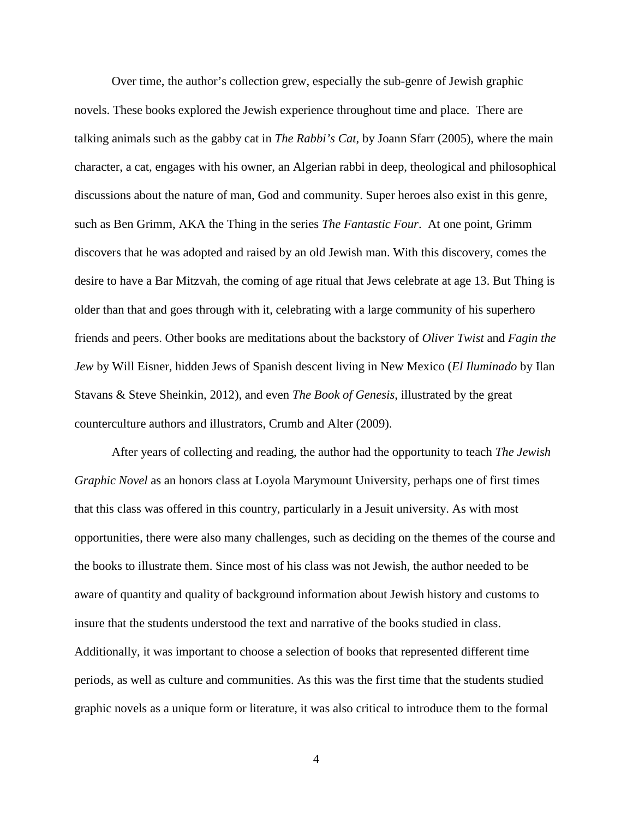Over time, the author's collection grew, especially the sub-genre of Jewish graphic novels. These books explored the Jewish experience throughout time and place. There are talking animals such as the gabby cat in *The Rabbi's Cat*, by Joann Sfarr (2005), where the main character, a cat, engages with his owner, an Algerian rabbi in deep, theological and philosophical discussions about the nature of man, God and community. Super heroes also exist in this genre, such as Ben Grimm, AKA the Thing in the series *The Fantastic Four*. At one point, Grimm discovers that he was adopted and raised by an old Jewish man. With this discovery, comes the desire to have a Bar Mitzvah, the coming of age ritual that Jews celebrate at age 13. But Thing is older than that and goes through with it, celebrating with a large community of his superhero friends and peers. Other books are meditations about the backstory of *Oliver Twist* and *Fagin the Jew* by Will Eisner, hidden Jews of Spanish descent living in New Mexico (*El Iluminado* by Ilan Stavans & Steve Sheinkin, 2012), and even *The Book of Genesis*, illustrated by the great counterculture authors and illustrators, Crumb and Alter (2009).

After years of collecting and reading, the author had the opportunity to teach *The Jewish Graphic Novel* as an honors class at Loyola Marymount University, perhaps one of first times that this class was offered in this country, particularly in a Jesuit university. As with most opportunities, there were also many challenges, such as deciding on the themes of the course and the books to illustrate them. Since most of his class was not Jewish, the author needed to be aware of quantity and quality of background information about Jewish history and customs to insure that the students understood the text and narrative of the books studied in class. Additionally, it was important to choose a selection of books that represented different time periods, as well as culture and communities. As this was the first time that the students studied graphic novels as a unique form or literature, it was also critical to introduce them to the formal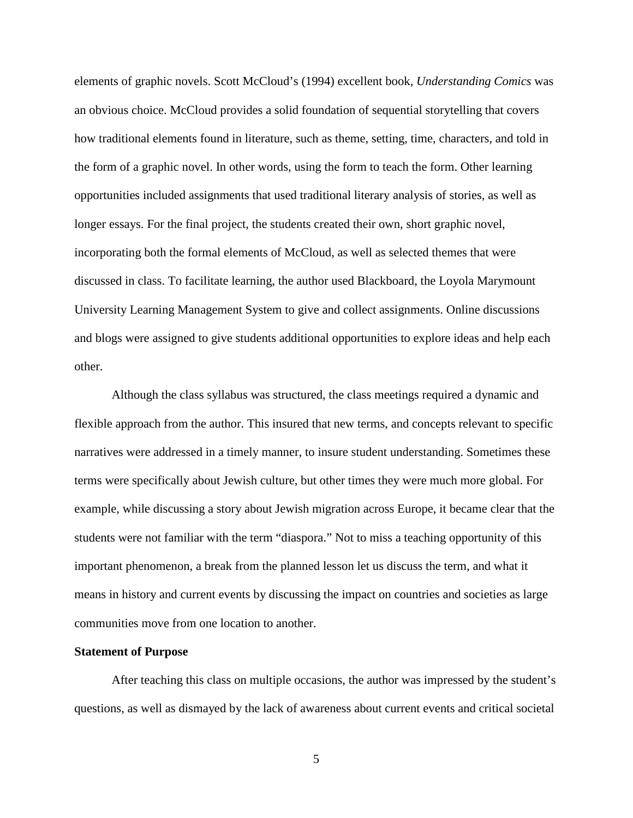elements of graphic novels. Scott McCloud's (1994) excellent book, *Understanding Comics* was an obvious choice. McCloud provides a solid foundation of sequential storytelling that covers how traditional elements found in literature, such as theme, setting, time, characters, and told in the form of a graphic novel. In other words, using the form to teach the form. Other learning opportunities included assignments that used traditional literary analysis of stories, as well as longer essays. For the final project, the students created their own, short graphic novel, incorporating both the formal elements of McCloud, as well as selected themes that were discussed in class. To facilitate learning, the author used Blackboard, the Loyola Marymount University Learning Management System to give and collect assignments. Online discussions and blogs were assigned to give students additional opportunities to explore ideas and help each other.

Although the class syllabus was structured, the class meetings required a dynamic and flexible approach from the author. This insured that new terms, and concepts relevant to specific narratives were addressed in a timely manner, to insure student understanding. Sometimes these terms were specifically about Jewish culture, but other times they were much more global. For example, while discussing a story about Jewish migration across Europe, it became clear that the students were not familiar with the term "diaspora." Not to miss a teaching opportunity of this important phenomenon, a break from the planned lesson let us discuss the term, and what it means in history and current events by discussing the impact on countries and societies as large communities move from one location to another.

#### **Statement of Purpose**

After teaching this class on multiple occasions, the author was impressed by the student's questions, as well as dismayed by the lack of awareness about current events and critical societal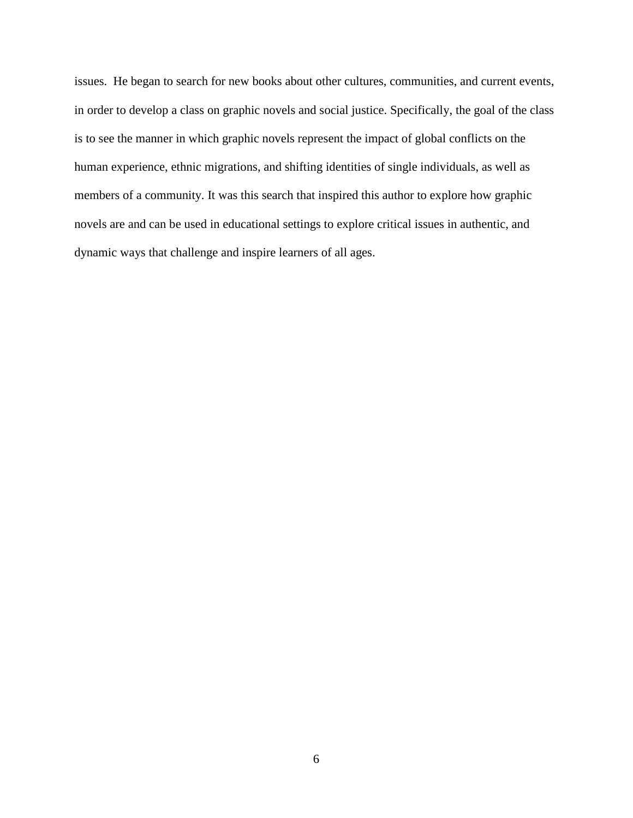issues. He began to search for new books about other cultures, communities, and current events, in order to develop a class on graphic novels and social justice. Specifically, the goal of the class is to see the manner in which graphic novels represent the impact of global conflicts on the human experience, ethnic migrations, and shifting identities of single individuals, as well as members of a community. It was this search that inspired this author to explore how graphic novels are and can be used in educational settings to explore critical issues in authentic, and dynamic ways that challenge and inspire learners of all ages.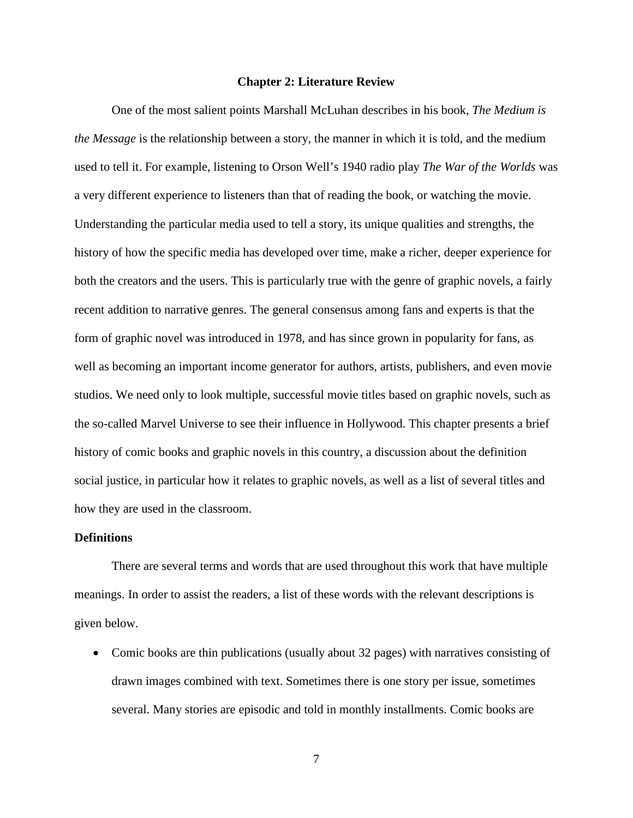#### **Chapter 2: Literature Review**

One of the most salient points Marshall McLuhan describes in his book, *The Medium is the Message* is the relationship between a story, the manner in which it is told, and the medium used to tell it. For example, listening to Orson Well's 1940 radio play *The War of the Worlds* was a very different experience to listeners than that of reading the book, or watching the movie. Understanding the particular media used to tell a story, its unique qualities and strengths, the history of how the specific media has developed over time, make a richer, deeper experience for both the creators and the users. This is particularly true with the genre of graphic novels, a fairly recent addition to narrative genres. The general consensus among fans and experts is that the form of graphic novel was introduced in 1978, and has since grown in popularity for fans, as well as becoming an important income generator for authors, artists, publishers, and even movie studios. We need only to look multiple, successful movie titles based on graphic novels, such as the so-called Marvel Universe to see their influence in Hollywood. This chapter presents a brief history of comic books and graphic novels in this country, a discussion about the definition social justice, in particular how it relates to graphic novels, as well as a list of several titles and how they are used in the classroom.

#### **Definitions**

There are several terms and words that are used throughout this work that have multiple meanings. In order to assist the readers, a list of these words with the relevant descriptions is given below.

• Comic books are thin publications (usually about 32 pages) with narratives consisting of drawn images combined with text. Sometimes there is one story per issue, sometimes several. Many stories are episodic and told in monthly installments. Comic books are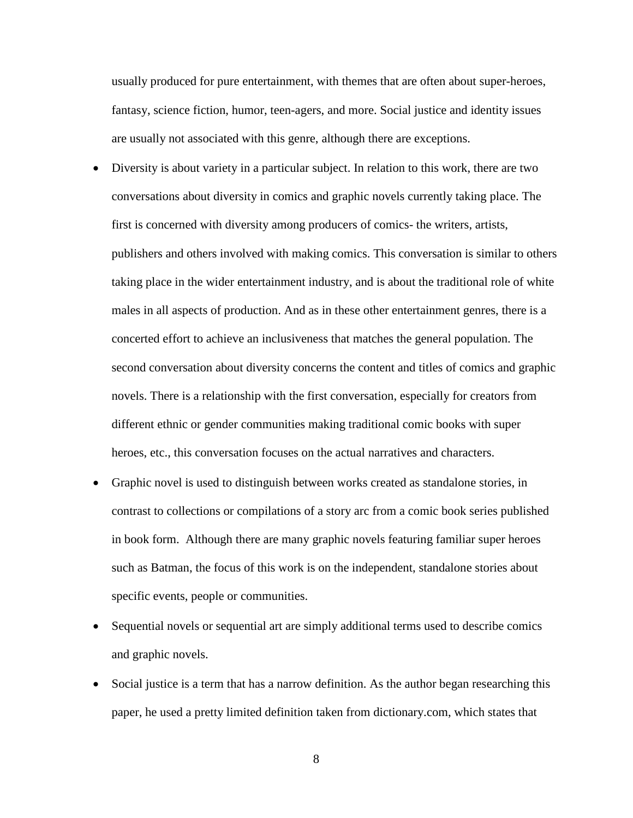usually produced for pure entertainment, with themes that are often about super-heroes, fantasy, science fiction, humor, teen-agers, and more. Social justice and identity issues are usually not associated with this genre, although there are exceptions.

- Diversity is about variety in a particular subject. In relation to this work, there are two conversations about diversity in comics and graphic novels currently taking place. The first is concerned with diversity among producers of comics- the writers, artists, publishers and others involved with making comics. This conversation is similar to others taking place in the wider entertainment industry, and is about the traditional role of white males in all aspects of production. And as in these other entertainment genres, there is a concerted effort to achieve an inclusiveness that matches the general population. The second conversation about diversity concerns the content and titles of comics and graphic novels. There is a relationship with the first conversation, especially for creators from different ethnic or gender communities making traditional comic books with super heroes, etc., this conversation focuses on the actual narratives and characters.
- Graphic novel is used to distinguish between works created as standalone stories, in contrast to collections or compilations of a story arc from a comic book series published in book form. Although there are many graphic novels featuring familiar super heroes such as Batman, the focus of this work is on the independent, standalone stories about specific events, people or communities.
- Sequential novels or sequential art are simply additional terms used to describe comics and graphic novels.
- Social justice is a term that has a narrow definition. As the author began researching this paper, he used a pretty limited definition taken from dictionary.com, which states that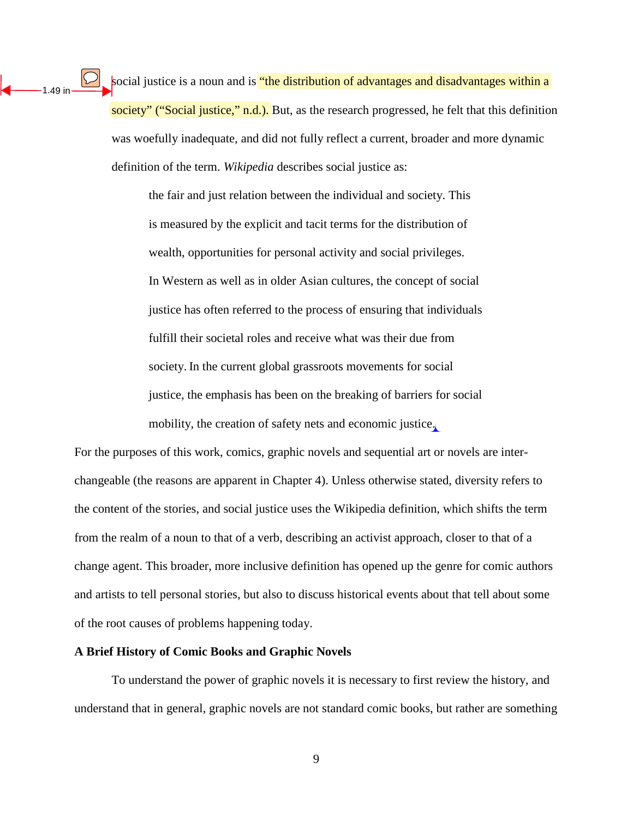$|\mathcal{L}|$ social justice is a noun and is "the distribution of advantages and disadvantages within a society" ("Social justice," n.d.). But, as the research progressed, he felt that this definition was woefully inadequate, and did not fully reflect a current, broader and more dynamic definition of the term. *Wikipedia* describes social justice as:

> the fair and just relation between the individual and society. This is measured by the explicit and tacit terms for the distribution of wealth, opportunities for personal activity and social privileges. In Western as well as in older Asian cultures, the concept of social justice has often referred to the process of ensuring that individuals fulfill their societal roles and receive what was their due from society. In the current global grassroots movements for social justice, the emphasis has been on the breaking of barriers for social mobility, the creation of safety nets and economic justice.

For the purposes of this work, comics, graphic novels and sequential art or novels are interchangeable (the reasons are apparent in Chapter 4). Unless otherwise stated, diversity refers to the content of the stories, and social justice uses the Wikipedia definition, which shifts the term from the realm of a noun to that of a verb, describing an activist approach, closer to that of a change agent. This broader, more inclusive definition has opened up the genre for comic authors and artists to tell personal stories, but also to discuss historical events about that tell about some of the root causes of problems happening today.

#### **A Brief History of Comic Books and Graphic Novels**

1.49 in

To understand the power of graphic novels it is necessary to first review the history, and understand that in general, graphic novels are not standard comic books, but rather are something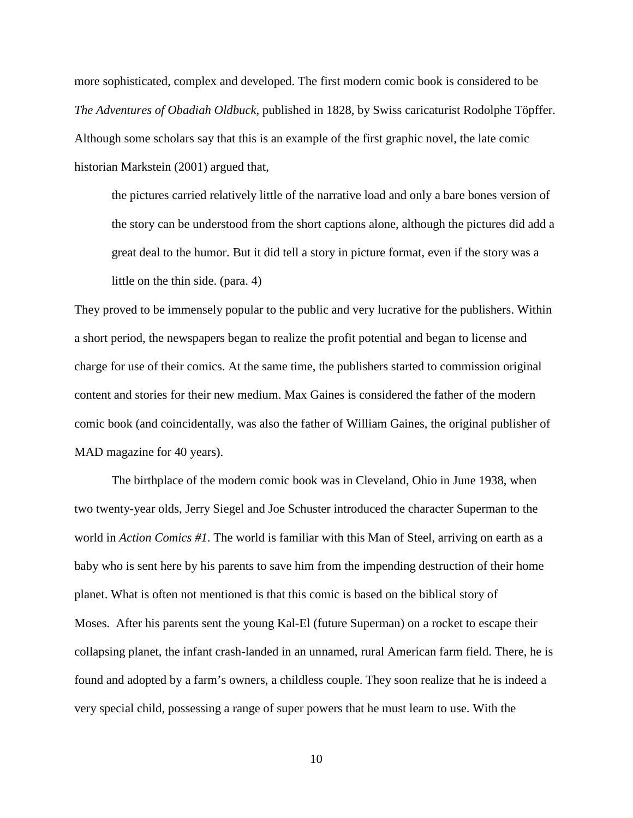more sophisticated, complex and developed. The first modern comic book is considered to be *The Adventures of Obadiah Oldbuck*, published in 1828, by Swiss caricaturist Rodolphe Töpffer. Although some scholars say that this is an example of the first graphic novel, the late comic historian Markstein (2001) argued that,

the pictures carried relatively little of the narrative load and only a bare bones version of the story can be understood from the short captions alone, although the pictures did add a great deal to the humor. But it did tell a story in picture format, even if the story was a little on the thin side. (para. 4)

They proved to be immensely popular to the public and very lucrative for the publishers. Within a short period, the newspapers began to realize the profit potential and began to license and charge for use of their comics. At the same time, the publishers started to commission original content and stories for their new medium. Max Gaines is considered the father of the modern comic book (and coincidentally, was also the father of William Gaines, the original publisher of MAD magazine for 40 years).

The birthplace of the modern comic book was in Cleveland, Ohio in June 1938, when two twenty-year olds, Jerry Siegel and Joe Schuster introduced the character Superman to the world in *Action Comics #1*. The world is familiar with this Man of Steel, arriving on earth as a baby who is sent here by his parents to save him from the impending destruction of their home planet. What is often not mentioned is that this comic is based on the biblical story of Moses. After his parents sent the young Kal-El (future Superman) on a rocket to escape their collapsing planet, the infant crash-landed in an unnamed, rural American farm field. There, he is found and adopted by a farm's owners, a childless couple. They soon realize that he is indeed a very special child, possessing a range of super powers that he must learn to use. With the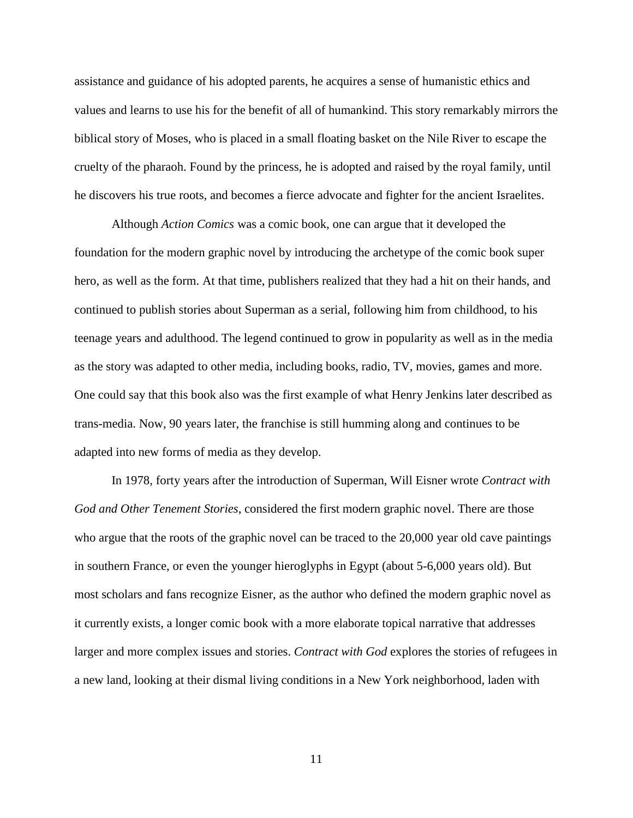assistance and guidance of his adopted parents, he acquires a sense of humanistic ethics and values and learns to use his for the benefit of all of humankind. This story remarkably mirrors the biblical story of Moses, who is placed in a small floating basket on the Nile River to escape the cruelty of the pharaoh. Found by the princess, he is adopted and raised by the royal family, until he discovers his true roots, and becomes a fierce advocate and fighter for the ancient Israelites.

Although *Action Comics* was a comic book, one can argue that it developed the foundation for the modern graphic novel by introducing the archetype of the comic book super hero, as well as the form. At that time, publishers realized that they had a hit on their hands, and continued to publish stories about Superman as a serial, following him from childhood, to his teenage years and adulthood. The legend continued to grow in popularity as well as in the media as the story was adapted to other media, including books, radio, TV, movies, games and more. One could say that this book also was the first example of what Henry Jenkins later described as trans-media. Now, 90 years later, the franchise is still humming along and continues to be adapted into new forms of media as they develop.

In 1978, forty years after the introduction of Superman, Will Eisner wrote *Contract with God and Other Tenement Stories*, considered the first modern graphic novel. There are those who argue that the roots of the graphic novel can be traced to the 20,000 year old cave paintings in southern France, or even the younger hieroglyphs in Egypt (about 5-6,000 years old). But most scholars and fans recognize Eisner, as the author who defined the modern graphic novel as it currently exists, a longer comic book with a more elaborate topical narrative that addresses larger and more complex issues and stories. *Contract with God* explores the stories of refugees in a new land, looking at their dismal living conditions in a New York neighborhood, laden with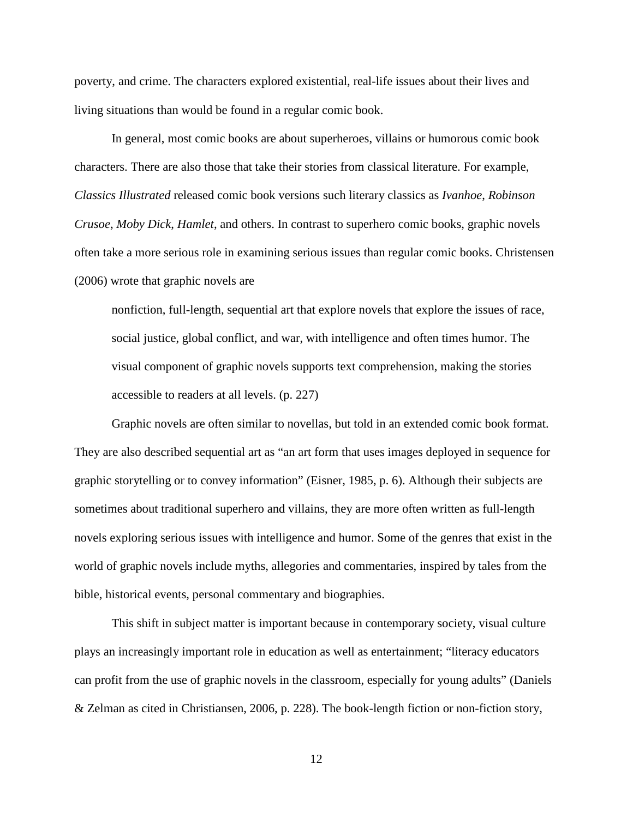poverty, and crime. The characters explored existential, real-life issues about their lives and living situations than would be found in a regular comic book.

In general, most comic books are about superheroes, villains or humorous comic book characters. There are also those that take their stories from classical literature. For example, *Classics Illustrated* released comic book versions such literary classics as *Ivanhoe*, *Robinson Crusoe*, *Moby Dick*, *Hamlet*, and others. In contrast to superhero comic books, graphic novels often take a more serious role in examining serious issues than regular comic books. Christensen (2006) wrote that graphic novels are

nonfiction, full-length, sequential art that explore novels that explore the issues of race, social justice, global conflict, and war, with intelligence and often times humor. The visual component of graphic novels supports text comprehension, making the stories accessible to readers at all levels. (p. 227)

Graphic novels are often similar to novellas, but told in an extended comic book format. They are also described sequential art as "an art form that uses images deployed in sequence for graphic storytelling or to convey information" (Eisner, 1985, p. 6). Although their subjects are sometimes about traditional superhero and villains, they are more often written as full-length novels exploring serious issues with intelligence and humor. Some of the genres that exist in the world of graphic novels include myths, allegories and commentaries, inspired by tales from the bible, historical events, personal commentary and biographies.

This shift in subject matter is important because in contemporary society, visual culture plays an increasingly important role in education as well as entertainment; "literacy educators can profit from the use of graphic novels in the classroom, especially for young adults" (Daniels & Zelman as cited in Christiansen, 2006, p. 228). The book-length fiction or non-fiction story,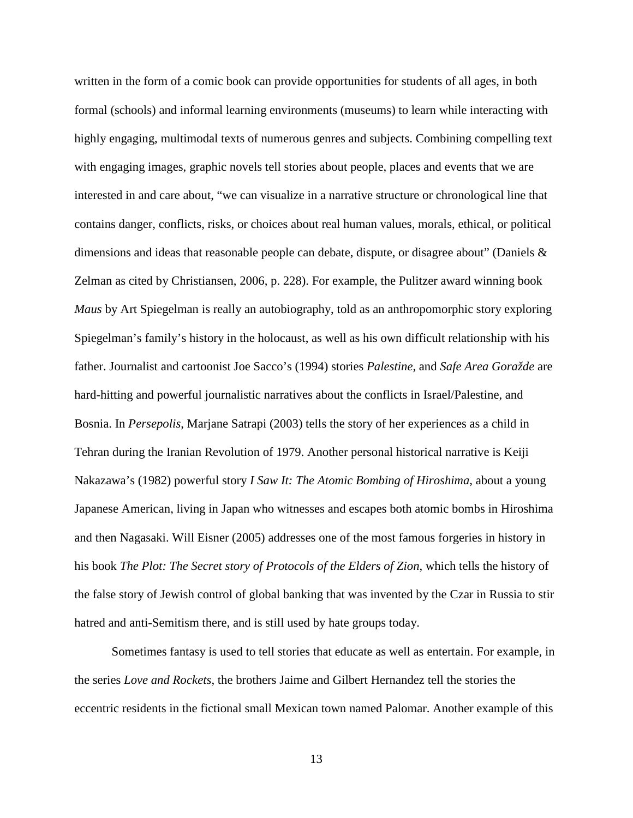written in the form of a comic book can provide opportunities for students of all ages, in both formal (schools) and informal learning environments (museums) to learn while interacting with highly engaging, multimodal texts of numerous genres and subjects. Combining compelling text with engaging images, graphic novels tell stories about people, places and events that we are interested in and care about, "we can visualize in a narrative structure or chronological line that contains danger, conflicts, risks, or choices about real human values, morals, ethical, or political dimensions and ideas that reasonable people can debate, dispute, or disagree about" (Daniels & Zelman as cited by Christiansen, 2006, p. 228). For example, the Pulitzer award winning book *Maus* by Art Spiegelman is really an autobiography, told as an anthropomorphic story exploring Spiegelman's family's history in the holocaust, as well as his own difficult relationship with his father. Journalist and cartoonist Joe Sacco's (1994) stories *Palestine*, and *Safe Area Goražde* are hard-hitting and powerful journalistic narratives about the conflicts in Israel/Palestine, and Bosnia. In *Persepolis*, Marjane Satrapi (2003) tells the story of her experiences as a child in Tehran during the Iranian Revolution of 1979. Another personal historical narrative is Keiji Nakazawa's (1982) powerful story *I Saw It: The Atomic Bombing of Hiroshima*, about a young Japanese American, living in Japan who witnesses and escapes both atomic bombs in Hiroshima and then Nagasaki. Will Eisner (2005) addresses one of the most famous forgeries in history in his book *The Plot: The Secret story of Protocols of the Elders of Zion*, which tells the history of the false story of Jewish control of global banking that was invented by the Czar in Russia to stir hatred and anti-Semitism there, and is still used by hate groups today.

Sometimes fantasy is used to tell stories that educate as well as entertain. For example, in the series *Love and Rockets*, the brothers Jaime and Gilbert Hernandez tell the stories the eccentric residents in the fictional small Mexican town named Palomar. Another example of this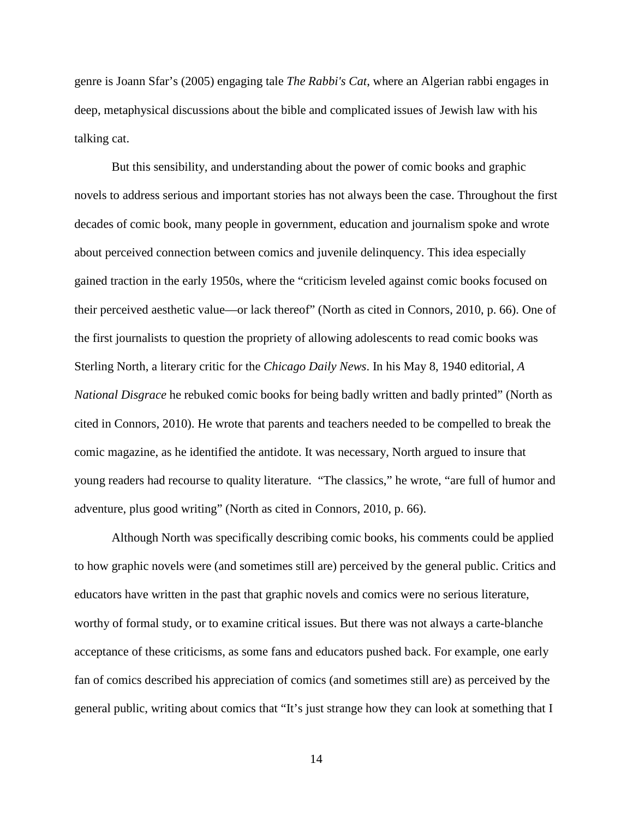genre is Joann Sfar's (2005) engaging tale *The Rabbi's Cat*, where an Algerian rabbi engages in deep, metaphysical discussions about the bible and complicated issues of Jewish law with his talking cat.

But this sensibility, and understanding about the power of comic books and graphic novels to address serious and important stories has not always been the case. Throughout the first decades of comic book, many people in government, education and journalism spoke and wrote about perceived connection between comics and juvenile delinquency. This idea especially gained traction in the early 1950s, where the "criticism leveled against comic books focused on their perceived aesthetic value—or lack thereof" (North as cited in Connors, 2010, p. 66). One of the first journalists to question the propriety of allowing adolescents to read comic books was Sterling North, a literary critic for the *Chicago Daily News*. In his May 8, 1940 editorial, *A National Disgrace* he rebuked comic books for being badly written and badly printed" (North as cited in Connors, 2010). He wrote that parents and teachers needed to be compelled to break the comic magazine, as he identified the antidote. It was necessary, North argued to insure that young readers had recourse to quality literature. "The classics," he wrote, "are full of humor and adventure, plus good writing" (North as cited in Connors, 2010, p. 66).

Although North was specifically describing comic books, his comments could be applied to how graphic novels were (and sometimes still are) perceived by the general public. Critics and educators have written in the past that graphic novels and comics were no serious literature, worthy of formal study, or to examine critical issues. But there was not always a carte-blanche acceptance of these criticisms, as some fans and educators pushed back. For example, one early fan of comics described his appreciation of comics (and sometimes still are) as perceived by the general public, writing about comics that "It's just strange how they can look at something that I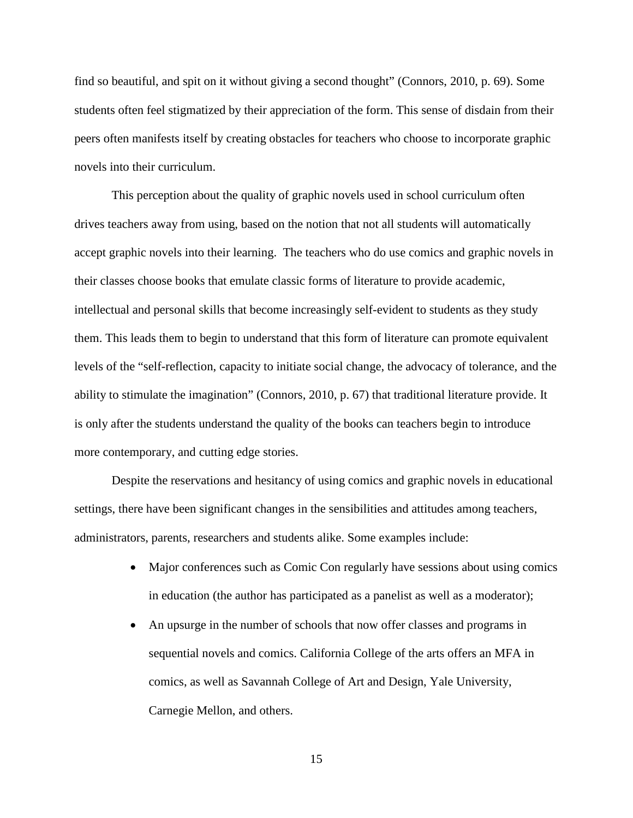find so beautiful, and spit on it without giving a second thought" (Connors, 2010, p. 69). Some students often feel stigmatized by their appreciation of the form. This sense of disdain from their peers often manifests itself by creating obstacles for teachers who choose to incorporate graphic novels into their curriculum.

This perception about the quality of graphic novels used in school curriculum often drives teachers away from using, based on the notion that not all students will automatically accept graphic novels into their learning. The teachers who do use comics and graphic novels in their classes choose books that emulate classic forms of literature to provide academic, intellectual and personal skills that become increasingly self-evident to students as they study them. This leads them to begin to understand that this form of literature can promote equivalent levels of the "self-reflection, capacity to initiate social change, the advocacy of tolerance, and the ability to stimulate the imagination" (Connors, 2010, p. 67) that traditional literature provide. It is only after the students understand the quality of the books can teachers begin to introduce more contemporary, and cutting edge stories.

Despite the reservations and hesitancy of using comics and graphic novels in educational settings, there have been significant changes in the sensibilities and attitudes among teachers, administrators, parents, researchers and students alike. Some examples include:

- Major conferences such as Comic Con regularly have sessions about using comics in education (the author has participated as a panelist as well as a moderator);
- An upsurge in the number of schools that now offer classes and programs in sequential novels and comics. California College of the arts offers an MFA in comics, as well as Savannah College of Art and Design, Yale University, Carnegie Mellon, and others.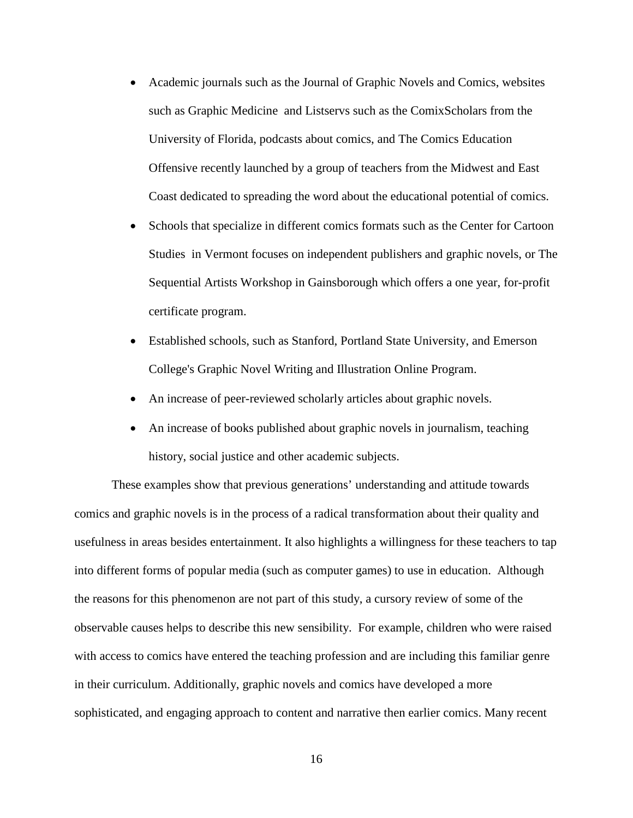- Academic journals such as the Journal of Graphic Novels and Comics, websites such as Graphic Medicine and Listservs such as the ComixScholars from the University of Florida, podcasts about comics, and The Comics Education Offensive recently launched by a group of teachers from the Midwest and East Coast dedicated to spreading the word about the educational potential of comics.
- Schools that specialize in different comics formats such as the Center for Cartoon Studies in Vermont focuses on independent publishers and graphic novels, or The Sequential Artists Workshop in Gainsborough which offers a one year, for-profit certificate program.
- Established schools, such as Stanford, Portland State University, and Emerson College's Graphic Novel Writing and Illustration Online Program.
- An increase of peer-reviewed scholarly articles about graphic novels.
- An increase of books published about graphic novels in journalism, teaching history, social justice and other academic subjects.

These examples show that previous generations' understanding and attitude towards comics and graphic novels is in the process of a radical transformation about their quality and usefulness in areas besides entertainment. It also highlights a willingness for these teachers to tap into different forms of popular media (such as computer games) to use in education. Although the reasons for this phenomenon are not part of this study, a cursory review of some of the observable causes helps to describe this new sensibility. For example, children who were raised with access to comics have entered the teaching profession and are including this familiar genre in their curriculum. Additionally, graphic novels and comics have developed a more sophisticated, and engaging approach to content and narrative then earlier comics. Many recent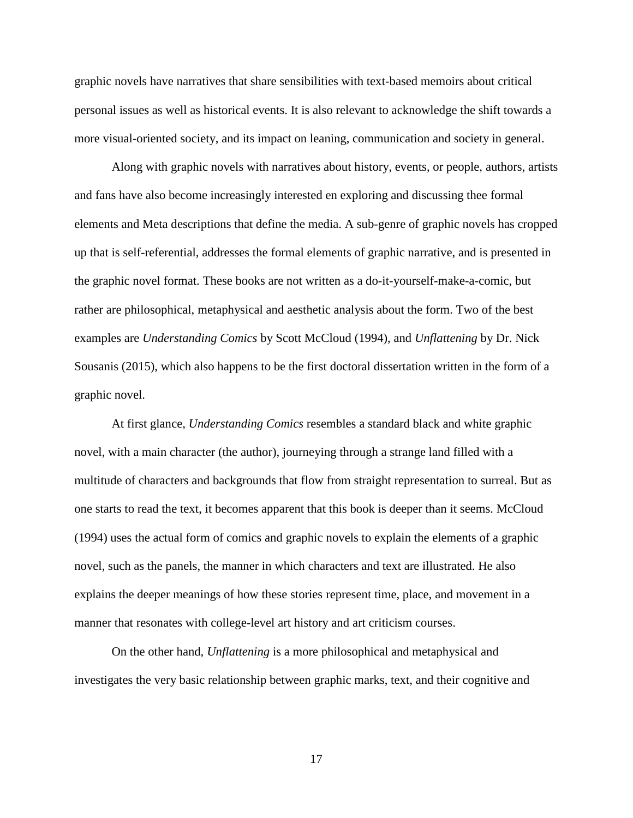graphic novels have narratives that share sensibilities with text-based memoirs about critical personal issues as well as historical events. It is also relevant to acknowledge the shift towards a more visual-oriented society, and its impact on leaning, communication and society in general.

Along with graphic novels with narratives about history, events, or people, authors, artists and fans have also become increasingly interested en exploring and discussing thee formal elements and Meta descriptions that define the media. A sub-genre of graphic novels has cropped up that is self-referential, addresses the formal elements of graphic narrative, and is presented in the graphic novel format. These books are not written as a do-it-yourself-make-a-comic, but rather are philosophical, metaphysical and aesthetic analysis about the form. Two of the best examples are *Understanding Comics* by Scott McCloud (1994), and *Unflattening* by Dr. Nick Sousanis (2015), which also happens to be the first doctoral dissertation written in the form of a graphic novel.

At first glance, *Understanding Comics* resembles a standard black and white graphic novel, with a main character (the author), journeying through a strange land filled with a multitude of characters and backgrounds that flow from straight representation to surreal. But as one starts to read the text, it becomes apparent that this book is deeper than it seems. McCloud (1994) uses the actual form of comics and graphic novels to explain the elements of a graphic novel, such as the panels, the manner in which characters and text are illustrated. He also explains the deeper meanings of how these stories represent time, place, and movement in a manner that resonates with college-level art history and art criticism courses.

On the other hand, *Unflattening* is a more philosophical and metaphysical and investigates the very basic relationship between graphic marks, text, and their cognitive and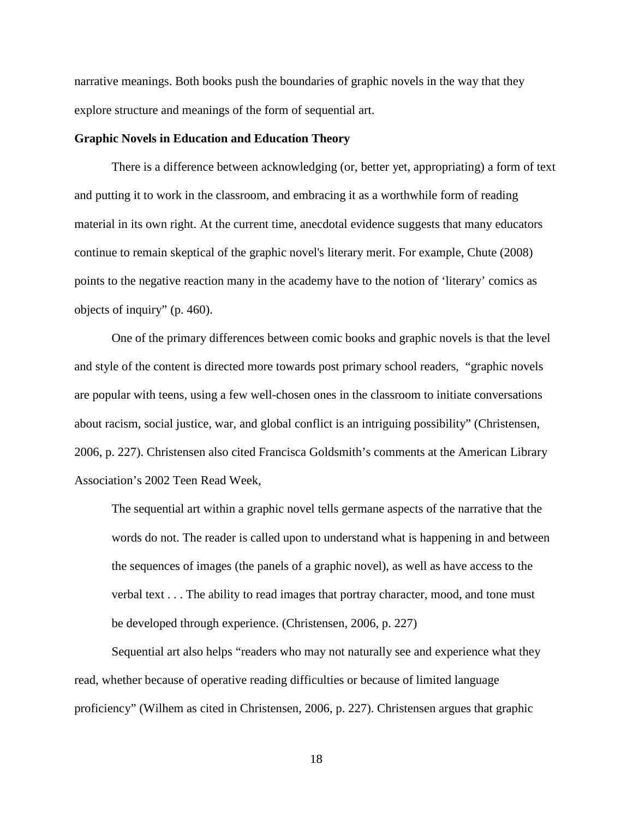narrative meanings. Both books push the boundaries of graphic novels in the way that they explore structure and meanings of the form of sequential art.

#### **Graphic Novels in Education and Education Theory**

There is a difference between acknowledging (or, better yet, appropriating) a form of text and putting it to work in the classroom, and embracing it as a worthwhile form of reading material in its own right. At the current time, anecdotal evidence suggests that many educators continue to remain skeptical of the graphic novel's literary merit. For example, Chute (2008) points to the negative reaction many in the academy have to the notion of 'literary' comics as objects of inquiry" (p. 460).

One of the primary differences between comic books and graphic novels is that the level and style of the content is directed more towards post primary school readers, "graphic novels are popular with teens, using a few well-chosen ones in the classroom to initiate conversations about racism, social justice, war, and global conflict is an intriguing possibility" (Christensen, 2006, p. 227). Christensen also cited Francisca Goldsmith's comments at the American Library Association's 2002 Teen Read Week,

The sequential art within a graphic novel tells germane aspects of the narrative that the words do not. The reader is called upon to understand what is happening in and between the sequences of images (the panels of a graphic novel), as well as have access to the verbal text . . . The ability to read images that portray character, mood, and tone must be developed through experience. (Christensen, 2006, p. 227)

Sequential art also helps "readers who may not naturally see and experience what they read, whether because of operative reading difficulties or because of limited language proficiency" (Wilhem as cited in Christensen, 2006, p. 227). Christensen argues that graphic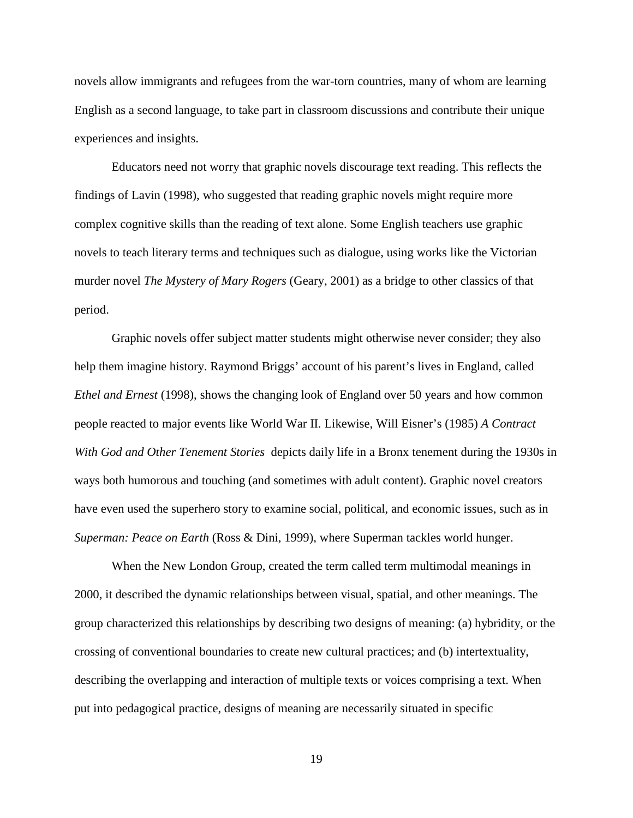novels allow immigrants and refugees from the war-torn countries, many of whom are learning English as a second language, to take part in classroom discussions and contribute their unique experiences and insights.

Educators need not worry that graphic novels discourage text reading. This reflects the findings of Lavin (1998), who suggested that reading graphic novels might require more complex cognitive skills than the reading of text alone. Some English teachers use graphic novels to teach literary terms and techniques such as dialogue, using works like the Victorian murder novel *The Mystery of Mary Rogers* (Geary, 2001) as a bridge to other classics of that period.

Graphic novels offer subject matter students might otherwise never consider; they also help them imagine history. Raymond Briggs' account of his parent's lives in England, called *Ethel and Ernest* (1998), shows the changing look of England over 50 years and how common people reacted to major events like World War II. Likewise, Will Eisner's (1985) *A Contract With God and Other Tenement Stories* depicts daily life in a Bronx tenement during the 1930s in ways both humorous and touching (and sometimes with adult content). Graphic novel creators have even used the superhero story to examine social, political, and economic issues, such as in *Superman: Peace on Earth* (Ross & Dini, 1999), where Superman tackles world hunger.

When the New London Group, created the term called term multimodal meanings in 2000, it described the dynamic relationships between visual, spatial, and other meanings. The group characterized this relationships by describing two designs of meaning: (a) hybridity, or the crossing of conventional boundaries to create new cultural practices; and (b) intertextuality, describing the overlapping and interaction of multiple texts or voices comprising a text. When put into pedagogical practice, designs of meaning are necessarily situated in specific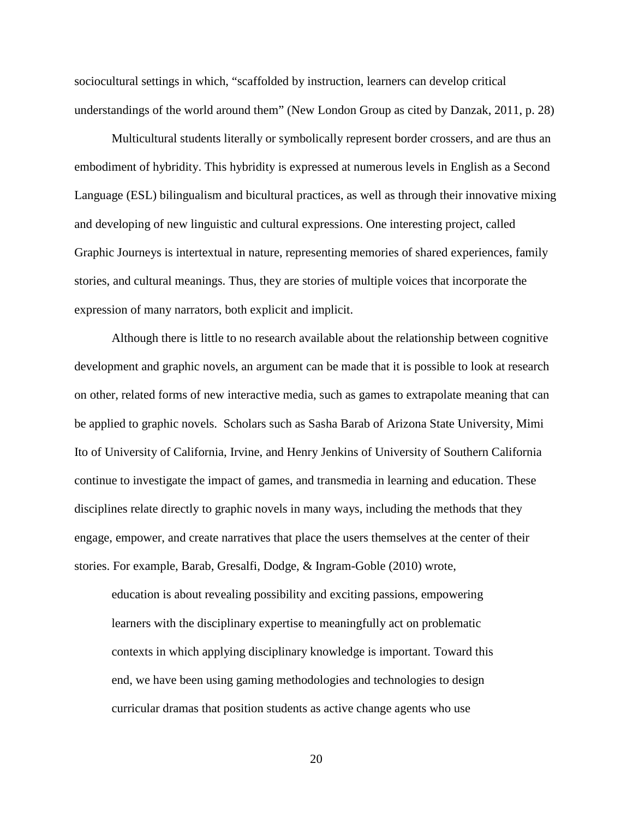sociocultural settings in which, "scaffolded by instruction, learners can develop critical understandings of the world around them" (New London Group as cited by Danzak, 2011, p. 28)

Multicultural students literally or symbolically represent border crossers, and are thus an embodiment of hybridity. This hybridity is expressed at numerous levels in English as a Second Language (ESL) bilingualism and bicultural practices, as well as through their innovative mixing and developing of new linguistic and cultural expressions. One interesting project, called Graphic Journeys is intertextual in nature, representing memories of shared experiences, family stories, and cultural meanings. Thus, they are stories of multiple voices that incorporate the expression of many narrators, both explicit and implicit.

Although there is little to no research available about the relationship between cognitive development and graphic novels, an argument can be made that it is possible to look at research on other, related forms of new interactive media, such as games to extrapolate meaning that can be applied to graphic novels. Scholars such as Sasha Barab of Arizona State University, Mimi Ito of University of California, Irvine, and Henry Jenkins of University of Southern California continue to investigate the impact of games, and transmedia in learning and education. These disciplines relate directly to graphic novels in many ways, including the methods that they engage, empower, and create narratives that place the users themselves at the center of their stories. For example, Barab, Gresalfi, Dodge, & Ingram-Goble (2010) wrote,

education is about revealing possibility and exciting passions, empowering learners with the disciplinary expertise to meaningfully act on problematic contexts in which applying disciplinary knowledge is important. Toward this end, we have been using gaming methodologies and technologies to design curricular dramas that position students as active change agents who use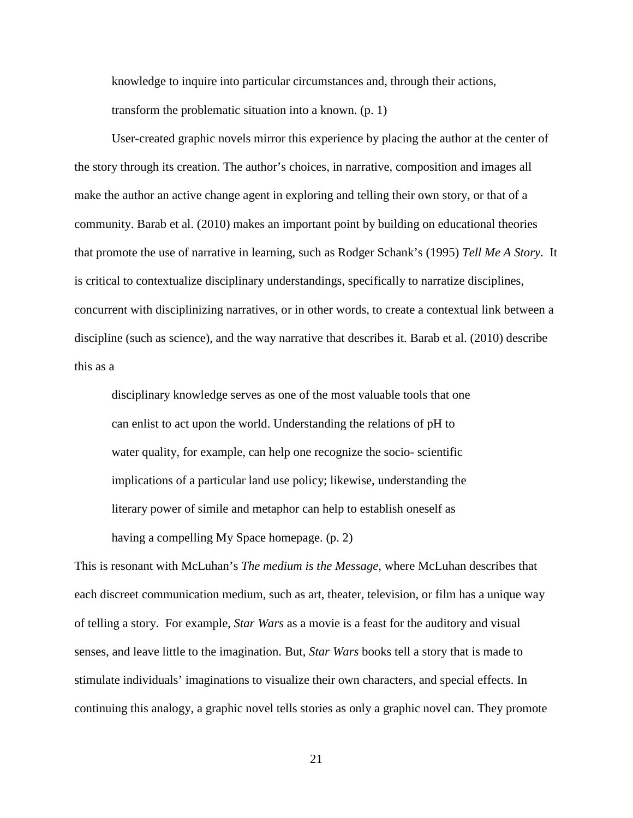knowledge to inquire into particular circumstances and, through their actions, transform the problematic situation into a known. (p. 1)

User-created graphic novels mirror this experience by placing the author at the center of the story through its creation. The author's choices, in narrative, composition and images all make the author an active change agent in exploring and telling their own story, or that of a community. Barab et al. (2010) makes an important point by building on educational theories that promote the use of narrative in learning, such as Rodger Schank's (1995) *Tell Me A Story*. It is critical to contextualize disciplinary understandings, specifically to narratize disciplines, concurrent with disciplinizing narratives, or in other words, to create a contextual link between a discipline (such as science), and the way narrative that describes it. Barab et al. (2010) describe this as a

disciplinary knowledge serves as one of the most valuable tools that one can enlist to act upon the world. Understanding the relations of pH to water quality, for example, can help one recognize the socio- scientific implications of a particular land use policy; likewise, understanding the literary power of simile and metaphor can help to establish oneself as having a compelling My Space homepage. (p. 2)

This is resonant with McLuhan's *The medium is the Message*, where McLuhan describes that each discreet communication medium, such as art, theater, television, or film has a unique way of telling a story. For example, *Star Wars* as a movie is a feast for the auditory and visual senses, and leave little to the imagination. But, *Star Wars* books tell a story that is made to stimulate individuals' imaginations to visualize their own characters, and special effects. In continuing this analogy, a graphic novel tells stories as only a graphic novel can. They promote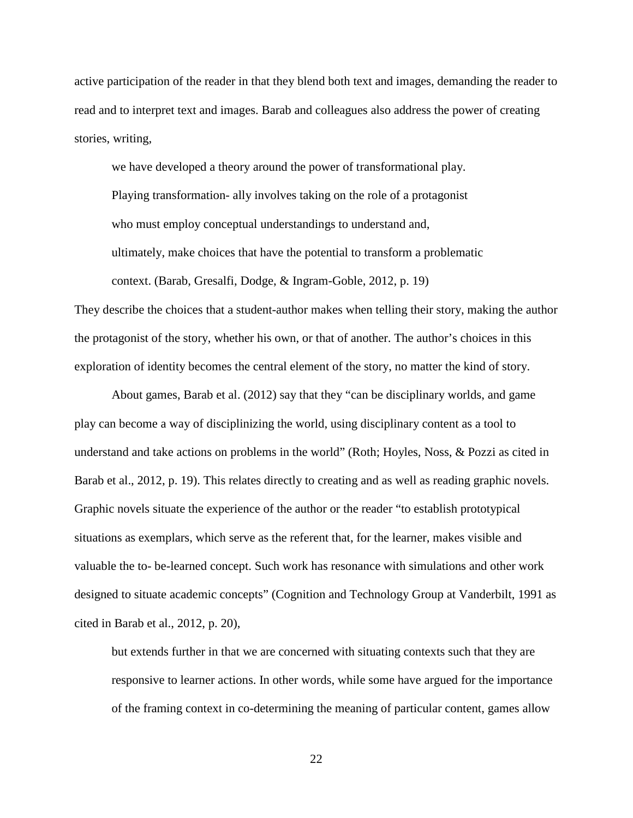active participation of the reader in that they blend both text and images, demanding the reader to read and to interpret text and images. Barab and colleagues also address the power of creating stories, writing,

we have developed a theory around the power of transformational play. Playing transformation- ally involves taking on the role of a protagonist who must employ conceptual understandings to understand and, ultimately, make choices that have the potential to transform a problematic context. (Barab, Gresalfi, Dodge, & Ingram-Goble, 2012, p. 19)

They describe the choices that a student-author makes when telling their story, making the author the protagonist of the story, whether his own, or that of another. The author's choices in this exploration of identity becomes the central element of the story, no matter the kind of story.

About games, Barab et al. (2012) say that they "can be disciplinary worlds, and game play can become a way of disciplinizing the world, using disciplinary content as a tool to understand and take actions on problems in the world" (Roth; Hoyles, Noss, & Pozzi as cited in Barab et al., 2012, p. 19). This relates directly to creating and as well as reading graphic novels. Graphic novels situate the experience of the author or the reader "to establish prototypical situations as exemplars, which serve as the referent that, for the learner, makes visible and valuable the to- be-learned concept. Such work has resonance with simulations and other work designed to situate academic concepts" (Cognition and Technology Group at Vanderbilt, 1991 as cited in Barab et al., 2012, p. 20),

but extends further in that we are concerned with situating contexts such that they are responsive to learner actions. In other words, while some have argued for the importance of the framing context in co-determining the meaning of particular content, games allow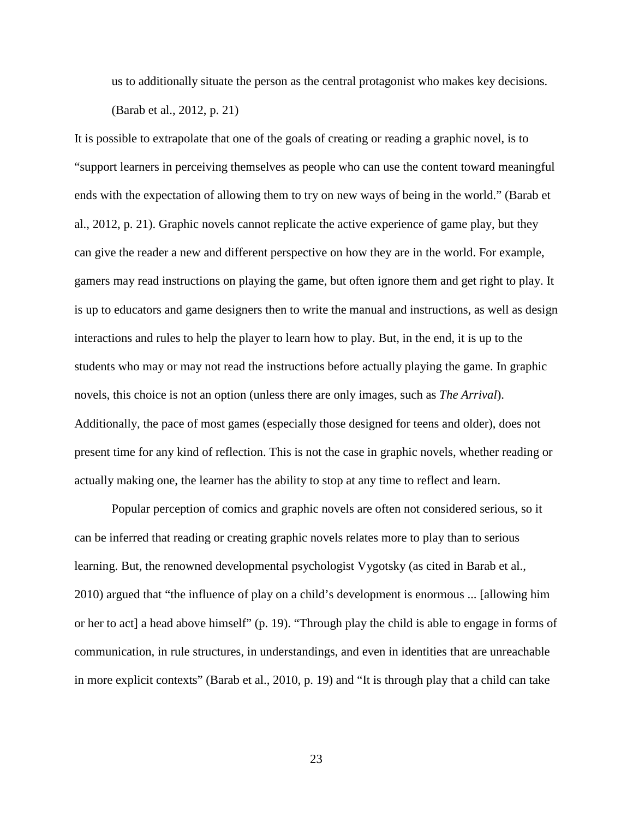us to additionally situate the person as the central protagonist who makes key decisions. (Barab et al., 2012, p. 21)

It is possible to extrapolate that one of the goals of creating or reading a graphic novel, is to "support learners in perceiving themselves as people who can use the content toward meaningful ends with the expectation of allowing them to try on new ways of being in the world." (Barab et al., 2012, p. 21). Graphic novels cannot replicate the active experience of game play, but they can give the reader a new and different perspective on how they are in the world. For example, gamers may read instructions on playing the game, but often ignore them and get right to play. It is up to educators and game designers then to write the manual and instructions, as well as design interactions and rules to help the player to learn how to play. But, in the end, it is up to the students who may or may not read the instructions before actually playing the game. In graphic novels, this choice is not an option (unless there are only images, such as *The Arrival*). Additionally, the pace of most games (especially those designed for teens and older), does not present time for any kind of reflection. This is not the case in graphic novels, whether reading or actually making one, the learner has the ability to stop at any time to reflect and learn.

Popular perception of comics and graphic novels are often not considered serious, so it can be inferred that reading or creating graphic novels relates more to play than to serious learning. But, the renowned developmental psychologist Vygotsky (as cited in Barab et al., 2010) argued that "the influence of play on a child's development is enormous ... [allowing him or her to act] a head above himself" (p. 19). "Through play the child is able to engage in forms of communication, in rule structures, in understandings, and even in identities that are unreachable in more explicit contexts" (Barab et al., 2010, p. 19) and "It is through play that a child can take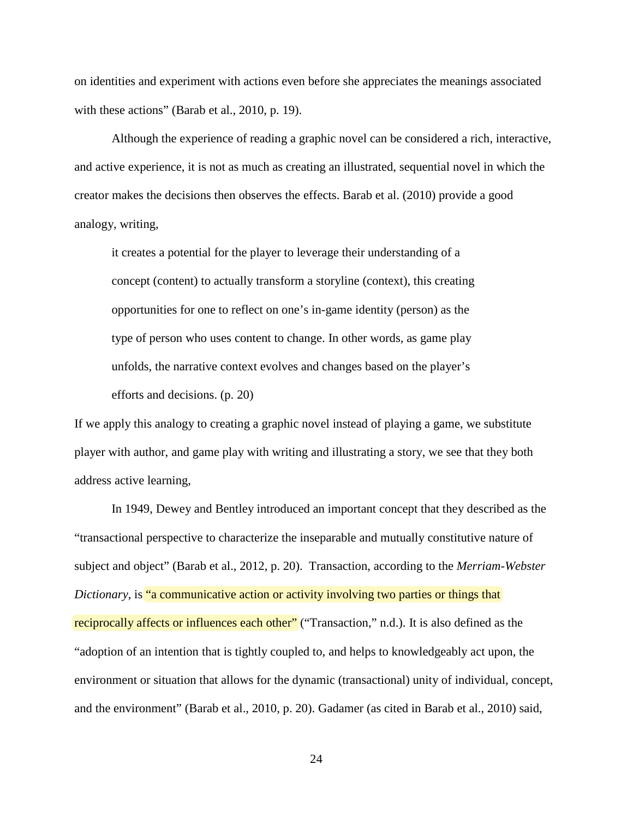on identities and experiment with actions even before she appreciates the meanings associated with these actions" (Barab et al., 2010, p. 19).

Although the experience of reading a graphic novel can be considered a rich, interactive, and active experience, it is not as much as creating an illustrated, sequential novel in which the creator makes the decisions then observes the effects. Barab et al. (2010) provide a good analogy, writing,

it creates a potential for the player to leverage their understanding of a concept (content) to actually transform a storyline (context), this creating opportunities for one to reflect on one's in-game identity (person) as the type of person who uses content to change. In other words, as game play unfolds, the narrative context evolves and changes based on the player's efforts and decisions. (p. 20)

If we apply this analogy to creating a graphic novel instead of playing a game, we substitute player with author, and game play with writing and illustrating a story, we see that they both address active learning,

In 1949, Dewey and Bentley introduced an important concept that they described as the "transactional perspective to characterize the inseparable and mutually constitutive nature of subject and object" (Barab et al., 2012, p. 20). Transaction, according to the *Merriam-Webster Dictionary*, is "a communicative action or activity involving two parties or things that reciprocally affects or influences each other" ("Transaction," n.d.). It is also defined as the "adoption of an intention that is tightly coupled to, and helps to knowledgeably act upon, the environment or situation that allows for the dynamic (transactional) unity of individual, concept, and the environment" (Barab et al., 2010, p. 20). Gadamer (as cited in Barab et al., 2010) said,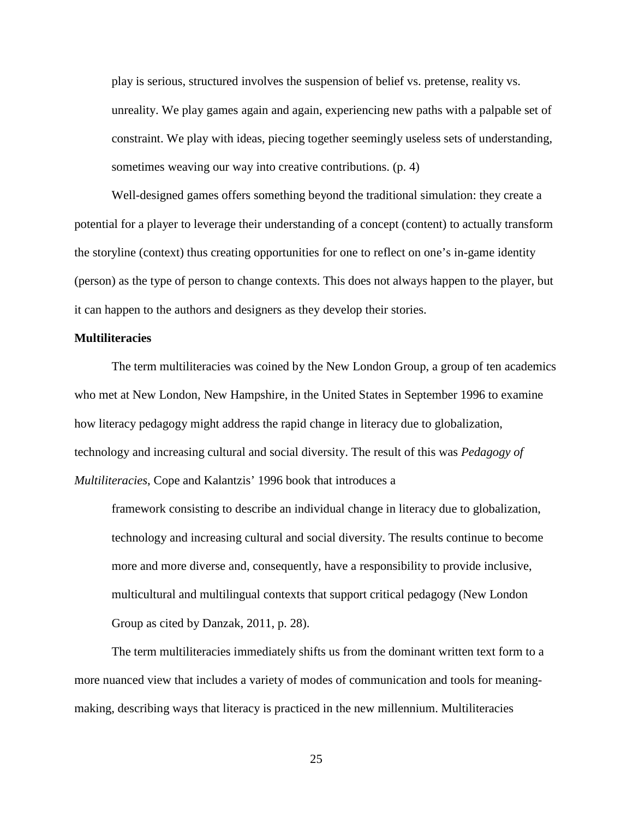play is serious, structured involves the suspension of belief vs. pretense, reality vs. unreality. We play games again and again, experiencing new paths with a palpable set of constraint. We play with ideas, piecing together seemingly useless sets of understanding, sometimes weaving our way into creative contributions. (p. 4)

Well-designed games offers something beyond the traditional simulation: they create a potential for a player to leverage their understanding of a concept (content) to actually transform the storyline (context) thus creating opportunities for one to reflect on one's in-game identity (person) as the type of person to change contexts. This does not always happen to the player, but it can happen to the authors and designers as they develop their stories.

#### **Multiliteracies**

The term multiliteracies was coined by the New London Group, a group of ten academics who met at New London, New Hampshire, in the United States in September 1996 to examine how literacy pedagogy might address the rapid change in literacy due to globalization, technology and increasing cultural and social diversity. The result of this was *Pedagogy of Multiliteracies*, Cope and Kalantzis' 1996 book that introduces a

framework consisting to describe an individual change in literacy due to globalization, technology and increasing cultural and social diversity. The results continue to become more and more diverse and, consequently, have a responsibility to provide inclusive, multicultural and multilingual contexts that support critical pedagogy (New London Group as cited by Danzak, 2011, p. 28).

The term multiliteracies immediately shifts us from the dominant written text form to a more nuanced view that includes a variety of modes of communication and tools for meaningmaking, describing ways that literacy is practiced in the new millennium. Multiliteracies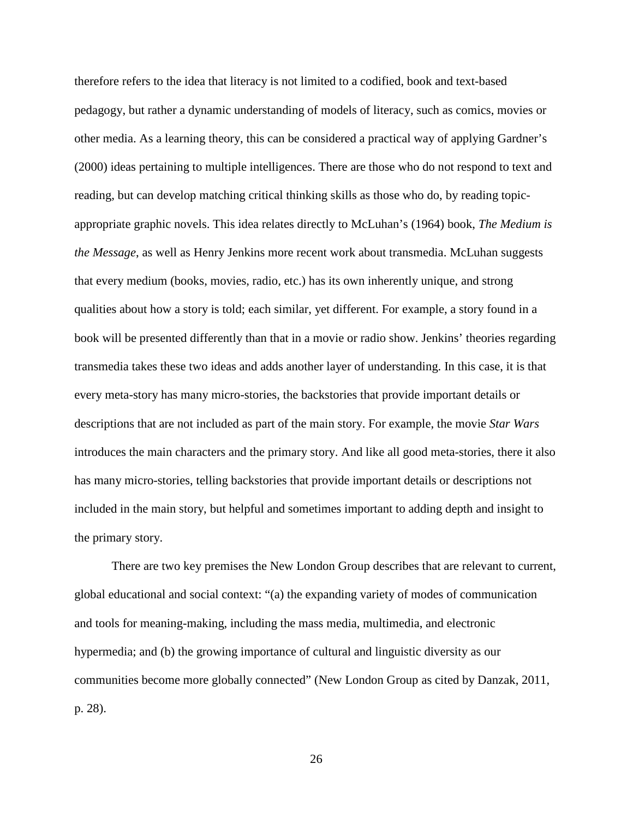therefore refers to the idea that literacy is not limited to a codified, book and text-based pedagogy, but rather a dynamic understanding of models of literacy, such as comics, movies or other media. As a learning theory, this can be considered a practical way of applying Gardner's (2000) ideas pertaining to multiple intelligences. There are those who do not respond to text and reading, but can develop matching critical thinking skills as those who do, by reading topicappropriate graphic novels. This idea relates directly to McLuhan's (1964) book, *The Medium is the Message*, as well as Henry Jenkins more recent work about transmedia. McLuhan suggests that every medium (books, movies, radio, etc.) has its own inherently unique, and strong qualities about how a story is told; each similar, yet different. For example, a story found in a book will be presented differently than that in a movie or radio show. Jenkins' theories regarding transmedia takes these two ideas and adds another layer of understanding. In this case, it is that every meta-story has many micro-stories, the backstories that provide important details or descriptions that are not included as part of the main story. For example, the movie *Star Wars* introduces the main characters and the primary story. And like all good meta-stories, there it also has many micro-stories, telling backstories that provide important details or descriptions not included in the main story, but helpful and sometimes important to adding depth and insight to the primary story.

There are two key premises the New London Group describes that are relevant to current, global educational and social context: "(a) the expanding variety of modes of communication and tools for meaning-making, including the mass media, multimedia, and electronic hypermedia; and (b) the growing importance of cultural and linguistic diversity as our communities become more globally connected" (New London Group as cited by Danzak, 2011, p. 28).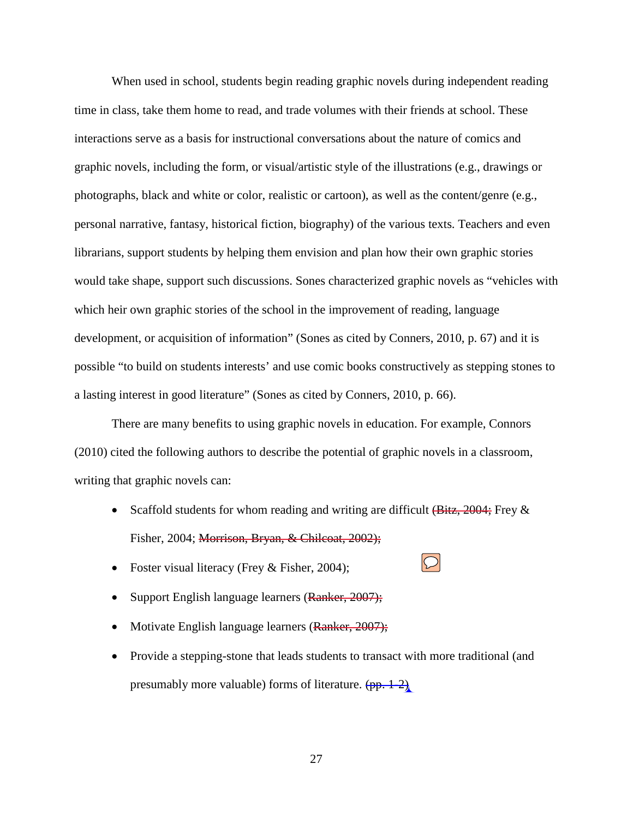When used in school, students begin reading graphic novels during independent reading time in class, take them home to read, and trade volumes with their friends at school. These interactions serve as a basis for instructional conversations about the nature of comics and graphic novels, including the form, or visual/artistic style of the illustrations (e.g., drawings or photographs, black and white or color, realistic or cartoon), as well as the content/genre (e.g., personal narrative, fantasy, historical fiction, biography) of the various texts. Teachers and even librarians, support students by helping them envision and plan how their own graphic stories would take shape, support such discussions. Sones characterized graphic novels as "vehicles with which heir own graphic stories of the school in the improvement of reading, language development, or acquisition of information" (Sones as cited by Conners, 2010, p. 67) and it is possible "to build on students interests' and use comic books constructively as stepping stones to a lasting interest in good literature" (Sones as cited by Conners, 2010, p. 66).

There are many benefits to using graphic novels in education. For example, Connors (2010) cited the following authors to describe the potential of graphic novels in a classroom, writing that graphic novels can:

- Scaffold students for whom reading and writing are difficult  $(\text{Bitz}, 2004; \text{Frey} \& )$ Fisher, 2004; Morrison, Bryan, & Chilcoat, 2002);
- Foster visual literacy (Frey & Fisher, 2004);
- Support English language learners (Ranker, 2007);
- Motivate English language learners (Ranker, 2007);
- Provide a stepping-stone that leads students to transact with more traditional (and presumably more valuable) forms of literature.  $(pp. 1-2)$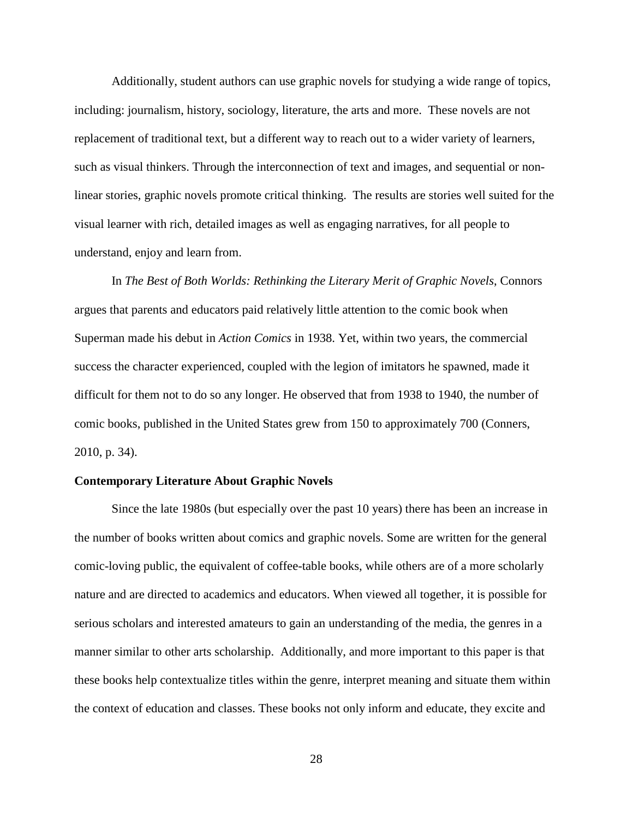Additionally, student authors can use graphic novels for studying a wide range of topics, including: journalism, history, sociology, literature, the arts and more. These novels are not replacement of traditional text, but a different way to reach out to a wider variety of learners, such as visual thinkers. Through the interconnection of text and images, and sequential or nonlinear stories, graphic novels promote critical thinking. The results are stories well suited for the visual learner with rich, detailed images as well as engaging narratives, for all people to understand, enjoy and learn from.

In *The Best of Both Worlds: Rethinking the Literary Merit of Graphic Novels*, Connors argues that parents and educators paid relatively little attention to the comic book when Superman made his debut in *Action Comics* in 1938. Yet, within two years, the commercial success the character experienced, coupled with the legion of imitators he spawned, made it difficult for them not to do so any longer. He observed that from 1938 to 1940, the number of comic books, published in the United States grew from 150 to approximately 700 (Conners, 2010, p. 34).

### **Contemporary Literature About Graphic Novels**

Since the late 1980s (but especially over the past 10 years) there has been an increase in the number of books written about comics and graphic novels. Some are written for the general comic-loving public, the equivalent of coffee-table books, while others are of a more scholarly nature and are directed to academics and educators. When viewed all together, it is possible for serious scholars and interested amateurs to gain an understanding of the media, the genres in a manner similar to other arts scholarship. Additionally, and more important to this paper is that these books help contextualize titles within the genre, interpret meaning and situate them within the context of education and classes. These books not only inform and educate, they excite and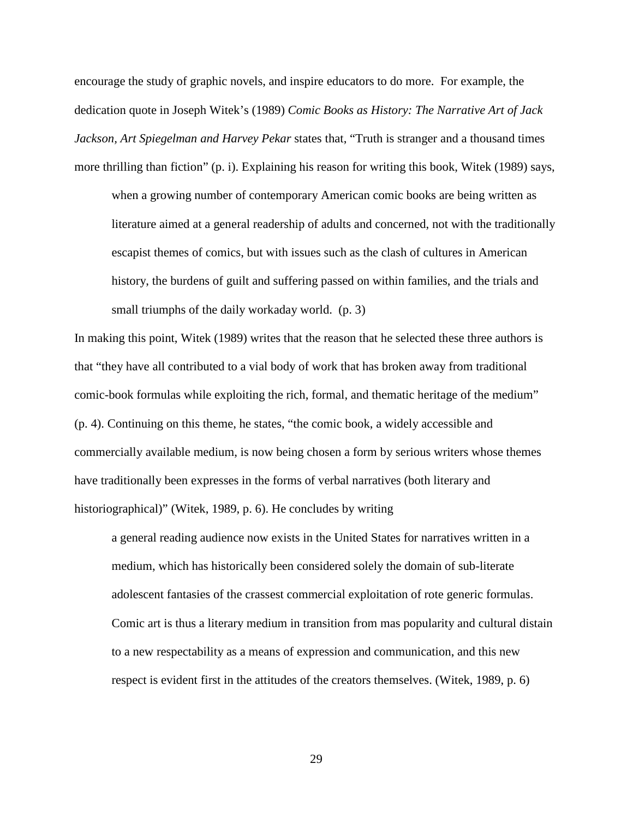encourage the study of graphic novels, and inspire educators to do more. For example, the dedication quote in Joseph Witek's (1989) *Comic Books as History: The Narrative Art of Jack Jackson, Art Spiegelman and Harvey Pekar* states that, "Truth is stranger and a thousand times more thrilling than fiction" (p. i). Explaining his reason for writing this book, Witek (1989) says,

when a growing number of contemporary American comic books are being written as literature aimed at a general readership of adults and concerned, not with the traditionally escapist themes of comics, but with issues such as the clash of cultures in American history, the burdens of guilt and suffering passed on within families, and the trials and small triumphs of the daily workaday world. (p. 3)

In making this point, Witek (1989) writes that the reason that he selected these three authors is that "they have all contributed to a vial body of work that has broken away from traditional comic-book formulas while exploiting the rich, formal, and thematic heritage of the medium" (p. 4). Continuing on this theme, he states, "the comic book, a widely accessible and commercially available medium, is now being chosen a form by serious writers whose themes have traditionally been expresses in the forms of verbal narratives (both literary and historiographical)" (Witek, 1989, p. 6). He concludes by writing

a general reading audience now exists in the United States for narratives written in a medium, which has historically been considered solely the domain of sub-literate adolescent fantasies of the crassest commercial exploitation of rote generic formulas. Comic art is thus a literary medium in transition from mas popularity and cultural distain to a new respectability as a means of expression and communication, and this new respect is evident first in the attitudes of the creators themselves. (Witek, 1989, p. 6)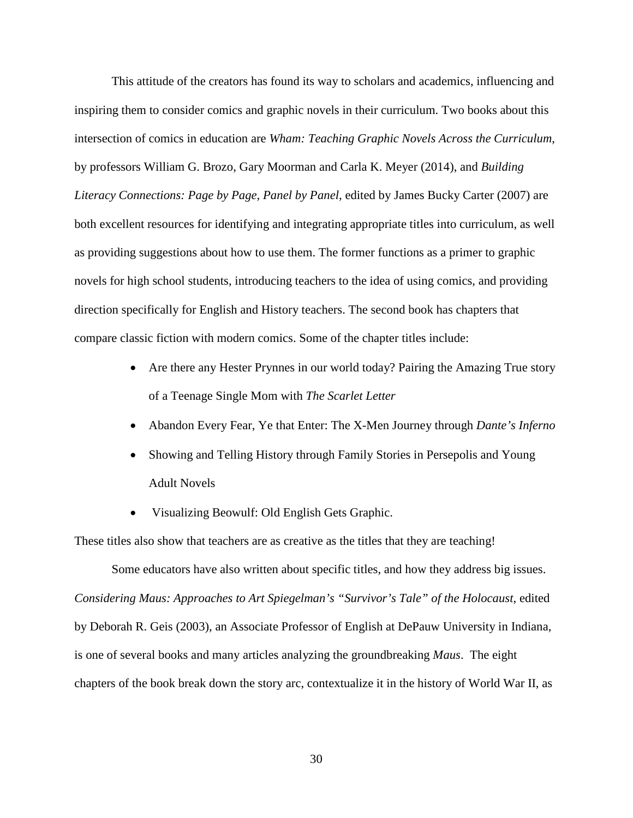This attitude of the creators has found its way to scholars and academics, influencing and inspiring them to consider comics and graphic novels in their curriculum. Two books about this intersection of comics in education are *Wham: Teaching Graphic Novels Across the Curriculum*, by professors William G. Brozo, Gary Moorman and Carla K. Meyer (2014), and *Building Literacy Connections: Page by Page, Panel by Panel,* edited by James Bucky Carter (2007) are both excellent resources for identifying and integrating appropriate titles into curriculum, as well as providing suggestions about how to use them. The former functions as a primer to graphic novels for high school students, introducing teachers to the idea of using comics, and providing direction specifically for English and History teachers. The second book has chapters that compare classic fiction with modern comics. Some of the chapter titles include:

- Are there any Hester Prynnes in our world today? Pairing the Amazing True story of a Teenage Single Mom with *The Scarlet Letter*
- Abandon Every Fear, Ye that Enter: The X-Men Journey through *Dante's Inferno*
- Showing and Telling History through Family Stories in Persepolis and Young Adult Novels
- Visualizing Beowulf: Old English Gets Graphic.

These titles also show that teachers are as creative as the titles that they are teaching!

Some educators have also written about specific titles, and how they address big issues. *Considering Maus: Approaches to Art Spiegelman's "Survivor's Tale" of the Holocaust*, edited by Deborah R. Geis (2003), an Associate Professor of English at DePauw University in Indiana, is one of several books and many articles analyzing the groundbreaking *Maus*. The eight chapters of the book break down the story arc, contextualize it in the history of World War II, as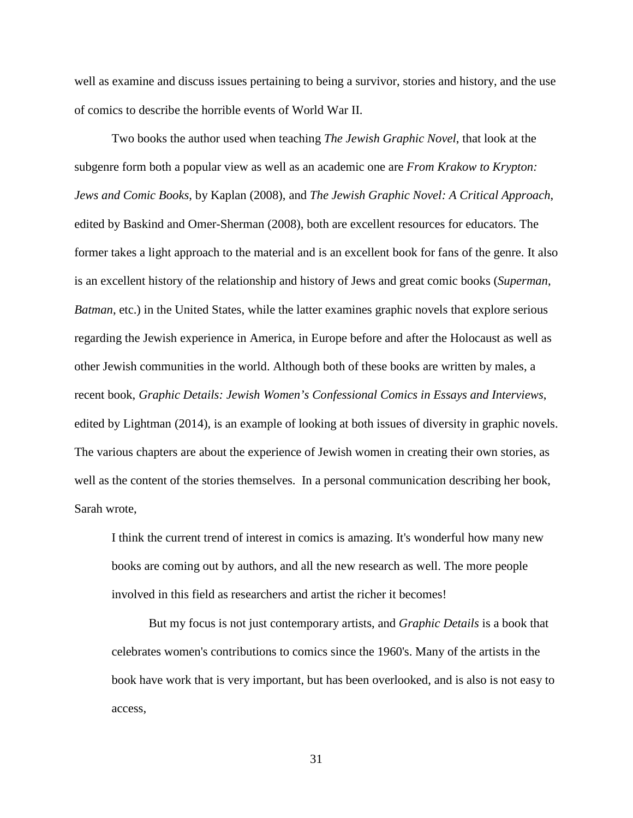well as examine and discuss issues pertaining to being a survivor, stories and history, and the use of comics to describe the horrible events of World War II.

Two books the author used when teaching *The Jewish Graphic Novel*, that look at the subgenre form both a popular view as well as an academic one are *From Krakow to Krypton: Jews and Comic Books*, by Kaplan (2008), and *The Jewish Graphic Novel: A Critical Approach*, edited by Baskind and Omer-Sherman (2008), both are excellent resources for educators. The former takes a light approach to the material and is an excellent book for fans of the genre. It also is an excellent history of the relationship and history of Jews and great comic books (*Superman*, *Batman*, etc.) in the United States, while the latter examines graphic novels that explore serious regarding the Jewish experience in America, in Europe before and after the Holocaust as well as other Jewish communities in the world. Although both of these books are written by males, a recent book, *Graphic Details: Jewish Women's Confessional Comics in Essays and Interviews*, edited by Lightman (2014), is an example of looking at both issues of diversity in graphic novels. The various chapters are about the experience of Jewish women in creating their own stories, as well as the content of the stories themselves. In a personal communication describing her book, Sarah wrote,

I think the current trend of interest in comics is amazing. It's wonderful how many new books are coming out by authors, and all the new research as well. The more people involved in this field as researchers and artist the richer it becomes!

But my focus is not just contemporary artists, and *Graphic Details* is a book that celebrates women's contributions to comics since the 1960's. Many of the artists in the book have work that is very important, but has been overlooked, and is also is not easy to access,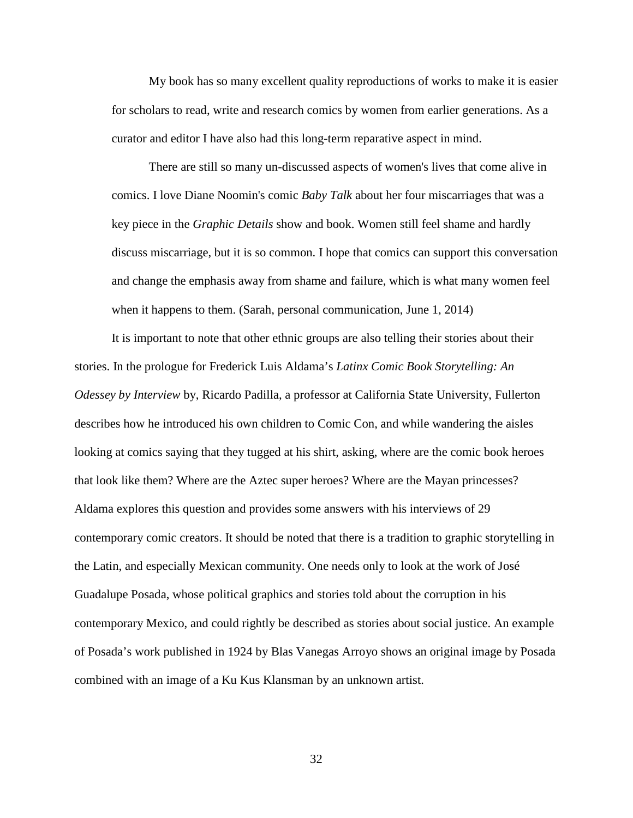My book has so many excellent quality reproductions of works to make it is easier for scholars to read, write and research comics by women from earlier generations. As a curator and editor I have also had this long-term reparative aspect in mind.

There are still so many un-discussed aspects of women's lives that come alive in comics. I love Diane Noomin's comic *Baby Talk* about her four miscarriages that was a key piece in the *Graphic Details* show and book. Women still feel shame and hardly discuss miscarriage, but it is so common. I hope that comics can support this conversation and change the emphasis away from shame and failure, which is what many women feel when it happens to them. (Sarah, personal communication, June 1, 2014)

It is important to note that other ethnic groups are also telling their stories about their stories. In the prologue for Frederick Luis Aldama's *Latinx Comic Book Storytelling: An Odessey by Interview* by, Ricardo Padilla, a professor at California State University, Fullerton describes how he introduced his own children to Comic Con, and while wandering the aisles looking at comics saying that they tugged at his shirt, asking, where are the comic book heroes that look like them? Where are the Aztec super heroes? Where are the Mayan princesses? Aldama explores this question and provides some answers with his interviews of 29 contemporary comic creators. It should be noted that there is a tradition to graphic storytelling in the Latin, and especially Mexican community. One needs only to look at the work of José Guadalupe Posada, whose political graphics and stories told about the corruption in his contemporary Mexico, and could rightly be described as stories about social justice. An example of Posada's work published in 1924 by Blas Vanegas Arroyo shows an original image by Posada combined with an image of a Ku Kus Klansman by an unknown artist.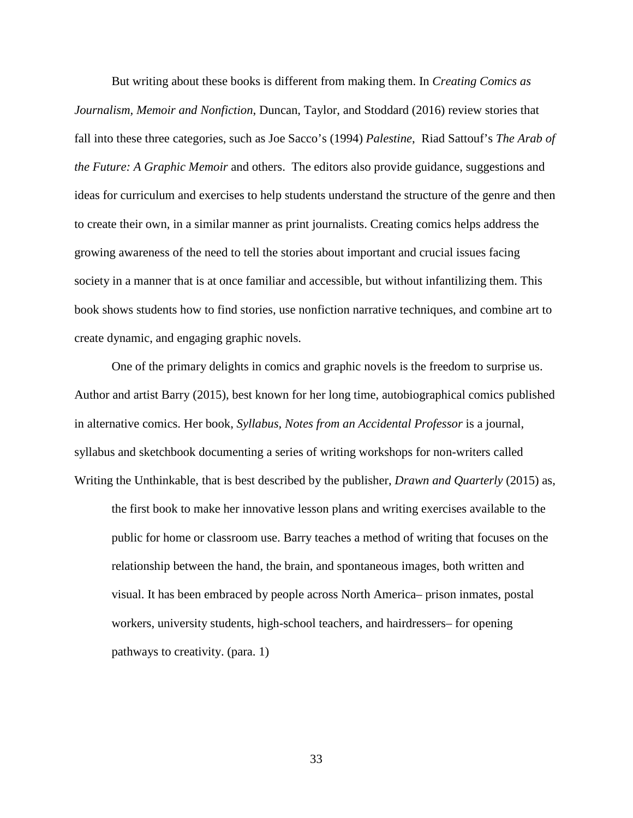But writing about these books is different from making them. In *Creating Comics as Journalism, Memoir and Nonfiction*, Duncan, Taylor, and Stoddard (2016) review stories that fall into these three categories, such as Joe Sacco's (1994) *Palestine*, Riad Sattouf's *The Arab of the Future: A Graphic Memoir* and others. The editors also provide guidance, suggestions and ideas for curriculum and exercises to help students understand the structure of the genre and then to create their own, in a similar manner as print journalists. Creating comics helps address the growing awareness of the need to tell the stories about important and crucial issues facing society in a manner that is at once familiar and accessible, but without infantilizing them. This book shows students how to find stories, use nonfiction narrative techniques, and combine art to create dynamic, and engaging graphic novels.

One of the primary delights in comics and graphic novels is the freedom to surprise us. Author and artist Barry (2015), best known for her long time, autobiographical comics published in alternative comics. Her book, *Syllabus, Notes from an Accidental Professor* is a journal, syllabus and sketchbook documenting a series of writing workshops for non-writers called Writing the Unthinkable, that is best described by the publisher, *Drawn and Quarterly* (2015) as,

the first book to make her innovative lesson plans and writing exercises available to the public for home or classroom use. Barry teaches a method of writing that focuses on the relationship between the hand, the brain, and spontaneous images, both written and visual. It has been embraced by people across North America– prison inmates, postal workers, university students, high-school teachers, and hairdressers– for opening pathways to creativity. (para. 1)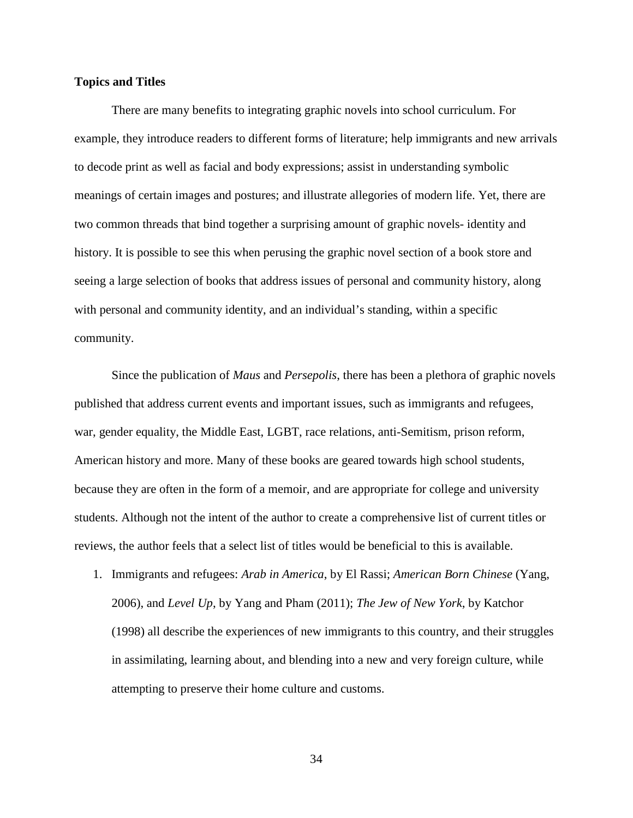# **Topics and Titles**

There are many benefits to integrating graphic novels into school curriculum. For example, they introduce readers to different forms of literature; help immigrants and new arrivals to decode print as well as facial and body expressions; assist in understanding symbolic meanings of certain images and postures; and illustrate allegories of modern life. Yet, there are two common threads that bind together a surprising amount of graphic novels- identity and history. It is possible to see this when perusing the graphic novel section of a book store and seeing a large selection of books that address issues of personal and community history, along with personal and community identity, and an individual's standing, within a specific community.

Since the publication of *Maus* and *Persepolis*, there has been a plethora of graphic novels published that address current events and important issues, such as immigrants and refugees, war, gender equality, the Middle East, LGBT, race relations, anti-Semitism, prison reform, American history and more. Many of these books are geared towards high school students, because they are often in the form of a memoir, and are appropriate for college and university students. Although not the intent of the author to create a comprehensive list of current titles or reviews, the author feels that a select list of titles would be beneficial to this is available.

1. Immigrants and refugees: *Arab in America*, by El Rassi; *American Born Chinese* (Yang, 2006), and *Level Up*, by Yang and Pham (2011); *The Jew of New York*, by Katchor (1998) all describe the experiences of new immigrants to this country, and their struggles in assimilating, learning about, and blending into a new and very foreign culture, while attempting to preserve their home culture and customs.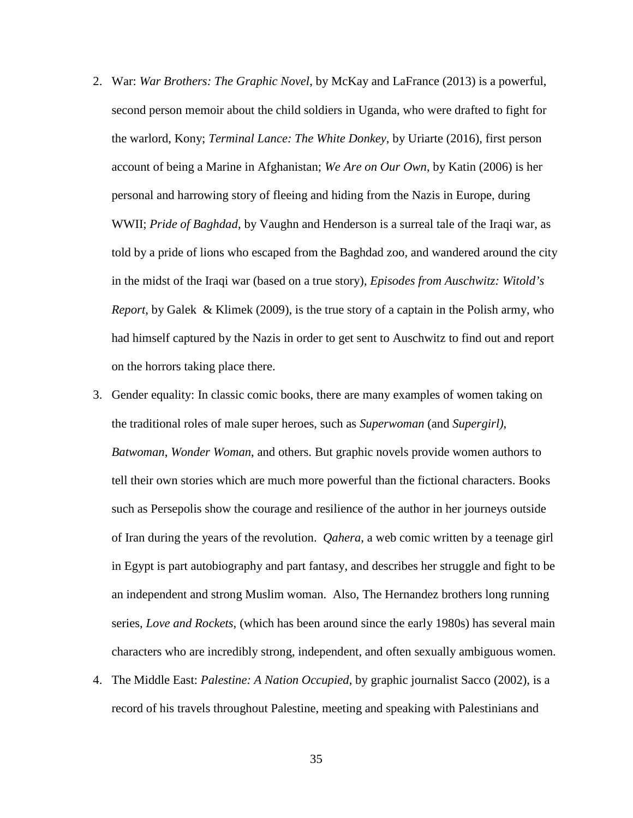- 2. War: *War Brothers: The Graphic Novel*, by McKay and LaFrance (2013) is a powerful, second person memoir about the child soldiers in Uganda, who were drafted to fight for the warlord, Kony; *Terminal Lance: The White Donkey*, by Uriarte (2016), first person account of being a Marine in Afghanistan; *We Are on Our Own*, by Katin (2006) is her personal and harrowing story of fleeing and hiding from the Nazis in Europe, during WWII; *Pride of Baghdad*, by Vaughn and Henderson is a surreal tale of the Iraqi war, as told by a pride of lions who escaped from the Baghdad zoo, and wandered around the city in the midst of the Iraqi war (based on a true story), *Episodes from Auschwitz: Witold's Report*, by Galek & Klimek (2009), is the true story of a captain in the Polish army, who had himself captured by the Nazis in order to get sent to Auschwitz to find out and report on the horrors taking place there.
- 3. Gender equality: In classic comic books, there are many examples of women taking on the traditional roles of male super heroes, such as *Superwoman* (and *Supergirl)*, *Batwoman*, *Wonder Woman*, and others. But graphic novels provide women authors to tell their own stories which are much more powerful than the fictional characters. Books such as Persepolis show the courage and resilience of the author in her journeys outside of Iran during the years of the revolution. *Qahera*, a web comic written by a teenage girl in Egypt is part autobiography and part fantasy, and describes her struggle and fight to be an independent and strong Muslim woman. Also, The Hernandez brothers long running series, *Love and Rockets*, (which has been around since the early 1980s) has several main characters who are incredibly strong, independent, and often sexually ambiguous women.
- 4. The Middle East: *Palestine: A Nation Occupied*, by graphic journalist Sacco (2002), is a record of his travels throughout Palestine, meeting and speaking with Palestinians and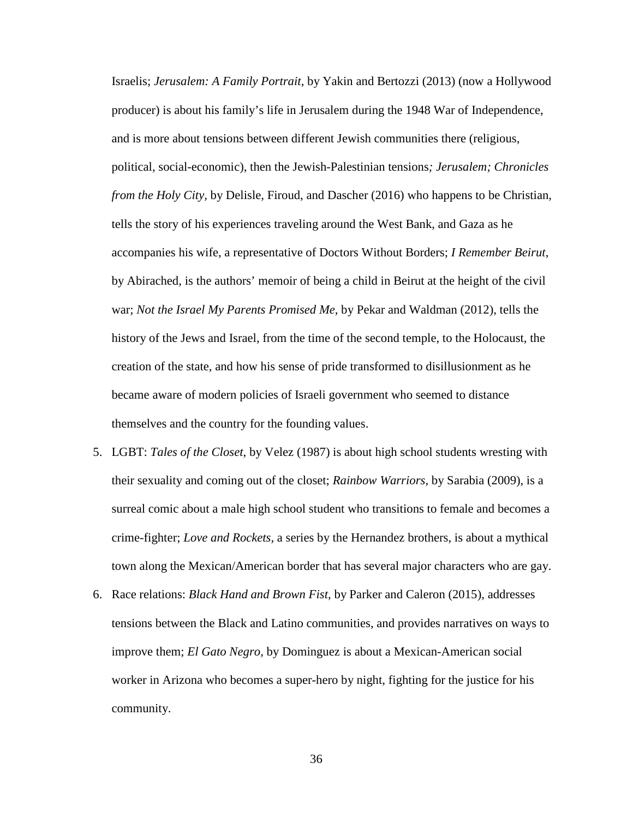Israelis; *Jerusalem: A Family Portrait*, by Yakin and Bertozzi (2013) (now a Hollywood producer) is about his family's life in Jerusalem during the 1948 War of Independence, and is more about tensions between different Jewish communities there (religious, political, social-economic), then the Jewish-Palestinian tensions*; Jerusalem; Chronicles from the Holy City,* by Delisle, Firoud, and Dascher (2016) who happens to be Christian, tells the story of his experiences traveling around the West Bank, and Gaza as he accompanies his wife, a representative of Doctors Without Borders; *I Remember Beirut*, by Abirached, is the authors' memoir of being a child in Beirut at the height of the civil war; *Not the Israel My Parents Promised Me*, by Pekar and Waldman (2012), tells the history of the Jews and Israel, from the time of the second temple, to the Holocaust, the creation of the state, and how his sense of pride transformed to disillusionment as he became aware of modern policies of Israeli government who seemed to distance themselves and the country for the founding values.

- 5. LGBT: *Tales of the Closet*, by Velez (1987) is about high school students wresting with their sexuality and coming out of the closet; *Rainbow Warriors*, by Sarabia (2009), is a surreal comic about a male high school student who transitions to female and becomes a crime-fighter; *Love and Rockets,* a series by the Hernandez brothers, is about a mythical town along the Mexican/American border that has several major characters who are gay.
- 6. Race relations: *Black Hand and Brown Fist*, by Parker and Caleron (2015), addresses tensions between the Black and Latino communities, and provides narratives on ways to improve them; *El Gato Negro*, by Dominguez is about a Mexican-American social worker in Arizona who becomes a super-hero by night, fighting for the justice for his community.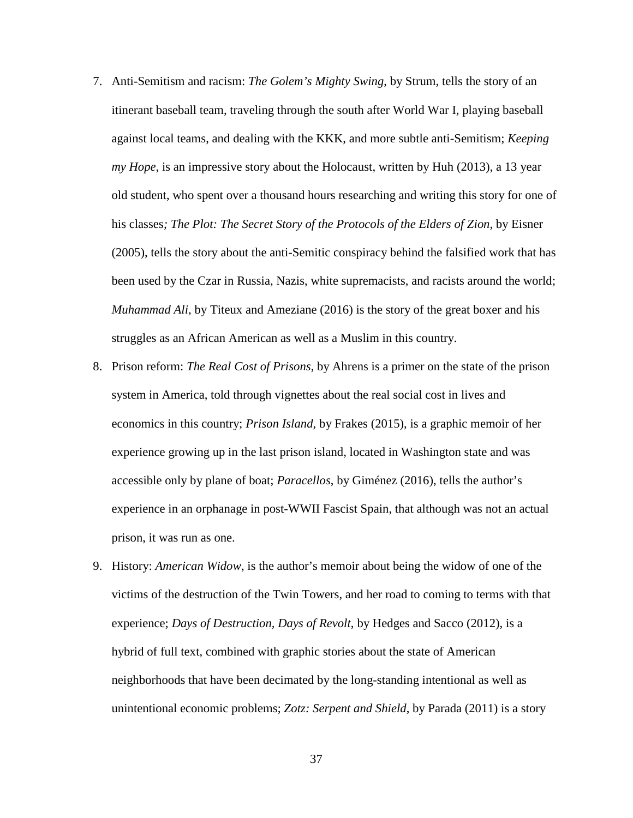- 7. Anti-Semitism and racism: *The Golem's Mighty Swing*, by Strum, tells the story of an itinerant baseball team, traveling through the south after World War I, playing baseball against local teams, and dealing with the KKK, and more subtle anti-Semitism; *Keeping my Hope*, is an impressive story about the Holocaust, written by Huh (2013), a 13 year old student, who spent over a thousand hours researching and writing this story for one of his classes*; The Plot: The Secret Story of the Protocols of the Elders of Zion*, by Eisner (2005), tells the story about the anti-Semitic conspiracy behind the falsified work that has been used by the Czar in Russia, Nazis, white supremacists, and racists around the world; *Muhammad Ali*, by Titeux and Ameziane (2016) is the story of the great boxer and his struggles as an African American as well as a Muslim in this country.
- 8. Prison reform: *The Real Cost of Prisons*, by Ahrens is a primer on the state of the prison system in America, told through vignettes about the real social cost in lives and economics in this country; *Prison Island*, by Frakes (2015), is a graphic memoir of her experience growing up in the last prison island, located in Washington state and was accessible only by plane of boat; *Paracellos*, by Giménez (2016), tells the author's experience in an orphanage in post-WWII Fascist Spain, that although was not an actual prison, it was run as one.
- 9. History: *American Widow*, is the author's memoir about being the widow of one of the victims of the destruction of the Twin Towers, and her road to coming to terms with that experience; *Days of Destruction, Days of Revolt*, by Hedges and Sacco (2012), is a hybrid of full text, combined with graphic stories about the state of American neighborhoods that have been decimated by the long-standing intentional as well as unintentional economic problems; *Zotz: Serpent and Shield*, by Parada (2011) is a story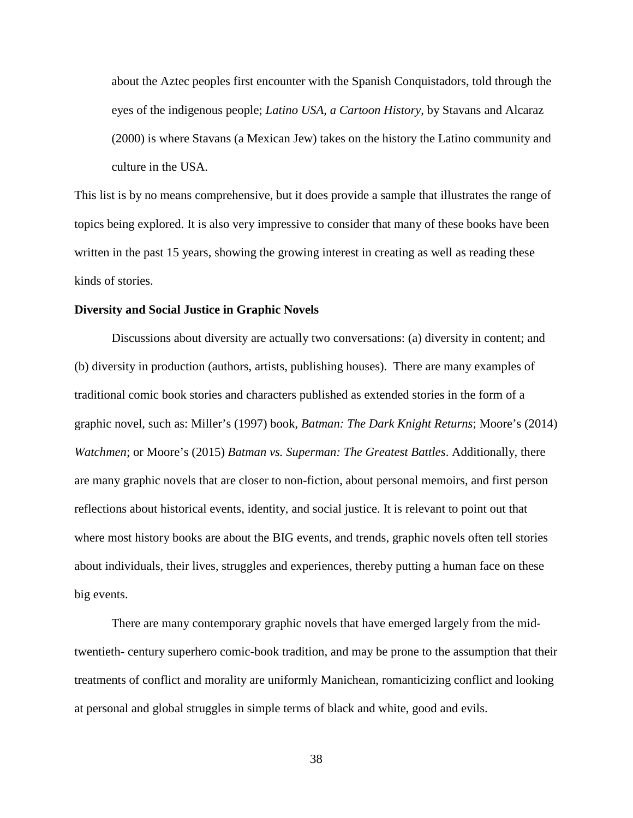about the Aztec peoples first encounter with the Spanish Conquistadors, told through the eyes of the indigenous people; *Latino USA, a Cartoon History*, by Stavans and Alcaraz (2000) is where Stavans (a Mexican Jew) takes on the history the Latino community and culture in the USA.

This list is by no means comprehensive, but it does provide a sample that illustrates the range of topics being explored. It is also very impressive to consider that many of these books have been written in the past 15 years, showing the growing interest in creating as well as reading these kinds of stories.

#### **Diversity and Social Justice in Graphic Novels**

Discussions about diversity are actually two conversations: (a) diversity in content; and (b) diversity in production (authors, artists, publishing houses). There are many examples of traditional comic book stories and characters published as extended stories in the form of a graphic novel, such as: Miller's (1997) book, *Batman: The Dark Knight Returns*; Moore's (2014) *Watchmen*; or Moore's (2015) *Batman vs. Superman: The Greatest Battles*. Additionally, there are many graphic novels that are closer to non-fiction, about personal memoirs, and first person reflections about historical events, identity, and social justice. It is relevant to point out that where most history books are about the BIG events, and trends, graphic novels often tell stories about individuals, their lives, struggles and experiences, thereby putting a human face on these big events.

There are many contemporary graphic novels that have emerged largely from the midtwentieth- century superhero comic-book tradition, and may be prone to the assumption that their treatments of conflict and morality are uniformly Manichean, romanticizing conflict and looking at personal and global struggles in simple terms of black and white, good and evils.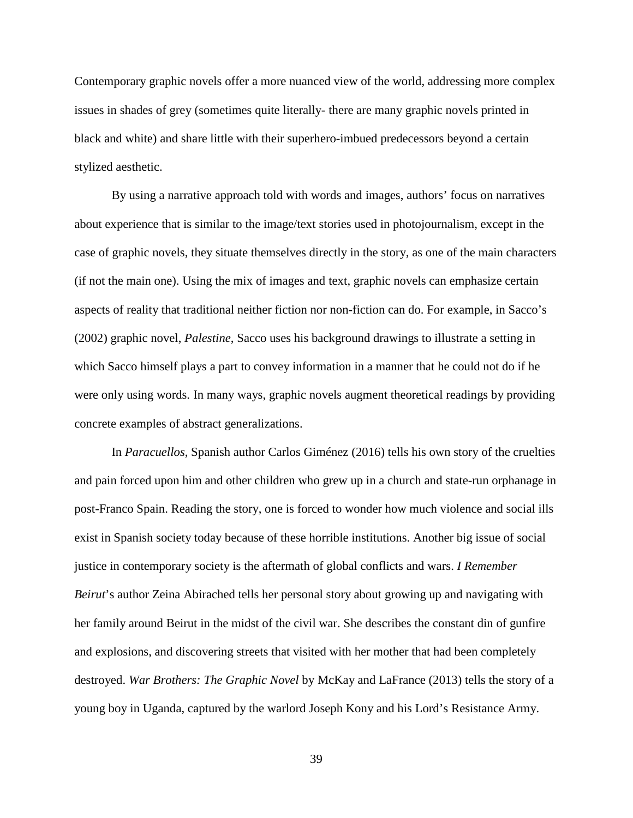Contemporary graphic novels offer a more nuanced view of the world, addressing more complex issues in shades of grey (sometimes quite literally- there are many graphic novels printed in black and white) and share little with their superhero-imbued predecessors beyond a certain stylized aesthetic.

By using a narrative approach told with words and images, authors' focus on narratives about experience that is similar to the image/text stories used in photojournalism, except in the case of graphic novels, they situate themselves directly in the story, as one of the main characters (if not the main one). Using the mix of images and text, graphic novels can emphasize certain aspects of reality that traditional neither fiction nor non-fiction can do. For example, in Sacco's (2002) graphic novel, *Palestine*, Sacco uses his background drawings to illustrate a setting in which Sacco himself plays a part to convey information in a manner that he could not do if he were only using words. In many ways, graphic novels augment theoretical readings by providing concrete examples of abstract generalizations.

In *Paracuellos*, Spanish author Carlos Giménez (2016) tells his own story of the cruelties and pain forced upon him and other children who grew up in a church and state-run orphanage in post-Franco Spain. Reading the story, one is forced to wonder how much violence and social ills exist in Spanish society today because of these horrible institutions. Another big issue of social justice in contemporary society is the aftermath of global conflicts and wars. *I Remember Beirut*'s author Zeina Abirached tells her personal story about growing up and navigating with her family around Beirut in the midst of the civil war. She describes the constant din of gunfire and explosions, and discovering streets that visited with her mother that had been completely destroyed. *War Brothers: The Graphic Novel* by McKay and LaFrance (2013) tells the story of a young boy in Uganda, captured by the warlord Joseph Kony and his Lord's Resistance Army.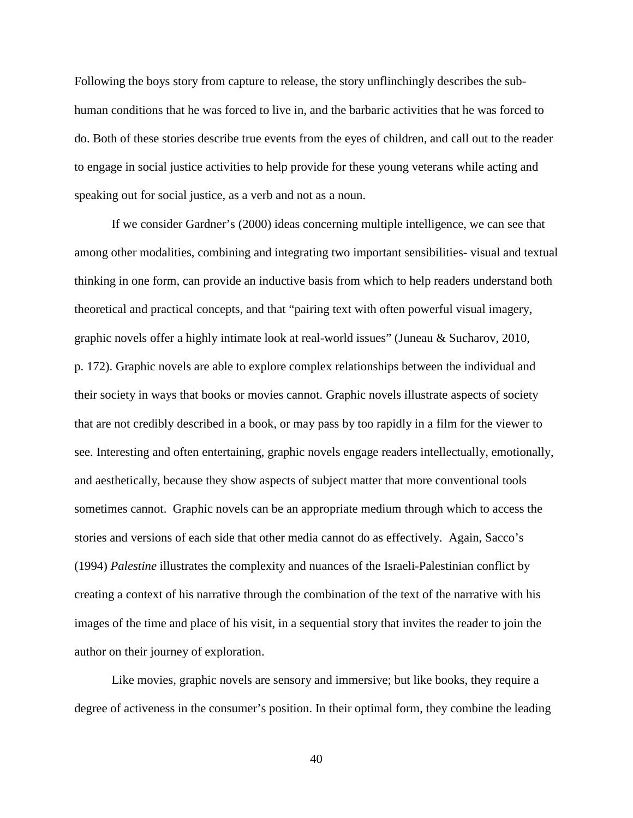Following the boys story from capture to release, the story unflinchingly describes the subhuman conditions that he was forced to live in, and the barbaric activities that he was forced to do. Both of these stories describe true events from the eyes of children, and call out to the reader to engage in social justice activities to help provide for these young veterans while acting and speaking out for social justice, as a verb and not as a noun.

If we consider Gardner's (2000) ideas concerning multiple intelligence, we can see that among other modalities, combining and integrating two important sensibilities- visual and textual thinking in one form, can provide an inductive basis from which to help readers understand both theoretical and practical concepts, and that "pairing text with often powerful visual imagery, graphic novels offer a highly intimate look at real-world issues" (Juneau & Sucharov, 2010, p. 172). Graphic novels are able to explore complex relationships between the individual and their society in ways that books or movies cannot. Graphic novels illustrate aspects of society that are not credibly described in a book, or may pass by too rapidly in a film for the viewer to see. Interesting and often entertaining, graphic novels engage readers intellectually, emotionally, and aesthetically, because they show aspects of subject matter that more conventional tools sometimes cannot. Graphic novels can be an appropriate medium through which to access the stories and versions of each side that other media cannot do as effectively. Again, Sacco's (1994) *Palestine* illustrates the complexity and nuances of the Israeli-Palestinian conflict by creating a context of his narrative through the combination of the text of the narrative with his images of the time and place of his visit, in a sequential story that invites the reader to join the author on their journey of exploration.

Like movies, graphic novels are sensory and immersive; but like books, they require a degree of activeness in the consumer's position. In their optimal form, they combine the leading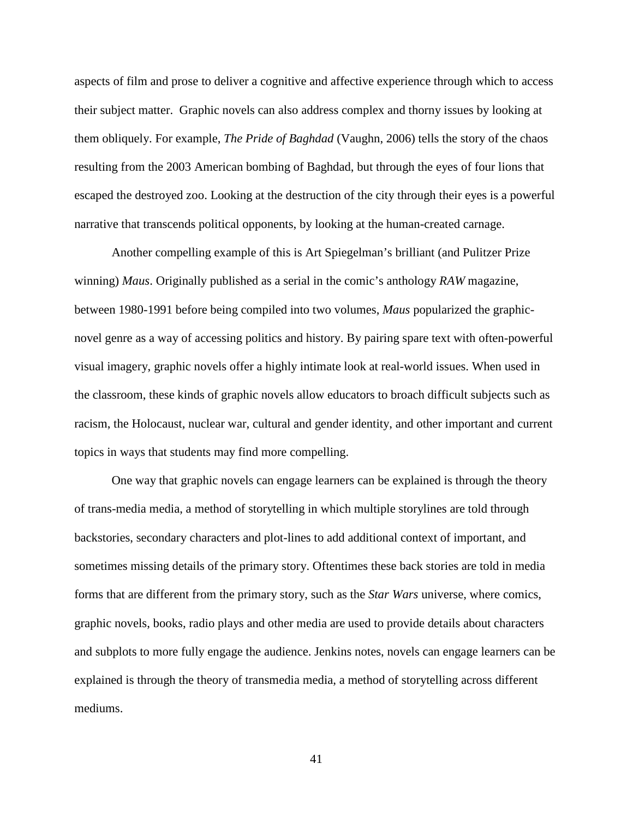aspects of film and prose to deliver a cognitive and affective experience through which to access their subject matter. Graphic novels can also address complex and thorny issues by looking at them obliquely. For example, *The Pride of Baghdad* (Vaughn, 2006) tells the story of the chaos resulting from the 2003 American bombing of Baghdad, but through the eyes of four lions that escaped the destroyed zoo. Looking at the destruction of the city through their eyes is a powerful narrative that transcends political opponents, by looking at the human-created carnage.

Another compelling example of this is Art Spiegelman's brilliant (and Pulitzer Prize winning) *Maus*. Originally published as a serial in the comic's anthology *RAW* magazine, between 1980-1991 before being compiled into two volumes, *Maus* popularized the graphicnovel genre as a way of accessing politics and history. By pairing spare text with often-powerful visual imagery, graphic novels offer a highly intimate look at real-world issues. When used in the classroom, these kinds of graphic novels allow educators to broach difficult subjects such as racism, the Holocaust, nuclear war, cultural and gender identity, and other important and current topics in ways that students may find more compelling.

One way that graphic novels can engage learners can be explained is through the theory of trans-media media, a method of storytelling in which multiple storylines are told through backstories, secondary characters and plot-lines to add additional context of important, and sometimes missing details of the primary story. Oftentimes these back stories are told in media forms that are different from the primary story, such as the *Star Wars* universe, where comics, graphic novels, books, radio plays and other media are used to provide details about characters and subplots to more fully engage the audience. Jenkins notes, novels can engage learners can be explained is through the theory of transmedia media, a method of storytelling across different mediums.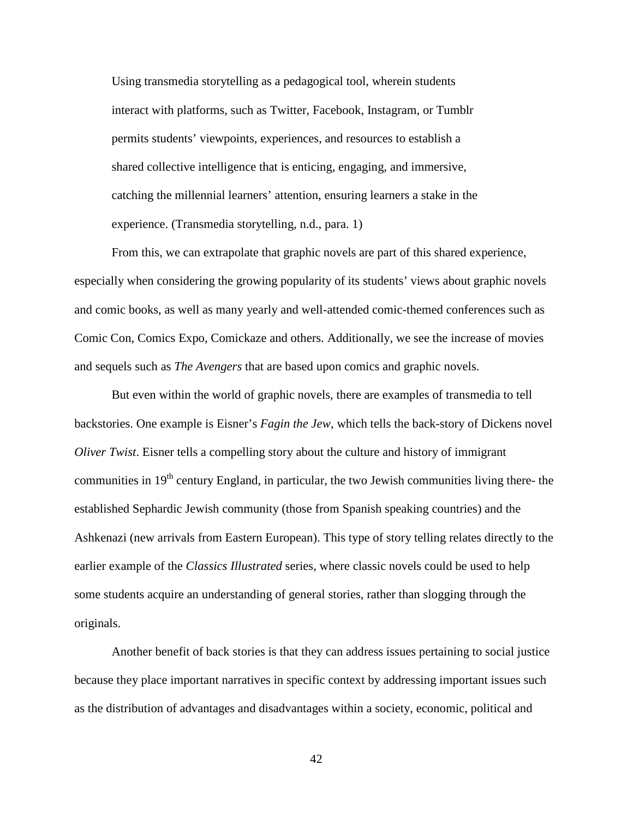Using transmedia storytelling as a pedagogical tool, wherein students interact with platforms, such as Twitter, Facebook, Instagram, or Tumblr permits students' viewpoints, experiences, and resources to establish a shared collective intelligence that is enticing, engaging, and immersive, catching the millennial learners' attention, ensuring learners a stake in the experience. (Transmedia storytelling, n.d., para. 1)

From this, we can extrapolate that graphic novels are part of this shared experience, especially when considering the growing popularity of its students' views about graphic novels and comic books, as well as many yearly and well-attended comic-themed conferences such as Comic Con, Comics Expo, Comickaze and others. Additionally, we see the increase of movies and sequels such as *The Avengers* that are based upon comics and graphic novels.

But even within the world of graphic novels, there are examples of transmedia to tell backstories. One example is Eisner's *Fagin the Jew*, which tells the back-story of Dickens novel *Oliver Twist*. Eisner tells a compelling story about the culture and history of immigrant communities in  $19<sup>th</sup>$  century England, in particular, the two Jewish communities living there- the established Sephardic Jewish community (those from Spanish speaking countries) and the Ashkenazi (new arrivals from Eastern European). This type of story telling relates directly to the earlier example of the *Classics Illustrated* series, where classic novels could be used to help some students acquire an understanding of general stories, rather than slogging through the originals.

Another benefit of back stories is that they can address issues pertaining to social justice because they place important narratives in specific context by addressing important issues such as the distribution of advantages and disadvantages within a society, economic, political and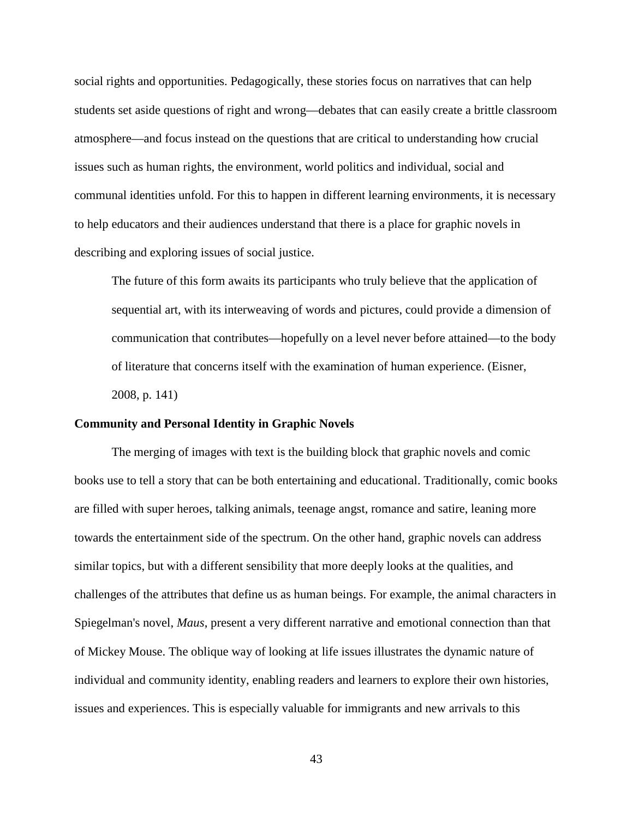social rights and opportunities. Pedagogically, these stories focus on narratives that can help students set aside questions of right and wrong—debates that can easily create a brittle classroom atmosphere—and focus instead on the questions that are critical to understanding how crucial issues such as human rights, the environment, world politics and individual, social and communal identities unfold. For this to happen in different learning environments, it is necessary to help educators and their audiences understand that there is a place for graphic novels in describing and exploring issues of social justice.

The future of this form awaits its participants who truly believe that the application of sequential art, with its interweaving of words and pictures, could provide a dimension of communication that contributes—hopefully on a level never before attained—to the body of literature that concerns itself with the examination of human experience. (Eisner, 2008, p. 141)

#### **Community and Personal Identity in Graphic Novels**

The merging of images with text is the building block that graphic novels and comic books use to tell a story that can be both entertaining and educational. Traditionally, comic books are filled with super heroes, talking animals, teenage angst, romance and satire, leaning more towards the entertainment side of the spectrum. On the other hand, graphic novels can address similar topics, but with a different sensibility that more deeply looks at the qualities, and challenges of the attributes that define us as human beings. For example, the animal characters in Spiegelman's novel, *Maus*, present a very different narrative and emotional connection than that of Mickey Mouse. The oblique way of looking at life issues illustrates the dynamic nature of individual and community identity, enabling readers and learners to explore their own histories, issues and experiences. This is especially valuable for immigrants and new arrivals to this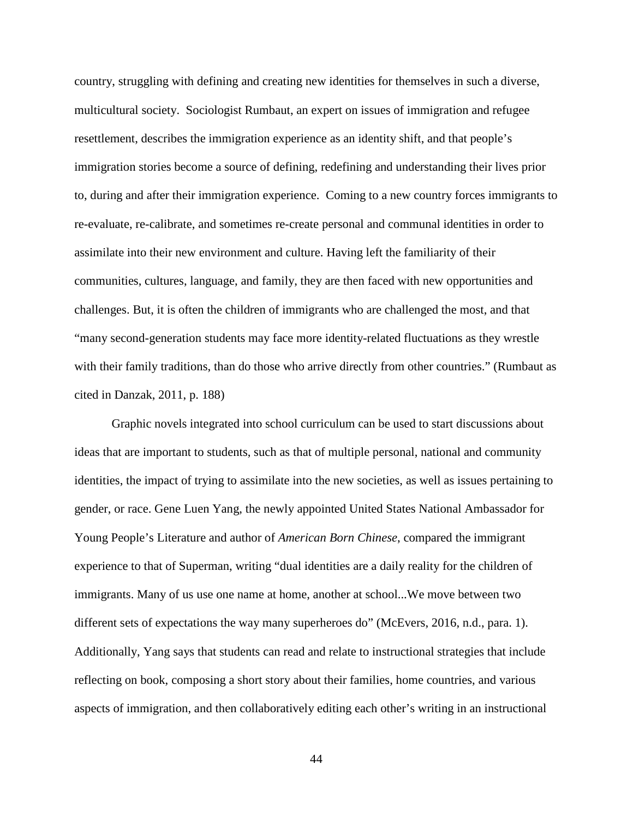country, struggling with defining and creating new identities for themselves in such a diverse, multicultural society. Sociologist Rumbaut, an expert on issues of immigration and refugee resettlement, describes the immigration experience as an identity shift, and that people's immigration stories become a source of defining, redefining and understanding their lives prior to, during and after their immigration experience. Coming to a new country forces immigrants to re-evaluate, re-calibrate, and sometimes re-create personal and communal identities in order to assimilate into their new environment and culture. Having left the familiarity of their communities, cultures, language, and family, they are then faced with new opportunities and challenges. But, it is often the children of immigrants who are challenged the most, and that "many second-generation students may face more identity-related fluctuations as they wrestle with their family traditions, than do those who arrive directly from other countries." (Rumbaut as cited in Danzak, 2011, p. 188)

Graphic novels integrated into school curriculum can be used to start discussions about ideas that are important to students, such as that of multiple personal, national and community identities, the impact of trying to assimilate into the new societies, as well as issues pertaining to gender, or race. Gene Luen Yang, the newly appointed United States National Ambassador for Young People's Literature and author of *American Born Chinese*, compared the immigrant experience to that of Superman, writing "dual identities are a daily reality for the children of immigrants. Many of us use one name at home, another at school...We move between two different sets of expectations the way many superheroes do" (McEvers, 2016, n.d., para. 1). Additionally, Yang says that students can read and relate to instructional strategies that include reflecting on book, composing a short story about their families, home countries, and various aspects of immigration, and then collaboratively editing each other's writing in an instructional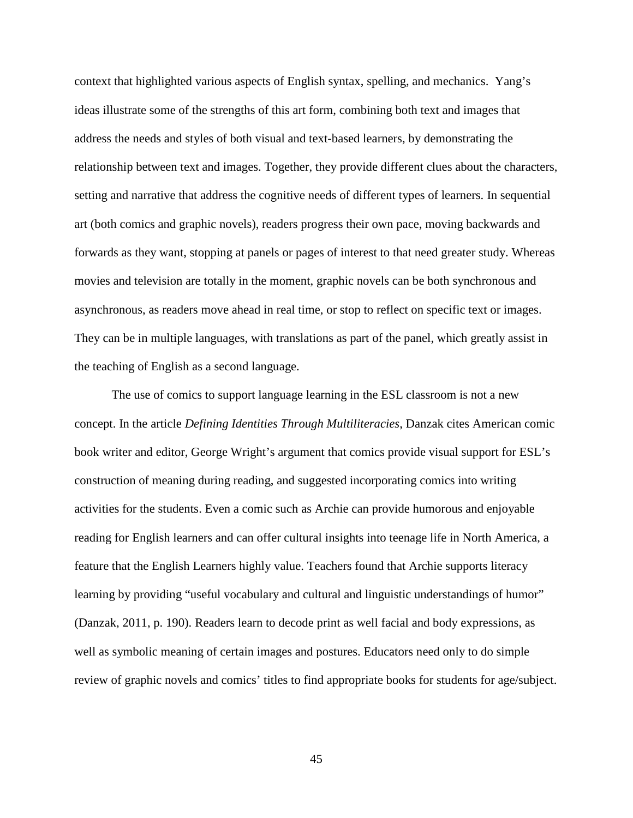context that highlighted various aspects of English syntax, spelling, and mechanics. Yang's ideas illustrate some of the strengths of this art form, combining both text and images that address the needs and styles of both visual and text-based learners, by demonstrating the relationship between text and images. Together, they provide different clues about the characters, setting and narrative that address the cognitive needs of different types of learners. In sequential art (both comics and graphic novels), readers progress their own pace, moving backwards and forwards as they want, stopping at panels or pages of interest to that need greater study. Whereas movies and television are totally in the moment, graphic novels can be both synchronous and asynchronous, as readers move ahead in real time, or stop to reflect on specific text or images. They can be in multiple languages, with translations as part of the panel, which greatly assist in the teaching of English as a second language.

The use of comics to support language learning in the ESL classroom is not a new concept. In the article *Defining Identities Through Multiliteracies*, Danzak cites American comic book writer and editor, George Wright's argument that comics provide visual support for ESL's construction of meaning during reading, and suggested incorporating comics into writing activities for the students. Even a comic such as Archie can provide humorous and enjoyable reading for English learners and can offer cultural insights into teenage life in North America, a feature that the English Learners highly value. Teachers found that Archie supports literacy learning by providing "useful vocabulary and cultural and linguistic understandings of humor" (Danzak, 2011, p. 190). Readers learn to decode print as well facial and body expressions, as well as symbolic meaning of certain images and postures. Educators need only to do simple review of graphic novels and comics' titles to find appropriate books for students for age/subject.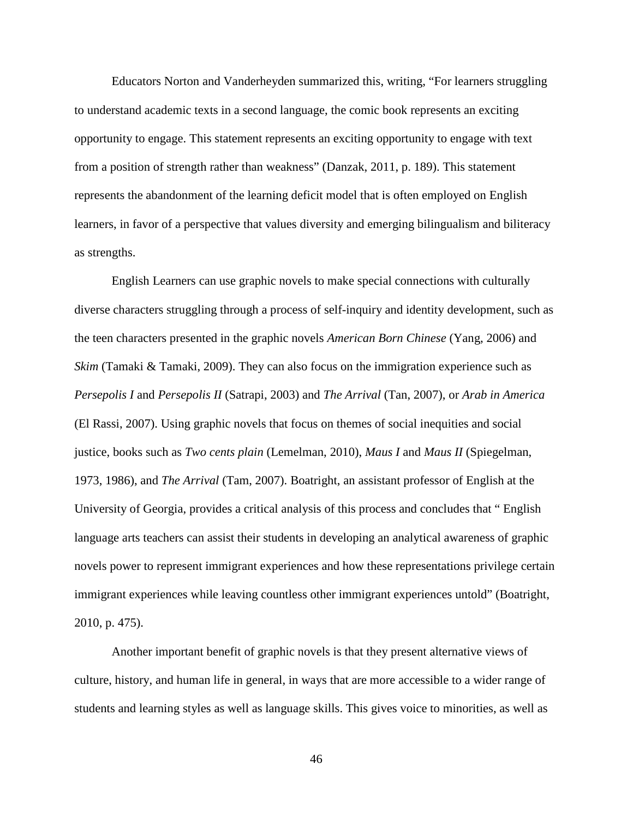Educators Norton and Vanderheyden summarized this, writing, "For learners struggling to understand academic texts in a second language, the comic book represents an exciting opportunity to engage. This statement represents an exciting opportunity to engage with text from a position of strength rather than weakness" (Danzak, 2011, p. 189). This statement represents the abandonment of the learning deficit model that is often employed on English learners, in favor of a perspective that values diversity and emerging bilingualism and biliteracy as strengths.

English Learners can use graphic novels to make special connections with culturally diverse characters struggling through a process of self-inquiry and identity development, such as the teen characters presented in the graphic novels *American Born Chinese* (Yang, 2006) and *Skim* (Tamaki & Tamaki, 2009). They can also focus on the immigration experience such as *Persepolis I* and *Persepolis II* (Satrapi, 2003) and *The Arrival* (Tan, 2007), or *Arab in America* (El Rassi, 2007). Using graphic novels that focus on themes of social inequities and social justice, books such as *Two cents plain* (Lemelman, 2010), *Maus I* and *Maus II* (Spiegelman, 1973, 1986), and *The Arrival* (Tam, 2007). Boatright, an assistant professor of English at the University of Georgia, provides a critical analysis of this process and concludes that " English language arts teachers can assist their students in developing an analytical awareness of graphic novels power to represent immigrant experiences and how these representations privilege certain immigrant experiences while leaving countless other immigrant experiences untold" (Boatright, 2010, p. 475).

Another important benefit of graphic novels is that they present alternative views of culture, history, and human life in general, in ways that are more accessible to a wider range of students and learning styles as well as language skills. This gives voice to minorities, as well as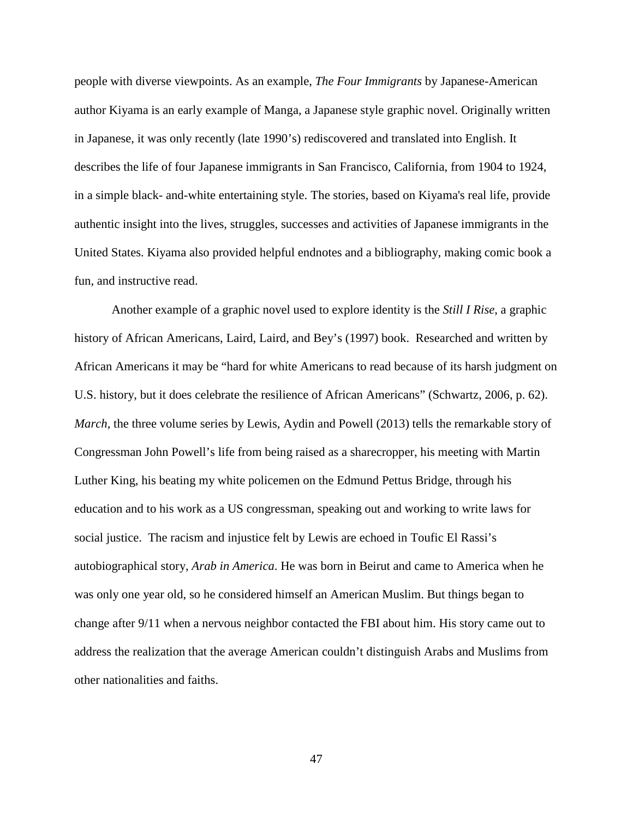people with diverse viewpoints. As an example, *The Four Immigrants* by Japanese-American author Kiyama is an early example of Manga, a Japanese style graphic novel. Originally written in Japanese, it was only recently (late 1990's) rediscovered and translated into English. It describes the life of four Japanese immigrants in San Francisco, California, from 1904 to 1924, in a simple black- and-white entertaining style. The stories, based on Kiyama's real life, provide authentic insight into the lives, struggles, successes and activities of Japanese immigrants in the United States. Kiyama also provided helpful endnotes and a bibliography, making comic book a fun, and instructive read.

Another example of a graphic novel used to explore identity is the *Still I Rise*, a graphic history of African Americans, Laird, Laird, and Bey's (1997) book. Researched and written by African Americans it may be "hard for white Americans to read because of its harsh judgment on U.S. history, but it does celebrate the resilience of African Americans" (Schwartz, 2006, p. 62). *March*, the three volume series by Lewis, Aydin and Powell (2013) tells the remarkable story of Congressman John Powell's life from being raised as a sharecropper, his meeting with Martin Luther King, his beating my white policemen on the Edmund Pettus Bridge, through his education and to his work as a US congressman, speaking out and working to write laws for social justice. The racism and injustice felt by Lewis are echoed in Toufic El Rassi's autobiographical story, *Arab in America*. He was born in Beirut and came to America when he was only one year old, so he considered himself an American Muslim. But things began to change after 9/11 when a nervous neighbor contacted the FBI about him. His story came out to address the realization that the average American couldn't distinguish Arabs and Muslims from other nationalities and faiths.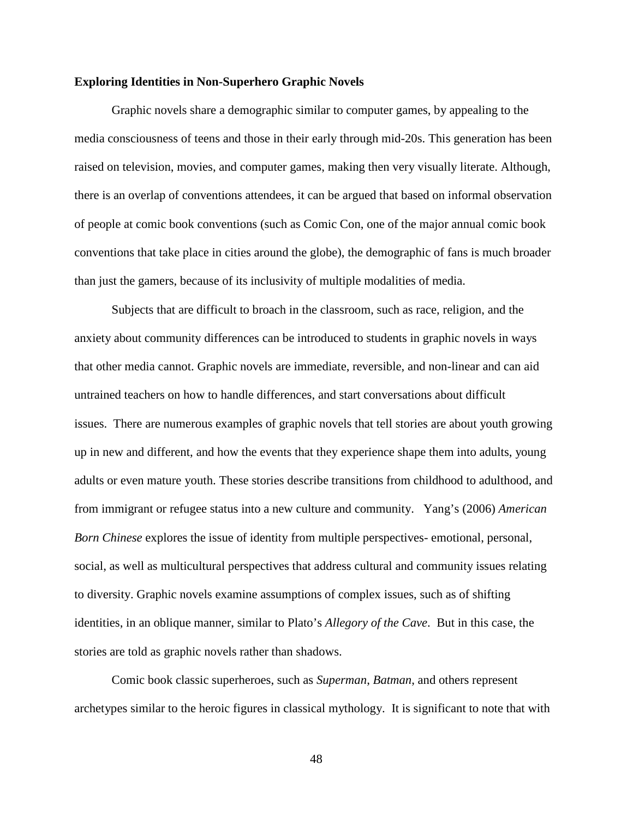# **Exploring Identities in Non-Superhero Graphic Novels**

Graphic novels share a demographic similar to computer games, by appealing to the media consciousness of teens and those in their early through mid-20s. This generation has been raised on television, movies, and computer games, making then very visually literate. Although, there is an overlap of conventions attendees, it can be argued that based on informal observation of people at comic book conventions (such as Comic Con, one of the major annual comic book conventions that take place in cities around the globe), the demographic of fans is much broader than just the gamers, because of its inclusivity of multiple modalities of media.

Subjects that are difficult to broach in the classroom, such as race, religion, and the anxiety about community differences can be introduced to students in graphic novels in ways that other media cannot. Graphic novels are immediate, reversible, and non-linear and can aid untrained teachers on how to handle differences, and start conversations about difficult issues. There are numerous examples of graphic novels that tell stories are about youth growing up in new and different, and how the events that they experience shape them into adults, young adults or even mature youth. These stories describe transitions from childhood to adulthood, and from immigrant or refugee status into a new culture and community. Yang's (2006) *American Born Chinese* explores the issue of identity from multiple perspectives- emotional, personal, social, as well as multicultural perspectives that address cultural and community issues relating to diversity. Graphic novels examine assumptions of complex issues, such as of shifting identities, in an oblique manner, similar to Plato's *Allegory of the Cave*. But in this case, the stories are told as graphic novels rather than shadows.

Comic book classic superheroes, such as *Superman*, *Batman*, and others represent archetypes similar to the heroic figures in classical mythology. It is significant to note that with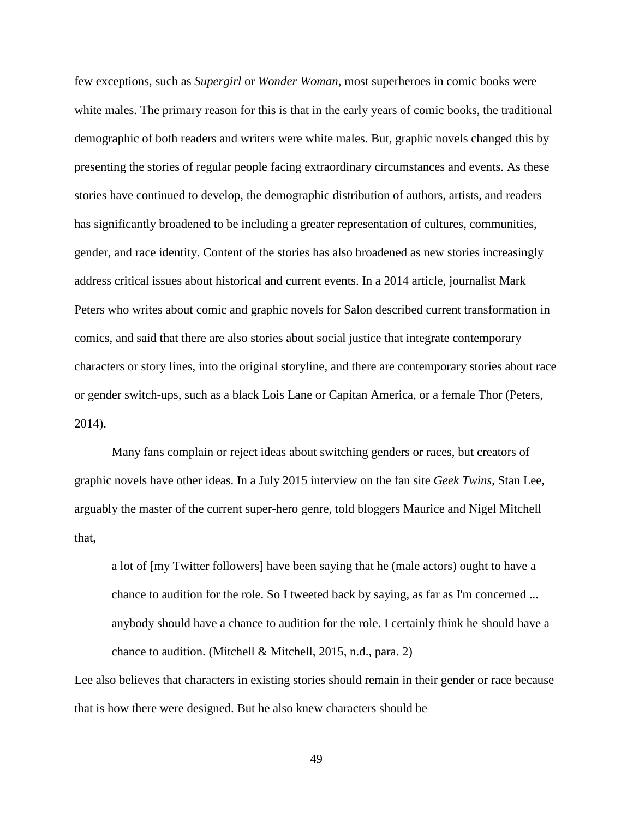few exceptions, such as *Supergirl* or *Wonder Woman*, most superheroes in comic books were white males. The primary reason for this is that in the early years of comic books, the traditional demographic of both readers and writers were white males. But, graphic novels changed this by presenting the stories of regular people facing extraordinary circumstances and events. As these stories have continued to develop, the demographic distribution of authors, artists, and readers has significantly broadened to be including a greater representation of cultures, communities, gender, and race identity. Content of the stories has also broadened as new stories increasingly address critical issues about historical and current events. In a 2014 article, journalist Mark Peters who writes about comic and graphic novels for Salon described current transformation in comics, and said that there are also stories about social justice that integrate contemporary characters or story lines, into the original storyline, and there are contemporary stories about race or gender switch-ups, such as a black Lois Lane or Capitan America, or a female Thor (Peters, 2014).

Many fans complain or reject ideas about switching genders or races, but creators of graphic novels have other ideas. In a July 2015 interview on the fan site *Geek Twins*, Stan Lee, arguably the master of the current super-hero genre, told bloggers Maurice and Nigel Mitchell that,

a lot of [my Twitter followers] have been saying that he (male actors) ought to have a chance to audition for the role. So I tweeted back by saying, as far as I'm concerned ... anybody should have a chance to audition for the role. I certainly think he should have a chance to audition. (Mitchell & Mitchell, 2015, n.d., para. 2)

Lee also believes that characters in existing stories should remain in their gender or race because that is how there were designed. But he also knew characters should be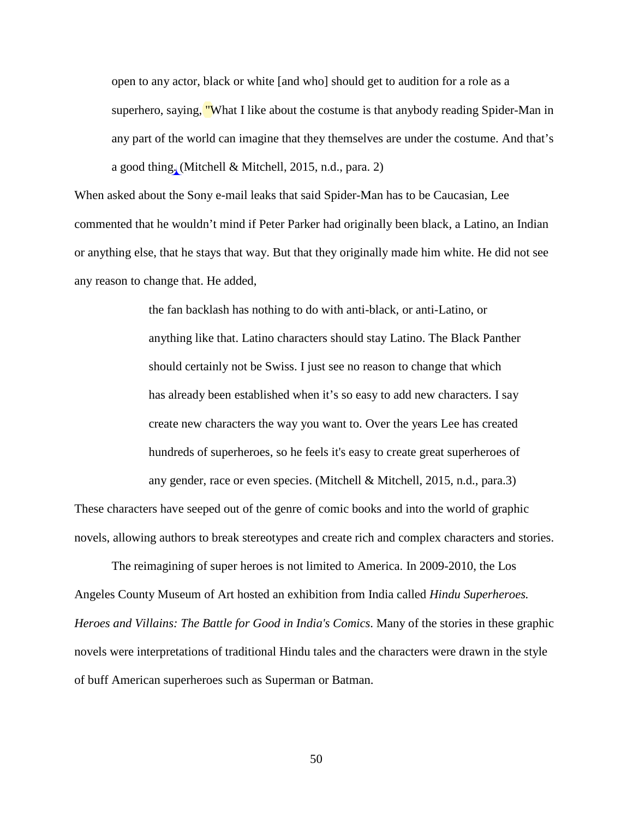open to any actor, black or white [and who] should get to audition for a role as a superhero, saying, "What I like about the costume is that anybody reading Spider-Man in any part of the world can imagine that they themselves are under the costume. And that's a good thing. (Mitchell & Mitchell, 2015, n.d., para. 2)

When asked about the Sony e-mail leaks that said Spider-Man has to be Caucasian, Lee commented that he wouldn't mind if Peter Parker had originally been black, a Latino, an Indian or anything else, that he stays that way. But that they originally made him white. He did not see any reason to change that. He added,

> the fan backlash has nothing to do with anti-black, or anti-Latino, or anything like that. Latino characters should stay Latino. The Black Panther should certainly not be Swiss. I just see no reason to change that which has already been established when it's so easy to add new characters. I say create new characters the way you want to. Over the years Lee has created hundreds of superheroes, so he feels it's easy to create great superheroes of any gender, race or even species. (Mitchell & Mitchell, 2015, n.d., para.3)

These characters have seeped out of the genre of comic books and into the world of graphic novels, allowing authors to break stereotypes and create rich and complex characters and stories.

The reimagining of super heroes is not limited to America. In 2009-2010, the Los Angeles County Museum of Art hosted an exhibition from India called *Hindu Superheroes. Heroes and Villains: The Battle for Good in India's Comics*. Many of the stories in these graphic novels were interpretations of traditional Hindu tales and the characters were drawn in the style of buff American superheroes such as Superman or Batman.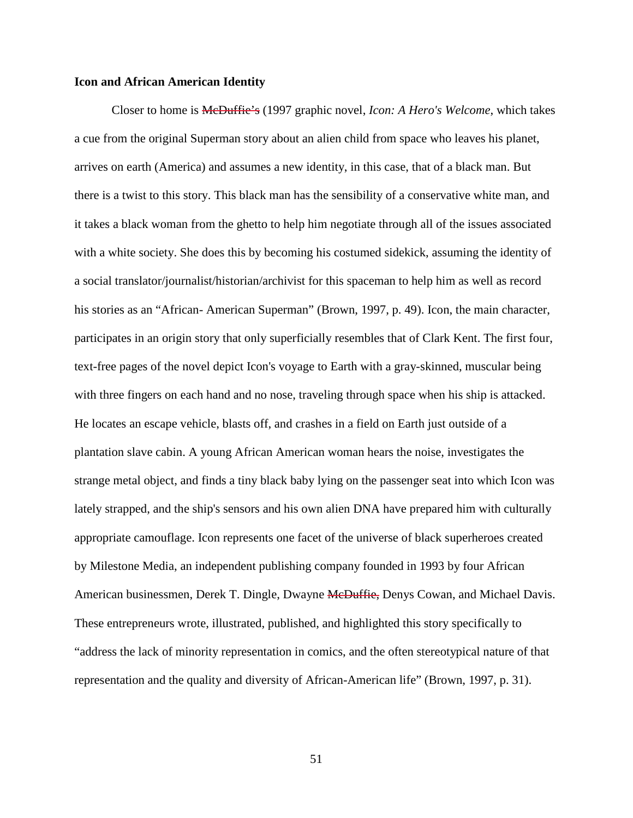# **Icon and African American Identity**

Closer to home is McDuffie's (1997 graphic novel, *Icon: A Hero's Welcome*, which takes a cue from the original Superman story about an alien child from space who leaves his planet, arrives on earth (America) and assumes a new identity, in this case, that of a black man. But there is a twist to this story. This black man has the sensibility of a conservative white man, and it takes a black woman from the ghetto to help him negotiate through all of the issues associated with a white society. She does this by becoming his costumed sidekick, assuming the identity of a social translator/journalist/historian/archivist for this spaceman to help him as well as record his stories as an "African- American Superman" (Brown, 1997, p. 49). Icon, the main character, participates in an origin story that only superficially resembles that of Clark Kent. The first four, text-free pages of the novel depict Icon's voyage to Earth with a gray-skinned, muscular being with three fingers on each hand and no nose, traveling through space when his ship is attacked. He locates an escape vehicle, blasts off, and crashes in a field on Earth just outside of a plantation slave cabin. A young African American woman hears the noise, investigates the strange metal object, and finds a tiny black baby lying on the passenger seat into which Icon was lately strapped, and the ship's sensors and his own alien DNA have prepared him with culturally appropriate camouflage. Icon represents one facet of the universe of black superheroes created by Milestone Media, an independent publishing company founded in 1993 by four African American businessmen, Derek T. Dingle, Dwayne MeDuffie, Denys Cowan, and Michael Davis. These entrepreneurs wrote, illustrated, published, and highlighted this story specifically to "address the lack of minority representation in comics, and the often stereotypical nature of that representation and the quality and diversity of African-American life" (Brown, 1997, p. 31).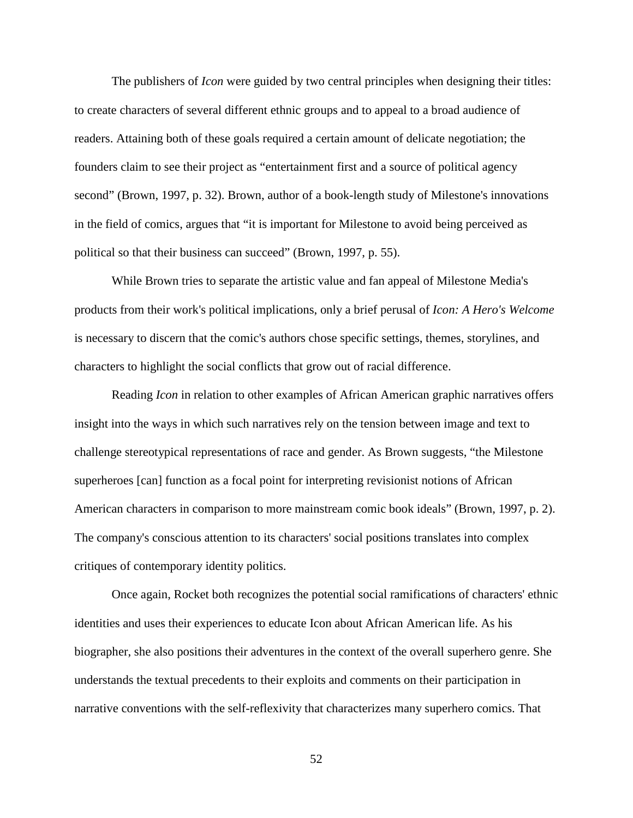The publishers of *Icon* were guided by two central principles when designing their titles: to create characters of several different ethnic groups and to appeal to a broad audience of readers. Attaining both of these goals required a certain amount of delicate negotiation; the founders claim to see their project as "entertainment first and a source of political agency second" (Brown, 1997, p. 32). Brown, author of a book-length study of Milestone's innovations in the field of comics, argues that "it is important for Milestone to avoid being perceived as political so that their business can succeed" (Brown, 1997, p. 55).

While Brown tries to separate the artistic value and fan appeal of Milestone Media's products from their work's political implications, only a brief perusal of *Icon: A Hero's Welcome* is necessary to discern that the comic's authors chose specific settings, themes, storylines, and characters to highlight the social conflicts that grow out of racial difference.

Reading *Icon* in relation to other examples of African American graphic narratives offers insight into the ways in which such narratives rely on the tension between image and text to challenge stereotypical representations of race and gender. As Brown suggests, "the Milestone superheroes [can] function as a focal point for interpreting revisionist notions of African American characters in comparison to more mainstream comic book ideals" (Brown, 1997, p. 2). The company's conscious attention to its characters' social positions translates into complex critiques of contemporary identity politics.

Once again, Rocket both recognizes the potential social ramifications of characters' ethnic identities and uses their experiences to educate Icon about African American life. As his biographer, she also positions their adventures in the context of the overall superhero genre. She understands the textual precedents to their exploits and comments on their participation in narrative conventions with the self-reflexivity that characterizes many superhero comics. That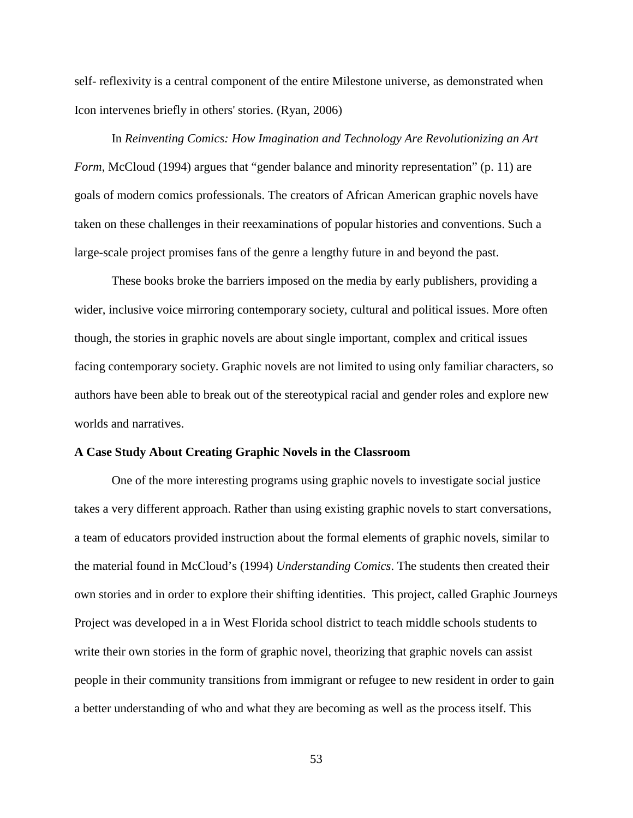self- reflexivity is a central component of the entire Milestone universe, as demonstrated when Icon intervenes briefly in others' stories. (Ryan, 2006)

In *Reinventing Comics: How Imagination and Technology Are Revolutionizing an Art Form*, McCloud (1994) argues that "gender balance and minority representation" (p. 11) are goals of modern comics professionals. The creators of African American graphic novels have taken on these challenges in their reexaminations of popular histories and conventions. Such a large-scale project promises fans of the genre a lengthy future in and beyond the past.

These books broke the barriers imposed on the media by early publishers, providing a wider, inclusive voice mirroring contemporary society, cultural and political issues. More often though, the stories in graphic novels are about single important, complex and critical issues facing contemporary society. Graphic novels are not limited to using only familiar characters, so authors have been able to break out of the stereotypical racial and gender roles and explore new worlds and narratives.

# **A Case Study About Creating Graphic Novels in the Classroom**

One of the more interesting programs using graphic novels to investigate social justice takes a very different approach. Rather than using existing graphic novels to start conversations, a team of educators provided instruction about the formal elements of graphic novels, similar to the material found in McCloud's (1994) *Understanding Comics*. The students then created their own stories and in order to explore their shifting identities. This project, called Graphic Journeys Project was developed in a in West Florida school district to teach middle schools students to write their own stories in the form of graphic novel, theorizing that graphic novels can assist people in their community transitions from immigrant or refugee to new resident in order to gain a better understanding of who and what they are becoming as well as the process itself. This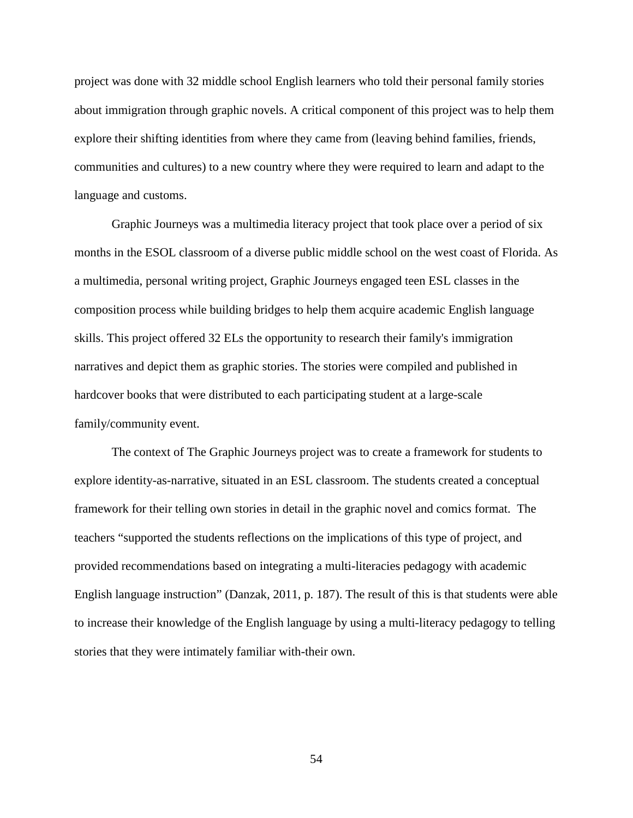project was done with 32 middle school English learners who told their personal family stories about immigration through graphic novels. A critical component of this project was to help them explore their shifting identities from where they came from (leaving behind families, friends, communities and cultures) to a new country where they were required to learn and adapt to the language and customs.

Graphic Journeys was a multimedia literacy project that took place over a period of six months in the ESOL classroom of a diverse public middle school on the west coast of Florida. As a multimedia, personal writing project, Graphic Journeys engaged teen ESL classes in the composition process while building bridges to help them acquire academic English language skills. This project offered 32 ELs the opportunity to research their family's immigration narratives and depict them as graphic stories. The stories were compiled and published in hardcover books that were distributed to each participating student at a large-scale family/community event.

The context of The Graphic Journeys project was to create a framework for students to explore identity-as-narrative, situated in an ESL classroom. The students created a conceptual framework for their telling own stories in detail in the graphic novel and comics format. The teachers "supported the students reflections on the implications of this type of project, and provided recommendations based on integrating a multi-literacies pedagogy with academic English language instruction" (Danzak, 2011, p. 187). The result of this is that students were able to increase their knowledge of the English language by using a multi-literacy pedagogy to telling stories that they were intimately familiar with-their own.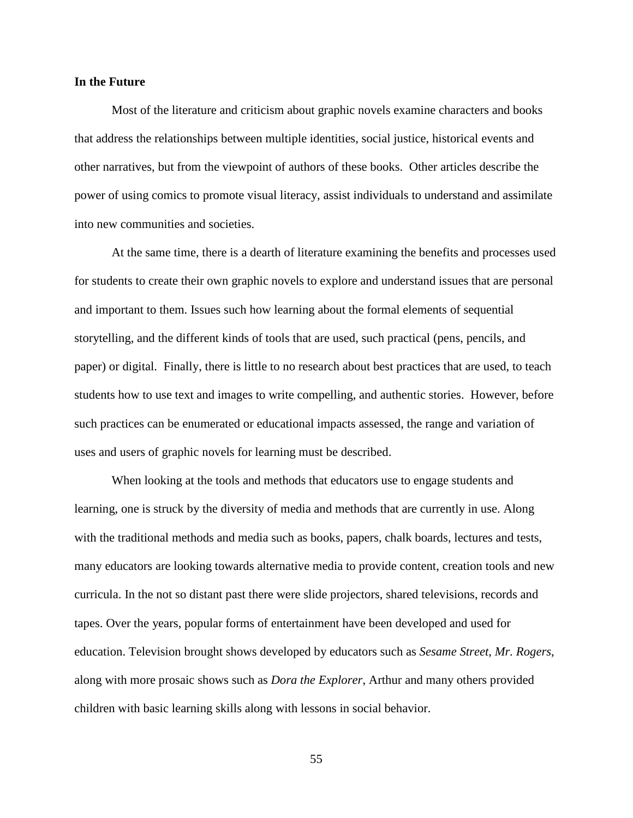### **In the Future**

Most of the literature and criticism about graphic novels examine characters and books that address the relationships between multiple identities, social justice, historical events and other narratives, but from the viewpoint of authors of these books. Other articles describe the power of using comics to promote visual literacy, assist individuals to understand and assimilate into new communities and societies.

At the same time, there is a dearth of literature examining the benefits and processes used for students to create their own graphic novels to explore and understand issues that are personal and important to them. Issues such how learning about the formal elements of sequential storytelling, and the different kinds of tools that are used, such practical (pens, pencils, and paper) or digital. Finally, there is little to no research about best practices that are used, to teach students how to use text and images to write compelling, and authentic stories. However, before such practices can be enumerated or educational impacts assessed, the range and variation of uses and users of graphic novels for learning must be described.

When looking at the tools and methods that educators use to engage students and learning, one is struck by the diversity of media and methods that are currently in use. Along with the traditional methods and media such as books, papers, chalk boards, lectures and tests, many educators are looking towards alternative media to provide content, creation tools and new curricula. In the not so distant past there were slide projectors, shared televisions, records and tapes. Over the years, popular forms of entertainment have been developed and used for education. Television brought shows developed by educators such as *Sesame Street*, *Mr. Rogers*, along with more prosaic shows such as *Dora the Explorer*, Arthur and many others provided children with basic learning skills along with lessons in social behavior.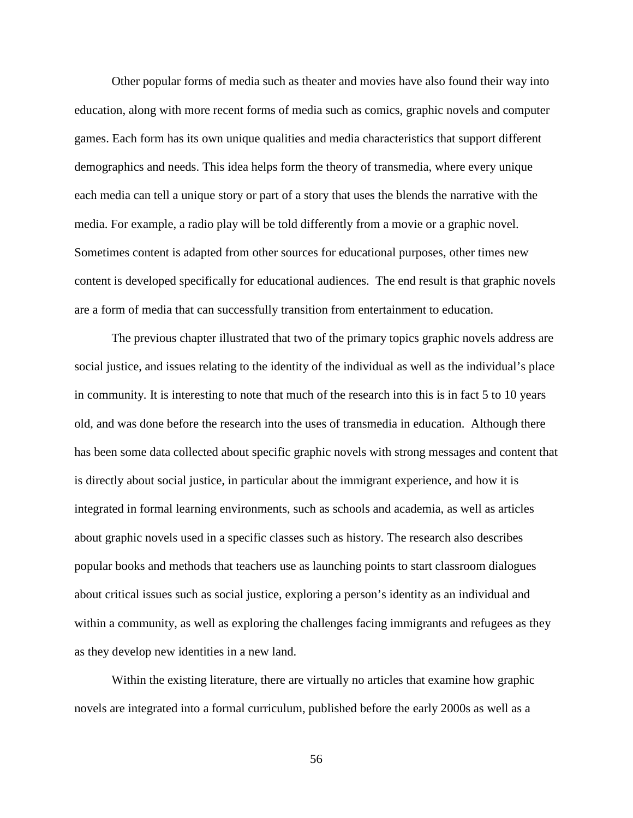Other popular forms of media such as theater and movies have also found their way into education, along with more recent forms of media such as comics, graphic novels and computer games. Each form has its own unique qualities and media characteristics that support different demographics and needs. This idea helps form the theory of transmedia, where every unique each media can tell a unique story or part of a story that uses the blends the narrative with the media. For example, a radio play will be told differently from a movie or a graphic novel. Sometimes content is adapted from other sources for educational purposes, other times new content is developed specifically for educational audiences. The end result is that graphic novels are a form of media that can successfully transition from entertainment to education.

The previous chapter illustrated that two of the primary topics graphic novels address are social justice, and issues relating to the identity of the individual as well as the individual's place in community. It is interesting to note that much of the research into this is in fact 5 to 10 years old, and was done before the research into the uses of transmedia in education. Although there has been some data collected about specific graphic novels with strong messages and content that is directly about social justice, in particular about the immigrant experience, and how it is integrated in formal learning environments, such as schools and academia, as well as articles about graphic novels used in a specific classes such as history. The research also describes popular books and methods that teachers use as launching points to start classroom dialogues about critical issues such as social justice, exploring a person's identity as an individual and within a community, as well as exploring the challenges facing immigrants and refugees as they as they develop new identities in a new land.

Within the existing literature, there are virtually no articles that examine how graphic novels are integrated into a formal curriculum, published before the early 2000s as well as a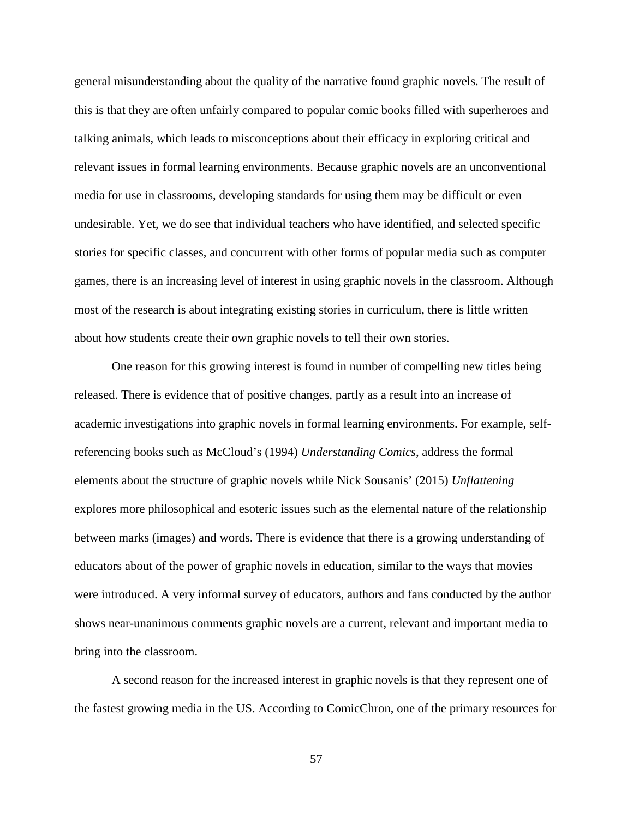general misunderstanding about the quality of the narrative found graphic novels. The result of this is that they are often unfairly compared to popular comic books filled with superheroes and talking animals, which leads to misconceptions about their efficacy in exploring critical and relevant issues in formal learning environments. Because graphic novels are an unconventional media for use in classrooms, developing standards for using them may be difficult or even undesirable. Yet, we do see that individual teachers who have identified, and selected specific stories for specific classes, and concurrent with other forms of popular media such as computer games, there is an increasing level of interest in using graphic novels in the classroom. Although most of the research is about integrating existing stories in curriculum, there is little written about how students create their own graphic novels to tell their own stories.

One reason for this growing interest is found in number of compelling new titles being released. There is evidence that of positive changes, partly as a result into an increase of academic investigations into graphic novels in formal learning environments. For example, selfreferencing books such as McCloud's (1994) *Understanding Comics*, address the formal elements about the structure of graphic novels while Nick Sousanis' (2015) *Unflattening* explores more philosophical and esoteric issues such as the elemental nature of the relationship between marks (images) and words. There is evidence that there is a growing understanding of educators about of the power of graphic novels in education, similar to the ways that movies were introduced. A very informal survey of educators, authors and fans conducted by the author shows near-unanimous comments graphic novels are a current, relevant and important media to bring into the classroom.

A second reason for the increased interest in graphic novels is that they represent one of the fastest growing media in the US. According to ComicChron, one of the primary resources for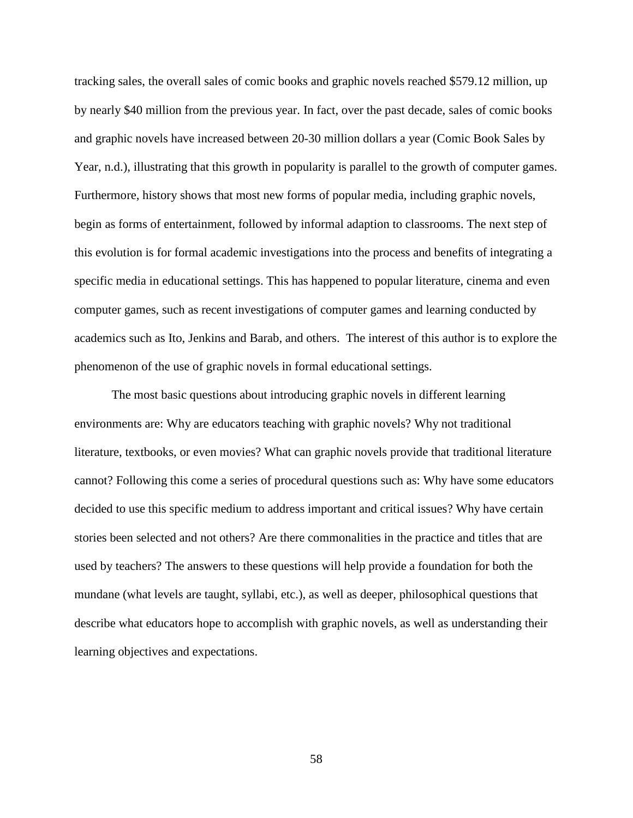tracking sales, the overall sales of comic books and graphic novels reached \$579.12 million, up by nearly \$40 million from the previous year. In fact, over the past decade, sales of comic books and graphic novels have increased between 20-30 million dollars a year (Comic Book Sales by Year, n.d.), illustrating that this growth in popularity is parallel to the growth of computer games. Furthermore, history shows that most new forms of popular media, including graphic novels, begin as forms of entertainment, followed by informal adaption to classrooms. The next step of this evolution is for formal academic investigations into the process and benefits of integrating a specific media in educational settings. This has happened to popular literature, cinema and even computer games, such as recent investigations of computer games and learning conducted by academics such as Ito, Jenkins and Barab, and others. The interest of this author is to explore the phenomenon of the use of graphic novels in formal educational settings.

The most basic questions about introducing graphic novels in different learning environments are: Why are educators teaching with graphic novels? Why not traditional literature, textbooks, or even movies? What can graphic novels provide that traditional literature cannot? Following this come a series of procedural questions such as: Why have some educators decided to use this specific medium to address important and critical issues? Why have certain stories been selected and not others? Are there commonalities in the practice and titles that are used by teachers? The answers to these questions will help provide a foundation for both the mundane (what levels are taught, syllabi, etc.), as well as deeper, philosophical questions that describe what educators hope to accomplish with graphic novels, as well as understanding their learning objectives and expectations.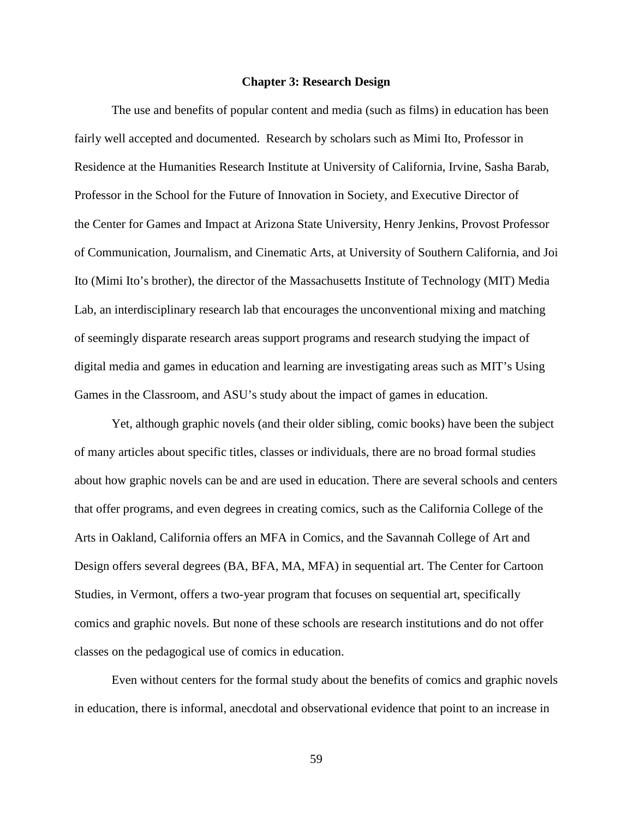#### **Chapter 3: Research Design**

The use and benefits of popular content and media (such as films) in education has been fairly well accepted and documented. Research by scholars such as Mimi Ito, Professor in Residence at the Humanities Research Institute at University of California, Irvine, Sasha Barab, Professor in the School for the Future of Innovation in Society, and Executive Director of the Center for Games and Impact at Arizona State University, Henry Jenkins, Provost Professor of Communication, Journalism, and Cinematic Arts, at University of Southern California, and Joi Ito (Mimi Ito's brother), the director of the Massachusetts Institute of Technology (MIT) Media Lab, an interdisciplinary research lab that encourages the unconventional mixing and matching of seemingly disparate research areas support programs and research studying the impact of digital media and games in education and learning are investigating areas such as MIT's Using Games in the Classroom, and ASU's study about the impact of games in education.

Yet, although graphic novels (and their older sibling, comic books) have been the subject of many articles about specific titles, classes or individuals, there are no broad formal studies about how graphic novels can be and are used in education. There are several schools and centers that offer programs, and even degrees in creating comics, such as the California College of the Arts in Oakland, California offers an MFA in Comics, and the Savannah College of Art and Design offers several degrees (BA, BFA, MA, MFA) in sequential art. The Center for Cartoon Studies, in Vermont, offers a two-year program that focuses on sequential art, specifically comics and graphic novels. But none of these schools are research institutions and do not offer classes on the pedagogical use of comics in education.

Even without centers for the formal study about the benefits of comics and graphic novels in education, there is informal, anecdotal and observational evidence that point to an increase in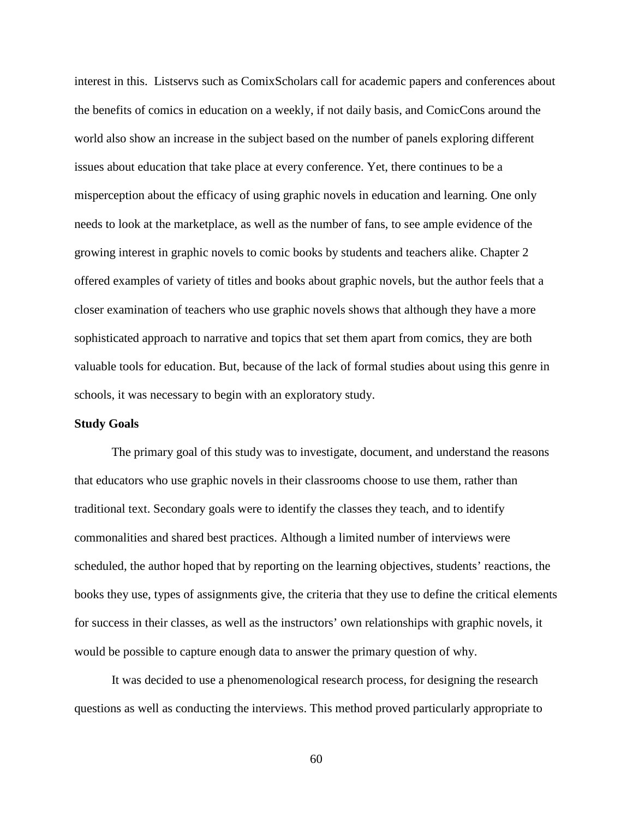interest in this. Listservs such as ComixScholars call for academic papers and conferences about the benefits of comics in education on a weekly, if not daily basis, and ComicCons around the world also show an increase in the subject based on the number of panels exploring different issues about education that take place at every conference. Yet, there continues to be a misperception about the efficacy of using graphic novels in education and learning. One only needs to look at the marketplace, as well as the number of fans, to see ample evidence of the growing interest in graphic novels to comic books by students and teachers alike. Chapter 2 offered examples of variety of titles and books about graphic novels, but the author feels that a closer examination of teachers who use graphic novels shows that although they have a more sophisticated approach to narrative and topics that set them apart from comics, they are both valuable tools for education. But, because of the lack of formal studies about using this genre in schools, it was necessary to begin with an exploratory study.

# **Study Goals**

The primary goal of this study was to investigate, document, and understand the reasons that educators who use graphic novels in their classrooms choose to use them, rather than traditional text. Secondary goals were to identify the classes they teach, and to identify commonalities and shared best practices. Although a limited number of interviews were scheduled, the author hoped that by reporting on the learning objectives, students' reactions, the books they use, types of assignments give, the criteria that they use to define the critical elements for success in their classes, as well as the instructors' own relationships with graphic novels, it would be possible to capture enough data to answer the primary question of why.

It was decided to use a phenomenological research process, for designing the research questions as well as conducting the interviews. This method proved particularly appropriate to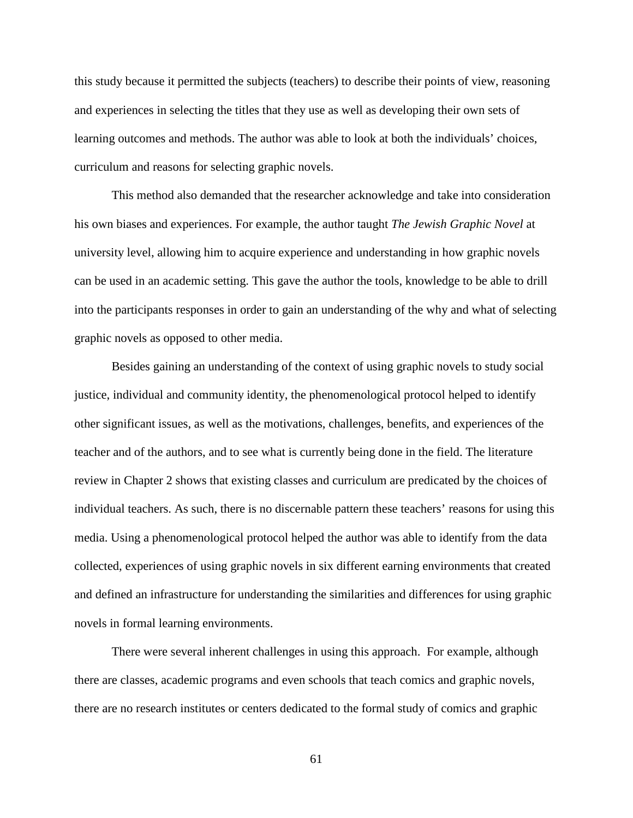this study because it permitted the subjects (teachers) to describe their points of view, reasoning and experiences in selecting the titles that they use as well as developing their own sets of learning outcomes and methods. The author was able to look at both the individuals' choices, curriculum and reasons for selecting graphic novels.

This method also demanded that the researcher acknowledge and take into consideration his own biases and experiences. For example, the author taught *The Jewish Graphic Novel* at university level, allowing him to acquire experience and understanding in how graphic novels can be used in an academic setting. This gave the author the tools, knowledge to be able to drill into the participants responses in order to gain an understanding of the why and what of selecting graphic novels as opposed to other media.

Besides gaining an understanding of the context of using graphic novels to study social justice, individual and community identity, the phenomenological protocol helped to identify other significant issues, as well as the motivations, challenges, benefits, and experiences of the teacher and of the authors, and to see what is currently being done in the field. The literature review in Chapter 2 shows that existing classes and curriculum are predicated by the choices of individual teachers. As such, there is no discernable pattern these teachers' reasons for using this media. Using a phenomenological protocol helped the author was able to identify from the data collected, experiences of using graphic novels in six different earning environments that created and defined an infrastructure for understanding the similarities and differences for using graphic novels in formal learning environments.

There were several inherent challenges in using this approach. For example, although there are classes, academic programs and even schools that teach comics and graphic novels, there are no research institutes or centers dedicated to the formal study of comics and graphic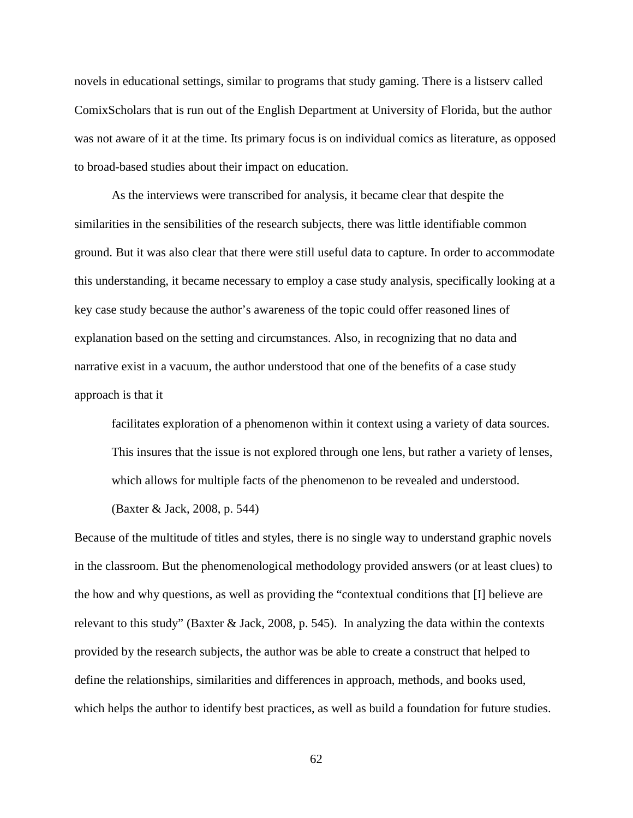novels in educational settings, similar to programs that study gaming. There is a listserv called ComixScholars that is run out of the English Department at University of Florida, but the author was not aware of it at the time. Its primary focus is on individual comics as literature, as opposed to broad-based studies about their impact on education.

As the interviews were transcribed for analysis, it became clear that despite the similarities in the sensibilities of the research subjects, there was little identifiable common ground. But it was also clear that there were still useful data to capture. In order to accommodate this understanding, it became necessary to employ a case study analysis, specifically looking at a key case study because the author's awareness of the topic could offer reasoned lines of explanation based on the setting and circumstances. Also, in recognizing that no data and narrative exist in a vacuum, the author understood that one of the benefits of a case study approach is that it

facilitates exploration of a phenomenon within it context using a variety of data sources. This insures that the issue is not explored through one lens, but rather a variety of lenses, which allows for multiple facts of the phenomenon to be revealed and understood.

(Baxter & Jack, 2008, p. 544)

Because of the multitude of titles and styles, there is no single way to understand graphic novels in the classroom. But the phenomenological methodology provided answers (or at least clues) to the how and why questions, as well as providing the "contextual conditions that [I] believe are relevant to this study" (Baxter & Jack, 2008, p. 545). In analyzing the data within the contexts provided by the research subjects, the author was be able to create a construct that helped to define the relationships, similarities and differences in approach, methods, and books used, which helps the author to identify best practices, as well as build a foundation for future studies.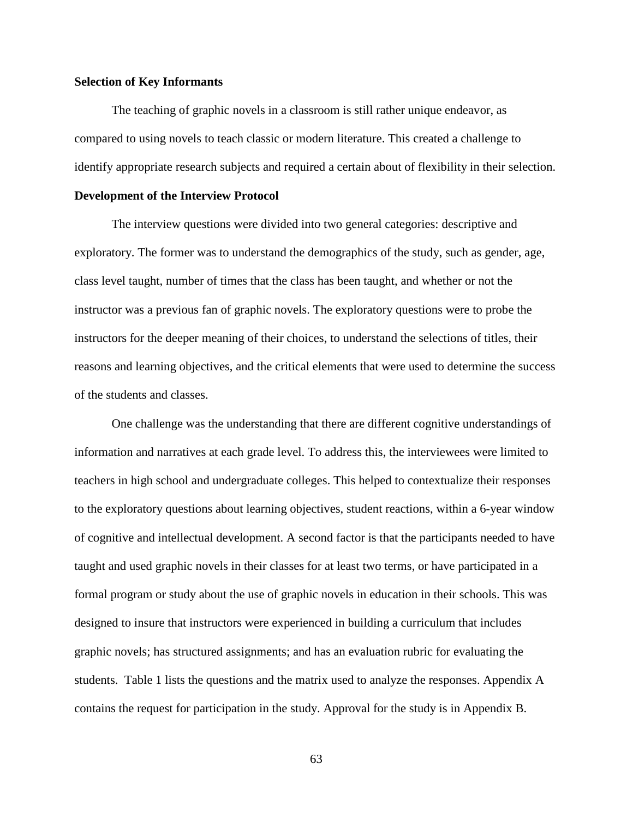#### **Selection of Key Informants**

The teaching of graphic novels in a classroom is still rather unique endeavor, as compared to using novels to teach classic or modern literature. This created a challenge to identify appropriate research subjects and required a certain about of flexibility in their selection.

#### **Development of the Interview Protocol**

The interview questions were divided into two general categories: descriptive and exploratory. The former was to understand the demographics of the study, such as gender, age, class level taught, number of times that the class has been taught, and whether or not the instructor was a previous fan of graphic novels. The exploratory questions were to probe the instructors for the deeper meaning of their choices, to understand the selections of titles, their reasons and learning objectives, and the critical elements that were used to determine the success of the students and classes.

One challenge was the understanding that there are different cognitive understandings of information and narratives at each grade level. To address this, the interviewees were limited to teachers in high school and undergraduate colleges. This helped to contextualize their responses to the exploratory questions about learning objectives, student reactions, within a 6-year window of cognitive and intellectual development. A second factor is that the participants needed to have taught and used graphic novels in their classes for at least two terms, or have participated in a formal program or study about the use of graphic novels in education in their schools. This was designed to insure that instructors were experienced in building a curriculum that includes graphic novels; has structured assignments; and has an evaluation rubric for evaluating the students. Table 1 lists the questions and the matrix used to analyze the responses. Appendix A contains the request for participation in the study. Approval for the study is in Appendix B.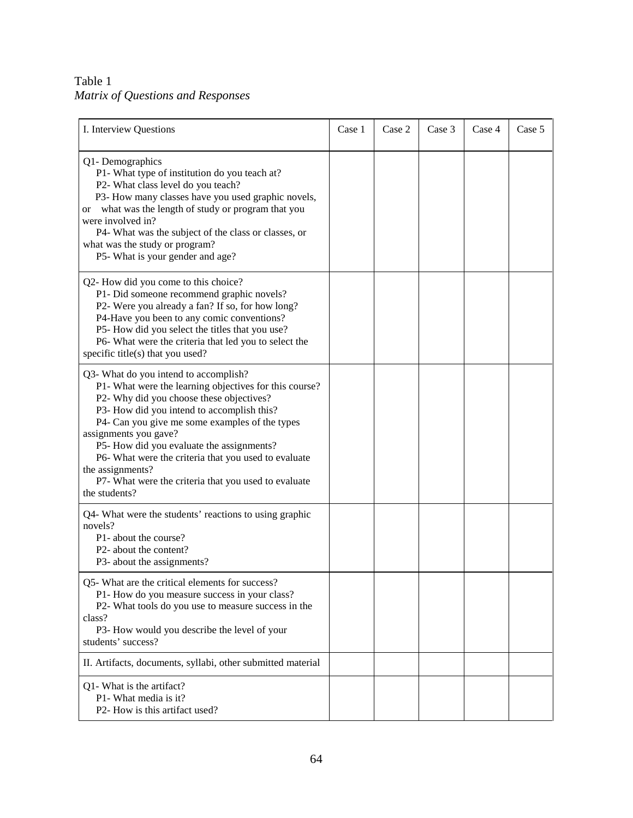Table 1 *Matrix of Questions and Responses*

| I. Interview Questions                                                                                                                                                                                                                                                                                                                                                                                                                                                 | Case 1 | Case 2 | Case 3 | Case 4 | Case 5 |
|------------------------------------------------------------------------------------------------------------------------------------------------------------------------------------------------------------------------------------------------------------------------------------------------------------------------------------------------------------------------------------------------------------------------------------------------------------------------|--------|--------|--------|--------|--------|
| Q1-Demographics<br>P1- What type of institution do you teach at?<br>P2- What class level do you teach?<br>P3- How many classes have you used graphic novels,<br>or what was the length of study or program that you<br>were involved in?<br>P4- What was the subject of the class or classes, or<br>what was the study or program?<br>P5- What is your gender and age?                                                                                                 |        |        |        |        |        |
| Q2- How did you come to this choice?<br>P1- Did someone recommend graphic novels?<br>P2- Were you already a fan? If so, for how long?<br>P4-Have you been to any comic conventions?<br>P5- How did you select the titles that you use?<br>P6- What were the criteria that led you to select the<br>specific title(s) that you used?                                                                                                                                    |        |        |        |        |        |
| Q3- What do you intend to accomplish?<br>P1- What were the learning objectives for this course?<br>P2- Why did you choose these objectives?<br>P3- How did you intend to accomplish this?<br>P4- Can you give me some examples of the types<br>assignments you gave?<br>P5- How did you evaluate the assignments?<br>P6- What were the criteria that you used to evaluate<br>the assignments?<br>P7- What were the criteria that you used to evaluate<br>the students? |        |        |        |        |        |
| Q4- What were the students' reactions to using graphic<br>novels?<br>P1- about the course?<br>P2- about the content?<br>P3- about the assignments?                                                                                                                                                                                                                                                                                                                     |        |        |        |        |        |
| Q5- What are the critical elements for success?<br>P1- How do you measure success in your class?<br>P2- What tools do you use to measure success in the<br>class?<br>P3- How would you describe the level of your<br>students' success?                                                                                                                                                                                                                                |        |        |        |        |        |
| II. Artifacts, documents, syllabi, other submitted material                                                                                                                                                                                                                                                                                                                                                                                                            |        |        |        |        |        |
| Q1- What is the artifact?<br>P1- What media is it?<br>P2- How is this artifact used?                                                                                                                                                                                                                                                                                                                                                                                   |        |        |        |        |        |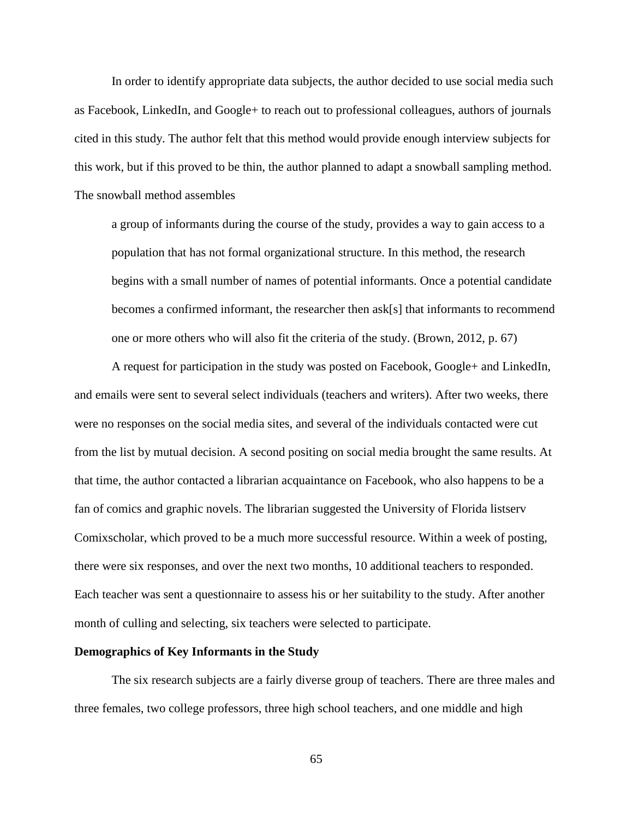In order to identify appropriate data subjects, the author decided to use social media such as Facebook, LinkedIn, and Google+ to reach out to professional colleagues, authors of journals cited in this study. The author felt that this method would provide enough interview subjects for this work, but if this proved to be thin, the author planned to adapt a snowball sampling method. The snowball method assembles

a group of informants during the course of the study, provides a way to gain access to a population that has not formal organizational structure. In this method, the research begins with a small number of names of potential informants. Once a potential candidate becomes a confirmed informant, the researcher then ask[s] that informants to recommend one or more others who will also fit the criteria of the study. (Brown, 2012, p. 67)

A request for participation in the study was posted on Facebook, Google+ and LinkedIn, and emails were sent to several select individuals (teachers and writers). After two weeks, there were no responses on the social media sites, and several of the individuals contacted were cut from the list by mutual decision. A second positing on social media brought the same results. At that time, the author contacted a librarian acquaintance on Facebook, who also happens to be a fan of comics and graphic novels. The librarian suggested the University of Florida listserv Comixscholar, which proved to be a much more successful resource. Within a week of posting, there were six responses, and over the next two months, 10 additional teachers to responded. Each teacher was sent a questionnaire to assess his or her suitability to the study. After another month of culling and selecting, six teachers were selected to participate.

#### **Demographics of Key Informants in the Study**

The six research subjects are a fairly diverse group of teachers. There are three males and three females, two college professors, three high school teachers, and one middle and high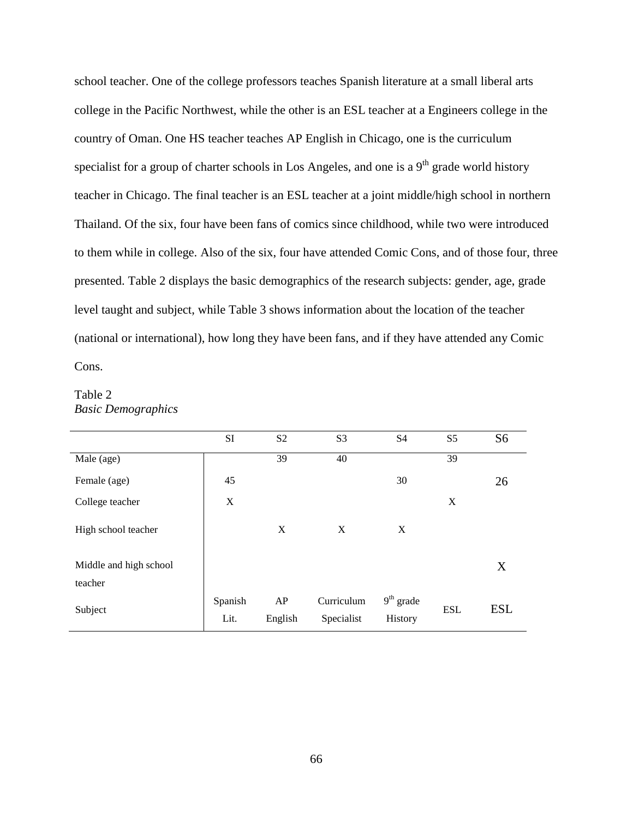school teacher. One of the college professors teaches Spanish literature at a small liberal arts college in the Pacific Northwest, while the other is an ESL teacher at a Engineers college in the country of Oman. One HS teacher teaches AP English in Chicago, one is the curriculum specialist for a group of charter schools in Los Angeles, and one is a  $9<sup>th</sup>$  grade world history teacher in Chicago. The final teacher is an ESL teacher at a joint middle/high school in northern Thailand. Of the six, four have been fans of comics since childhood, while two were introduced to them while in college. Also of the six, four have attended Comic Cons, and of those four, three presented. Table 2 displays the basic demographics of the research subjects: gender, age, grade level taught and subject, while Table 3 shows information about the location of the teacher (national or international), how long they have been fans, and if they have attended any Comic Cons.

# Table 2 *Basic Demographics*

|                        | SI              | S <sub>2</sub> | S <sub>3</sub>           | S <sub>4</sub>         | S <sub>5</sub> | S <sub>6</sub> |
|------------------------|-----------------|----------------|--------------------------|------------------------|----------------|----------------|
| Male (age)             |                 | 39             | 40                       |                        | 39             |                |
| Female (age)           | 45              |                |                          | 30                     |                | 26             |
| College teacher        | X               |                |                          |                        | X              |                |
| High school teacher    |                 | X              | X                        | X                      |                |                |
| Middle and high school |                 |                |                          |                        |                | X              |
| teacher                |                 |                |                          |                        |                |                |
| Subject                | Spanish<br>Lit. | AP<br>English  | Curriculum<br>Specialist | $9th$ grade<br>History | <b>ESL</b>     | <b>ESL</b>     |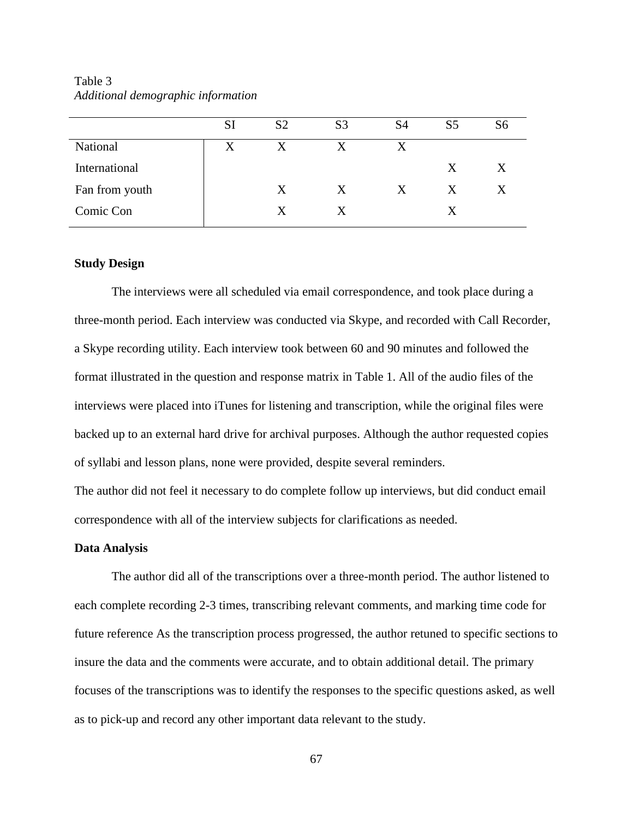Table 3 *Additional demographic information*

|                | <b>SI</b> | S <sub>2</sub> | S <sub>3</sub> | S <sub>4</sub> | S5 | S6 |
|----------------|-----------|----------------|----------------|----------------|----|----|
| National       | X         | X              | X              | X              |    |    |
| International  |           |                |                |                | X  | X  |
| Fan from youth |           | X              | X              | X              | X  | X  |
| Comic Con      |           | x              | X              |                | X  |    |
|                |           |                |                |                |    |    |

#### **Study Design**

The interviews were all scheduled via email correspondence, and took place during a three-month period. Each interview was conducted via Skype, and recorded with Call Recorder, a Skype recording utility. Each interview took between 60 and 90 minutes and followed the format illustrated in the question and response matrix in Table 1. All of the audio files of the interviews were placed into iTunes for listening and transcription, while the original files were backed up to an external hard drive for archival purposes. Although the author requested copies of syllabi and lesson plans, none were provided, despite several reminders.

The author did not feel it necessary to do complete follow up interviews, but did conduct email correspondence with all of the interview subjects for clarifications as needed.

#### **Data Analysis**

The author did all of the transcriptions over a three-month period. The author listened to each complete recording 2-3 times, transcribing relevant comments, and marking time code for future reference As the transcription process progressed, the author retuned to specific sections to insure the data and the comments were accurate, and to obtain additional detail. The primary focuses of the transcriptions was to identify the responses to the specific questions asked, as well as to pick-up and record any other important data relevant to the study.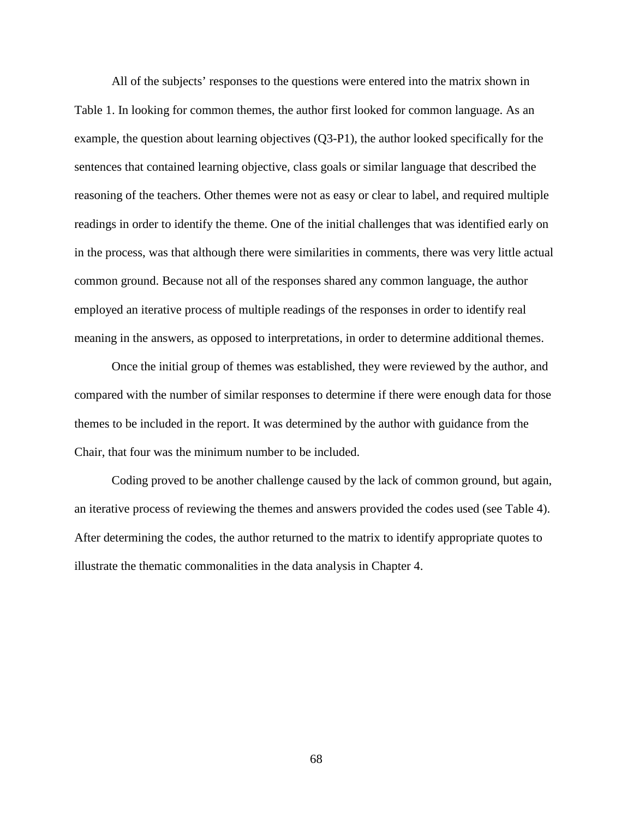All of the subjects' responses to the questions were entered into the matrix shown in Table 1. In looking for common themes, the author first looked for common language. As an example, the question about learning objectives (Q3-P1), the author looked specifically for the sentences that contained learning objective, class goals or similar language that described the reasoning of the teachers. Other themes were not as easy or clear to label, and required multiple readings in order to identify the theme. One of the initial challenges that was identified early on in the process, was that although there were similarities in comments, there was very little actual common ground. Because not all of the responses shared any common language, the author employed an iterative process of multiple readings of the responses in order to identify real meaning in the answers, as opposed to interpretations, in order to determine additional themes.

Once the initial group of themes was established, they were reviewed by the author, and compared with the number of similar responses to determine if there were enough data for those themes to be included in the report. It was determined by the author with guidance from the Chair, that four was the minimum number to be included.

Coding proved to be another challenge caused by the lack of common ground, but again, an iterative process of reviewing the themes and answers provided the codes used (see Table 4). After determining the codes, the author returned to the matrix to identify appropriate quotes to illustrate the thematic commonalities in the data analysis in Chapter 4.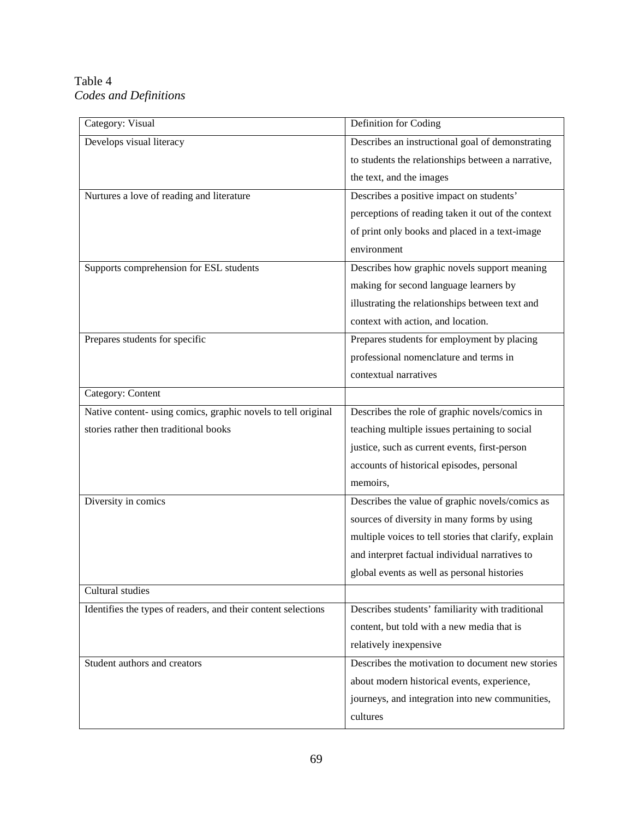# Table 4 *Codes and Definitions*

| Category: Visual                                              | Definition for Coding                                 |
|---------------------------------------------------------------|-------------------------------------------------------|
| Develops visual literacy                                      | Describes an instructional goal of demonstrating      |
|                                                               | to students the relationships between a narrative,    |
|                                                               | the text, and the images                              |
| Nurtures a love of reading and literature                     | Describes a positive impact on students'              |
|                                                               | perceptions of reading taken it out of the context    |
|                                                               | of print only books and placed in a text-image        |
|                                                               | environment                                           |
| Supports comprehension for ESL students                       | Describes how graphic novels support meaning          |
|                                                               | making for second language learners by                |
|                                                               | illustrating the relationships between text and       |
|                                                               | context with action, and location.                    |
| Prepares students for specific                                | Prepares students for employment by placing           |
|                                                               | professional nomenclature and terms in                |
|                                                               | contextual narratives                                 |
| Category: Content                                             |                                                       |
| Native content- using comics, graphic novels to tell original | Describes the role of graphic novels/comics in        |
| stories rather then traditional books                         | teaching multiple issues pertaining to social         |
|                                                               | justice, such as current events, first-person         |
|                                                               | accounts of historical episodes, personal             |
|                                                               | memoirs,                                              |
| Diversity in comics                                           | Describes the value of graphic novels/comics as       |
|                                                               | sources of diversity in many forms by using           |
|                                                               | multiple voices to tell stories that clarify, explain |
|                                                               | and interpret factual individual narratives to        |
|                                                               | global events as well as personal histories           |
| Cultural studies                                              |                                                       |
| Identifies the types of readers, and their content selections | Describes students' familiarity with traditional      |
|                                                               | content, but told with a new media that is            |
|                                                               | relatively inexpensive                                |
| Student authors and creators                                  | Describes the motivation to document new stories      |
|                                                               | about modern historical events, experience,           |
|                                                               | journeys, and integration into new communities,       |
|                                                               | cultures                                              |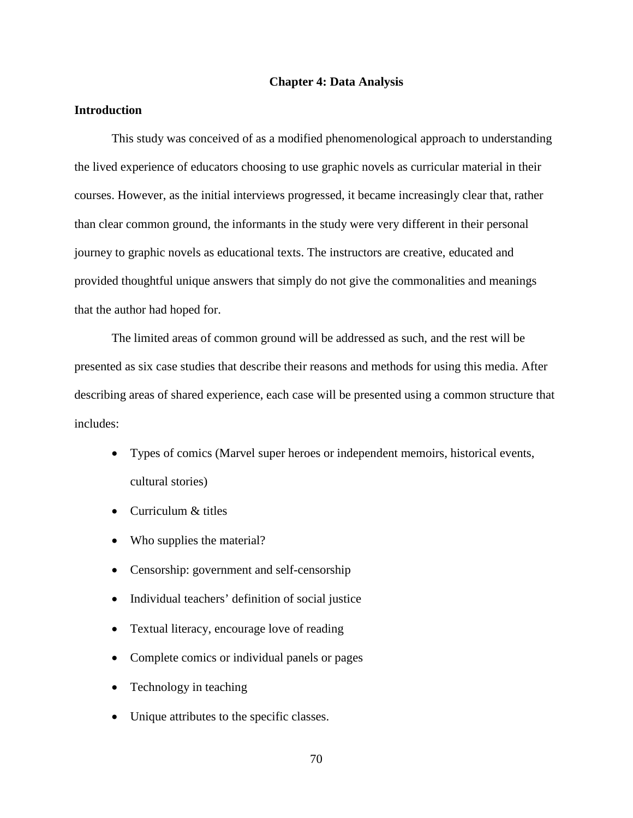#### **Chapter 4: Data Analysis**

# **Introduction**

This study was conceived of as a modified phenomenological approach to understanding the lived experience of educators choosing to use graphic novels as curricular material in their courses. However, as the initial interviews progressed, it became increasingly clear that, rather than clear common ground, the informants in the study were very different in their personal journey to graphic novels as educational texts. The instructors are creative, educated and provided thoughtful unique answers that simply do not give the commonalities and meanings that the author had hoped for.

The limited areas of common ground will be addressed as such, and the rest will be presented as six case studies that describe their reasons and methods for using this media. After describing areas of shared experience, each case will be presented using a common structure that includes:

- Types of comics (Marvel super heroes or independent memoirs, historical events, cultural stories)
- Curriculum & titles
- Who supplies the material?
- Censorship: government and self-censorship
- Individual teachers' definition of social justice
- Textual literacy, encourage love of reading
- Complete comics or individual panels or pages
- Technology in teaching
- Unique attributes to the specific classes.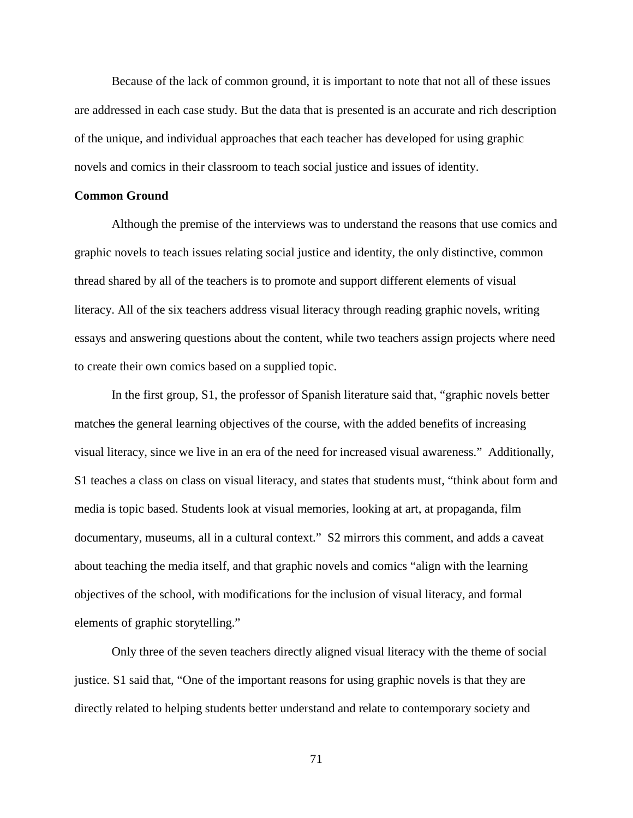Because of the lack of common ground, it is important to note that not all of these issues are addressed in each case study. But the data that is presented is an accurate and rich description of the unique, and individual approaches that each teacher has developed for using graphic novels and comics in their classroom to teach social justice and issues of identity.

#### **Common Ground**

Although the premise of the interviews was to understand the reasons that use comics and graphic novels to teach issues relating social justice and identity, the only distinctive, common thread shared by all of the teachers is to promote and support different elements of visual literacy. All of the six teachers address visual literacy through reading graphic novels, writing essays and answering questions about the content, while two teachers assign projects where need to create their own comics based on a supplied topic.

In the first group, S1, the professor of Spanish literature said that, "graphic novels better matches the general learning objectives of the course, with the added benefits of increasing visual literacy, since we live in an era of the need for increased visual awareness." Additionally, S1 teaches a class on class on visual literacy, and states that students must, "think about form and media is topic based. Students look at visual memories, looking at art, at propaganda, film documentary, museums, all in a cultural context." S2 mirrors this comment, and adds a caveat about teaching the media itself, and that graphic novels and comics "align with the learning objectives of the school, with modifications for the inclusion of visual literacy, and formal elements of graphic storytelling."

Only three of the seven teachers directly aligned visual literacy with the theme of social justice. S1 said that, "One of the important reasons for using graphic novels is that they are directly related to helping students better understand and relate to contemporary society and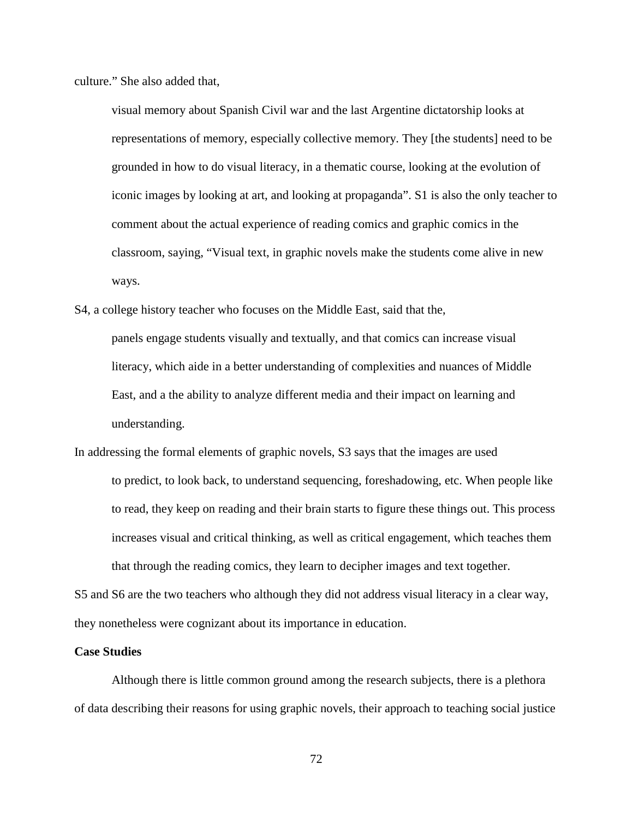culture." She also added that,

visual memory about Spanish Civil war and the last Argentine dictatorship looks at representations of memory, especially collective memory. They [the students] need to be grounded in how to do visual literacy, in a thematic course, looking at the evolution of iconic images by looking at art, and looking at propaganda". S1 is also the only teacher to comment about the actual experience of reading comics and graphic comics in the classroom, saying, "Visual text, in graphic novels make the students come alive in new ways.

S4, a college history teacher who focuses on the Middle East, said that the,

panels engage students visually and textually, and that comics can increase visual literacy, which aide in a better understanding of complexities and nuances of Middle East, and a the ability to analyze different media and their impact on learning and understanding.

In addressing the formal elements of graphic novels, S3 says that the images are used to predict, to look back, to understand sequencing, foreshadowing, etc. When people like to read, they keep on reading and their brain starts to figure these things out. This process increases visual and critical thinking, as well as critical engagement, which teaches them that through the reading comics, they learn to decipher images and text together.

S5 and S6 are the two teachers who although they did not address visual literacy in a clear way, they nonetheless were cognizant about its importance in education.

## **Case Studies**

Although there is little common ground among the research subjects, there is a plethora of data describing their reasons for using graphic novels, their approach to teaching social justice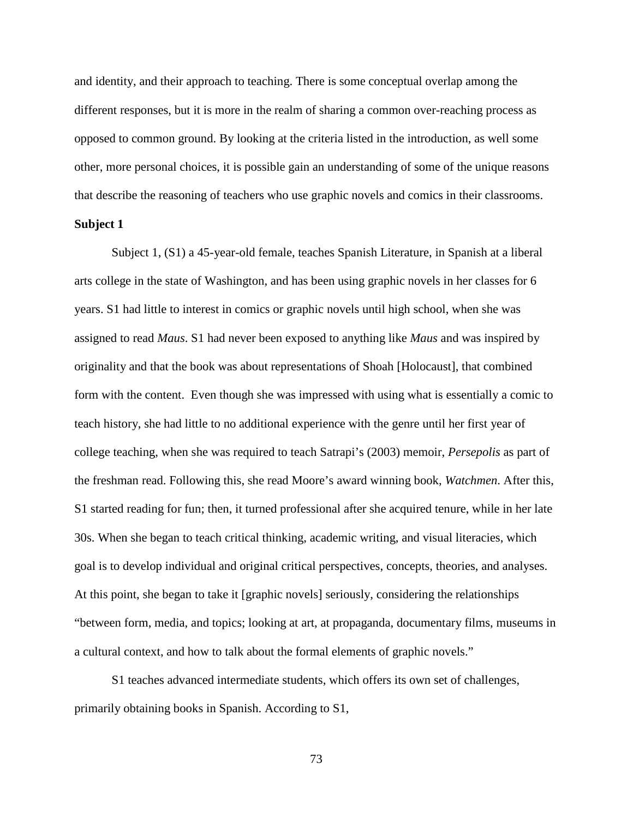and identity, and their approach to teaching. There is some conceptual overlap among the different responses, but it is more in the realm of sharing a common over-reaching process as opposed to common ground. By looking at the criteria listed in the introduction, as well some other, more personal choices, it is possible gain an understanding of some of the unique reasons that describe the reasoning of teachers who use graphic novels and comics in their classrooms.

## **Subject 1**

Subject 1, (S1) a 45-year-old female, teaches Spanish Literature, in Spanish at a liberal arts college in the state of Washington, and has been using graphic novels in her classes for 6 years. S1 had little to interest in comics or graphic novels until high school, when she was assigned to read *Maus*. S1 had never been exposed to anything like *Maus* and was inspired by originality and that the book was about representations of Shoah [Holocaust], that combined form with the content. Even though she was impressed with using what is essentially a comic to teach history, she had little to no additional experience with the genre until her first year of college teaching, when she was required to teach Satrapi's (2003) memoir, *Persepolis* as part of the freshman read. Following this, she read Moore's award winning book, *Watchmen*. After this, S1 started reading for fun; then, it turned professional after she acquired tenure, while in her late 30s. When she began to teach critical thinking, academic writing, and visual literacies, which goal is to develop individual and original critical perspectives, concepts, theories, and analyses. At this point, she began to take it [graphic novels] seriously, considering the relationships "between form, media, and topics; looking at art, at propaganda, documentary films, museums in a cultural context, and how to talk about the formal elements of graphic novels."

S1 teaches advanced intermediate students, which offers its own set of challenges, primarily obtaining books in Spanish. According to S1,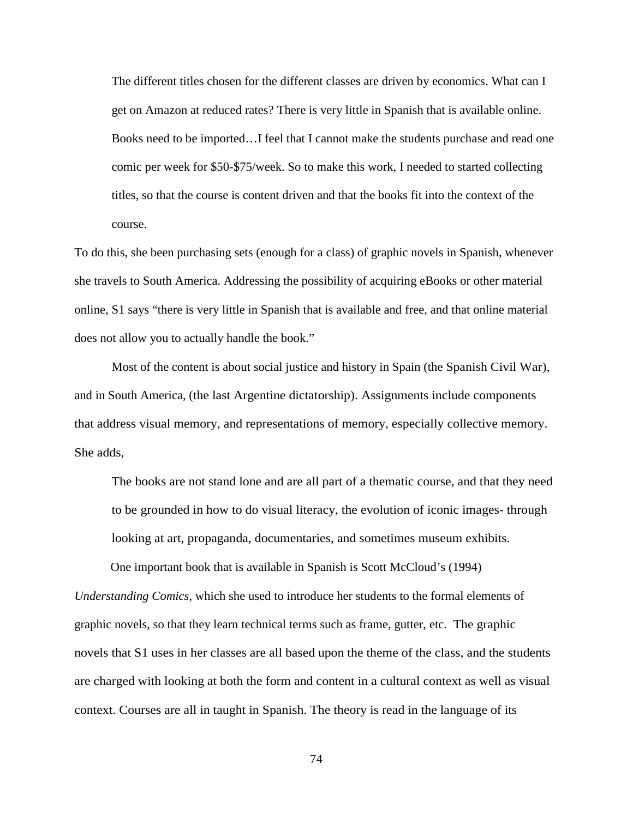The different titles chosen for the different classes are driven by economics. What can I get on Amazon at reduced rates? There is very little in Spanish that is available online. Books need to be imported…I feel that I cannot make the students purchase and read one comic per week for \$50-\$75/week. So to make this work, I needed to started collecting titles, so that the course is content driven and that the books fit into the context of the course.

To do this, she been purchasing sets (enough for a class) of graphic novels in Spanish, whenever she travels to South America. Addressing the possibility of acquiring eBooks or other material online, S1 says "there is very little in Spanish that is available and free, and that online material does not allow you to actually handle the book."

Most of the content is about social justice and history in Spain (the Spanish Civil War), and in South America, (the last Argentine dictatorship). Assignments include components that address visual memory, and representations of memory, especially collective memory. She adds,

The books are not stand lone and are all part of a thematic course, and that they need to be grounded in how to do visual literacy, the evolution of iconic images- through looking at art, propaganda, documentaries, and sometimes museum exhibits.

One important book that is available in Spanish is Scott McCloud's (1994) *Understanding Comics*, which she used to introduce her students to the formal elements of graphic novels, so that they learn technical terms such as frame, gutter, etc. The graphic novels that S1 uses in her classes are all based upon the theme of the class, and the students are charged with looking at both the form and content in a cultural context as well as visual context. Courses are all in taught in Spanish. The theory is read in the language of its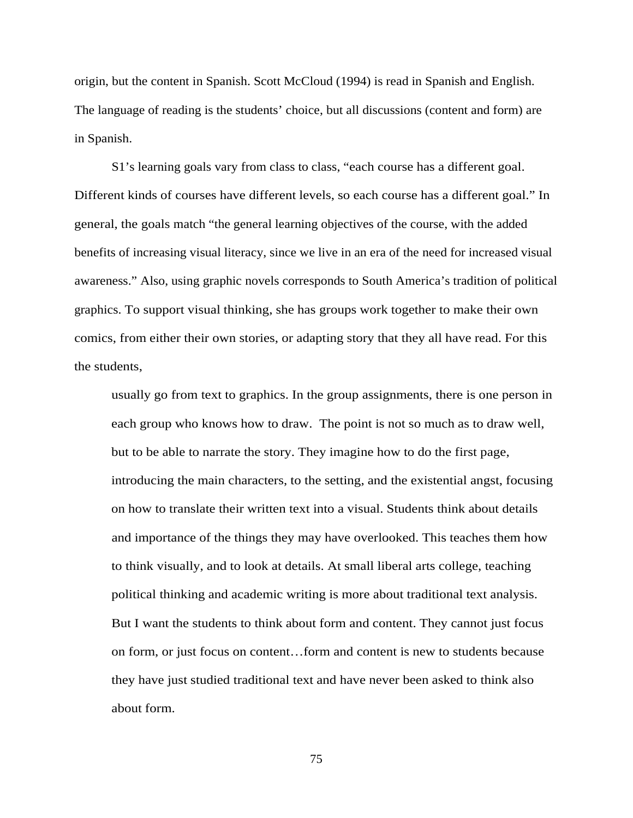origin, but the content in Spanish. Scott McCloud (1994) is read in Spanish and English. The language of reading is the students' choice, but all discussions (content and form) are in Spanish.

S1's learning goals vary from class to class, "each course has a different goal. Different kinds of courses have different levels, so each course has a different goal." In general, the goals match "the general learning objectives of the course, with the added benefits of increasing visual literacy, since we live in an era of the need for increased visual awareness." Also, using graphic novels corresponds to South America's tradition of political graphics. To support visual thinking, she has groups work together to make their own comics, from either their own stories, or adapting story that they all have read. For this the students,

usually go from text to graphics. In the group assignments, there is one person in each group who knows how to draw. The point is not so much as to draw well, but to be able to narrate the story. They imagine how to do the first page, introducing the main characters, to the setting, and the existential angst, focusing on how to translate their written text into a visual. Students think about details and importance of the things they may have overlooked. This teaches them how to think visually, and to look at details. At small liberal arts college, teaching political thinking and academic writing is more about traditional text analysis. But I want the students to think about form and content. They cannot just focus on form, or just focus on content…form and content is new to students because they have just studied traditional text and have never been asked to think also about form.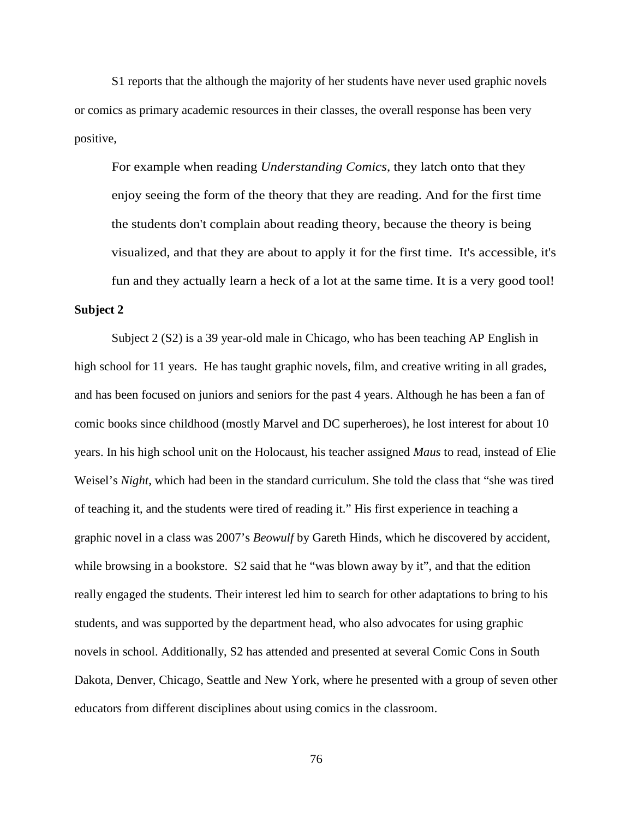S1 reports that the although the majority of her students have never used graphic novels or comics as primary academic resources in their classes, the overall response has been very positive,

For example when reading *Understanding Comics*, they latch onto that they enjoy seeing the form of the theory that they are reading. And for the first time the students don't complain about reading theory, because the theory is being visualized, and that they are about to apply it for the first time. It's accessible, it's fun and they actually learn a heck of a lot at the same time. It is a very good tool!

#### **Subject 2**

Subject 2 (S2) is a 39 year-old male in Chicago, who has been teaching AP English in high school for 11 years. He has taught graphic novels, film, and creative writing in all grades, and has been focused on juniors and seniors for the past 4 years. Although he has been a fan of comic books since childhood (mostly Marvel and DC superheroes), he lost interest for about 10 years. In his high school unit on the Holocaust, his teacher assigned *Maus* to read, instead of Elie Weisel's *Night*, which had been in the standard curriculum. She told the class that "she was tired of teaching it, and the students were tired of reading it." His first experience in teaching a graphic novel in a class was 2007's *Beowulf* by Gareth Hinds, which he discovered by accident, while browsing in a bookstore. S2 said that he "was blown away by it", and that the edition really engaged the students. Their interest led him to search for other adaptations to bring to his students, and was supported by the department head, who also advocates for using graphic novels in school. Additionally, S2 has attended and presented at several Comic Cons in South Dakota, Denver, Chicago, Seattle and New York, where he presented with a group of seven other educators from different disciplines about using comics in the classroom.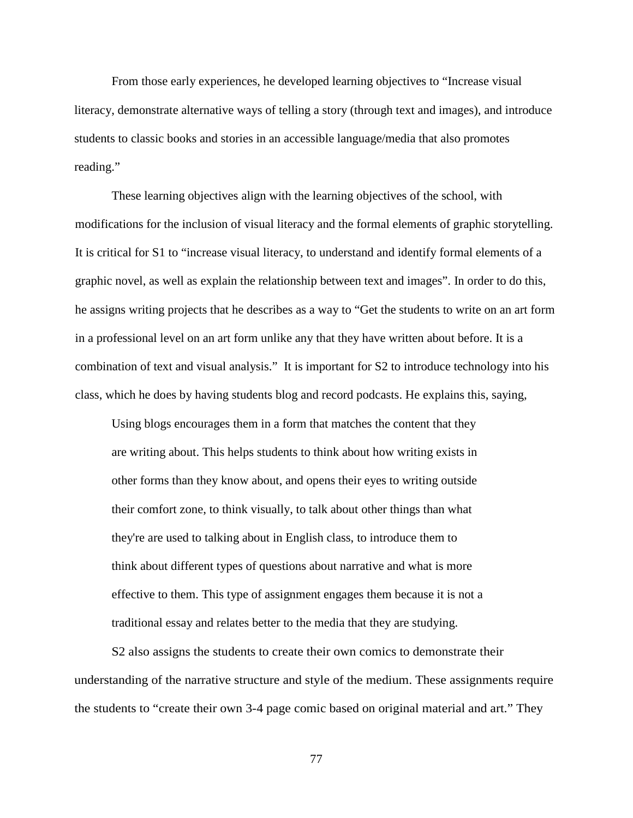From those early experiences, he developed learning objectives to "Increase visual literacy, demonstrate alternative ways of telling a story (through text and images), and introduce students to classic books and stories in an accessible language/media that also promotes reading."

These learning objectives align with the learning objectives of the school, with modifications for the inclusion of visual literacy and the formal elements of graphic storytelling. It is critical for S1 to "increase visual literacy, to understand and identify formal elements of a graphic novel, as well as explain the relationship between text and images". In order to do this, he assigns writing projects that he describes as a way to "Get the students to write on an art form in a professional level on an art form unlike any that they have written about before. It is a combination of text and visual analysis." It is important for S2 to introduce technology into his class, which he does by having students blog and record podcasts. He explains this, saying,

Using blogs encourages them in a form that matches the content that they are writing about. This helps students to think about how writing exists in other forms than they know about, and opens their eyes to writing outside their comfort zone, to think visually, to talk about other things than what they're are used to talking about in English class, to introduce them to think about different types of questions about narrative and what is more effective to them. This type of assignment engages them because it is not a traditional essay and relates better to the media that they are studying.

S2 also assigns the students to create their own comics to demonstrate their understanding of the narrative structure and style of the medium. These assignments require the students to "create their own 3-4 page comic based on original material and art." They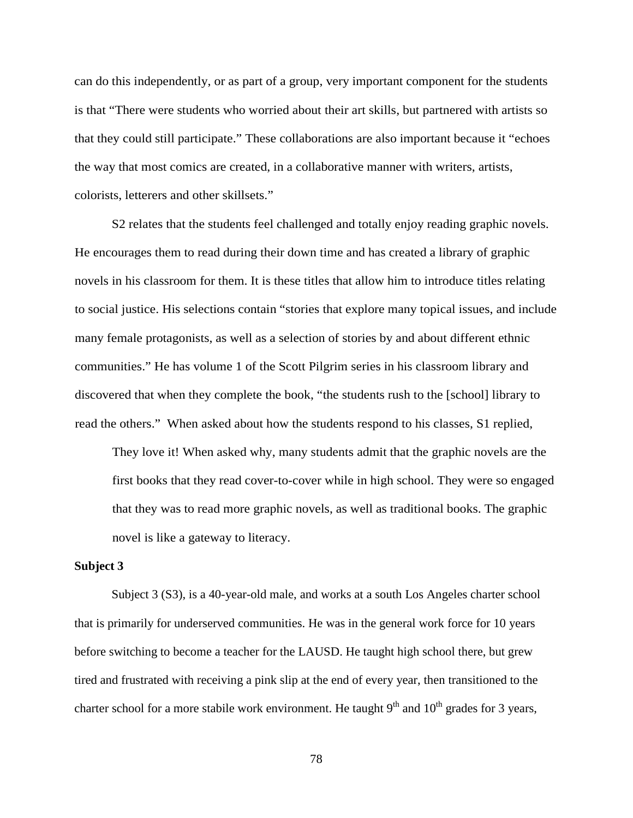can do this independently, or as part of a group, very important component for the students is that "There were students who worried about their art skills, but partnered with artists so that they could still participate." These collaborations are also important because it "echoes the way that most comics are created, in a collaborative manner with writers, artists, colorists, letterers and other skillsets."

S2 relates that the students feel challenged and totally enjoy reading graphic novels. He encourages them to read during their down time and has created a library of graphic novels in his classroom for them. It is these titles that allow him to introduce titles relating to social justice. His selections contain "stories that explore many topical issues, and include many female protagonists, as well as a selection of stories by and about different ethnic communities." He has volume 1 of the Scott Pilgrim series in his classroom library and discovered that when they complete the book, "the students rush to the [school] library to read the others." When asked about how the students respond to his classes, S1 replied,

They love it! When asked why, many students admit that the graphic novels are the first books that they read cover-to-cover while in high school. They were so engaged that they was to read more graphic novels, as well as traditional books. The graphic novel is like a gateway to literacy.

#### **Subject 3**

Subject 3 (S3), is a 40-year-old male, and works at a south Los Angeles charter school that is primarily for underserved communities. He was in the general work force for 10 years before switching to become a teacher for the LAUSD. He taught high school there, but grew tired and frustrated with receiving a pink slip at the end of every year, then transitioned to the charter school for a more stabile work environment. He taught  $9<sup>th</sup>$  and  $10<sup>th</sup>$  grades for 3 years,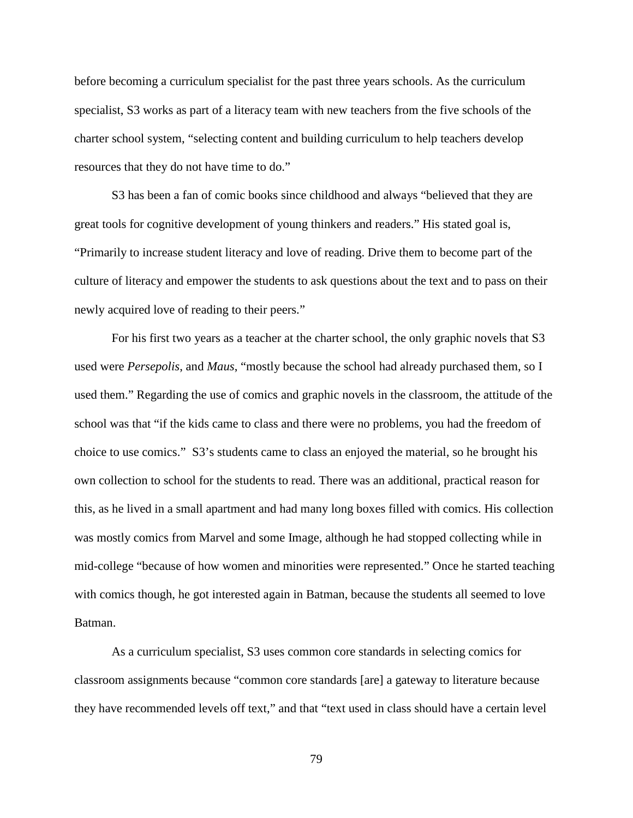before becoming a curriculum specialist for the past three years schools. As the curriculum specialist, S3 works as part of a literacy team with new teachers from the five schools of the charter school system, "selecting content and building curriculum to help teachers develop resources that they do not have time to do."

S3 has been a fan of comic books since childhood and always "believed that they are great tools for cognitive development of young thinkers and readers." His stated goal is, "Primarily to increase student literacy and love of reading. Drive them to become part of the culture of literacy and empower the students to ask questions about the text and to pass on their newly acquired love of reading to their peers."

For his first two years as a teacher at the charter school, the only graphic novels that S3 used were *Persepolis*, and *Maus*, "mostly because the school had already purchased them, so I used them." Regarding the use of comics and graphic novels in the classroom, the attitude of the school was that "if the kids came to class and there were no problems, you had the freedom of choice to use comics." S3's students came to class an enjoyed the material, so he brought his own collection to school for the students to read. There was an additional, practical reason for this, as he lived in a small apartment and had many long boxes filled with comics. His collection was mostly comics from Marvel and some Image, although he had stopped collecting while in mid-college "because of how women and minorities were represented." Once he started teaching with comics though, he got interested again in Batman, because the students all seemed to love Batman.

As a curriculum specialist, S3 uses common core standards in selecting comics for classroom assignments because "common core standards [are] a gateway to literature because they have recommended levels off text," and that "text used in class should have a certain level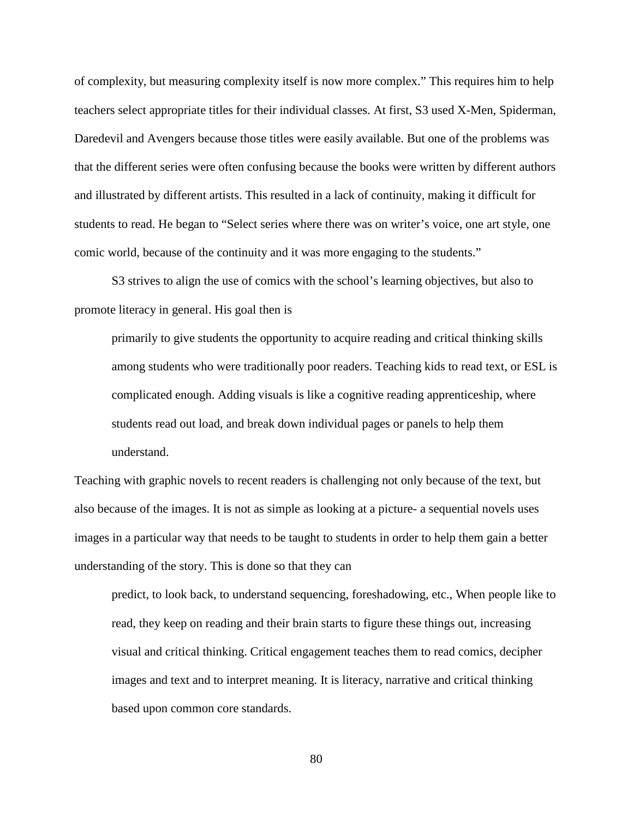of complexity, but measuring complexity itself is now more complex." This requires him to help teachers select appropriate titles for their individual classes. At first, S3 used X-Men, Spiderman, Daredevil and Avengers because those titles were easily available. But one of the problems was that the different series were often confusing because the books were written by different authors and illustrated by different artists. This resulted in a lack of continuity, making it difficult for students to read. He began to "Select series where there was on writer's voice, one art style, one comic world, because of the continuity and it was more engaging to the students."

S3 strives to align the use of comics with the school's learning objectives, but also to promote literacy in general. His goal then is

primarily to give students the opportunity to acquire reading and critical thinking skills among students who were traditionally poor readers. Teaching kids to read text, or ESL is complicated enough. Adding visuals is like a cognitive reading apprenticeship, where students read out load, and break down individual pages or panels to help them understand.

Teaching with graphic novels to recent readers is challenging not only because of the text, but also because of the images. It is not as simple as looking at a picture- a sequential novels uses images in a particular way that needs to be taught to students in order to help them gain a better understanding of the story. This is done so that they can

predict, to look back, to understand sequencing, foreshadowing, etc., When people like to read, they keep on reading and their brain starts to figure these things out, increasing visual and critical thinking. Critical engagement teaches them to read comics, decipher images and text and to interpret meaning. It is literacy, narrative and critical thinking based upon common core standards.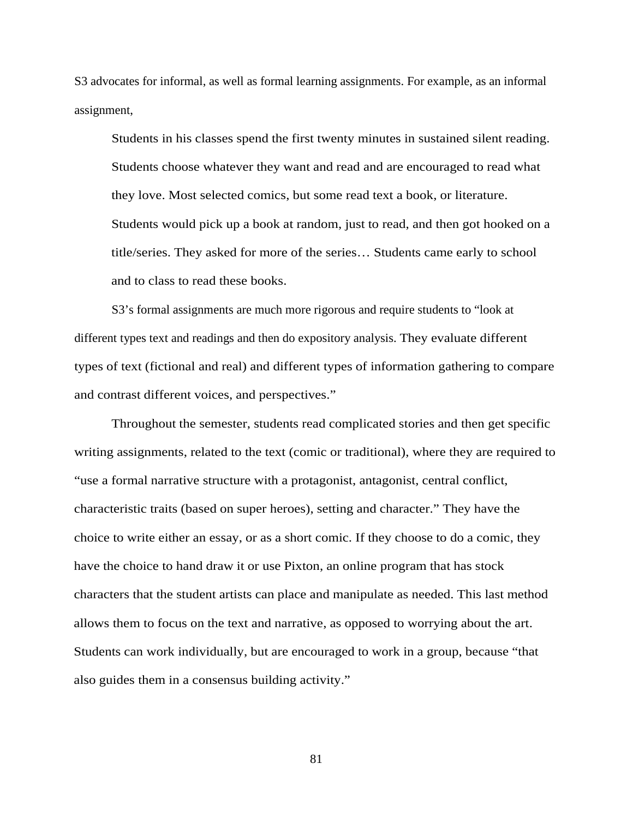S3 advocates for informal, as well as formal learning assignments. For example, as an informal assignment,

Students in his classes spend the first twenty minutes in sustained silent reading. Students choose whatever they want and read and are encouraged to read what they love. Most selected comics, but some read text a book, or literature. Students would pick up a book at random, just to read, and then got hooked on a title/series. They asked for more of the series… Students came early to school and to class to read these books.

S3's formal assignments are much more rigorous and require students to "look at different types text and readings and then do expository analysis. They evaluate different types of text (fictional and real) and different types of information gathering to compare and contrast different voices, and perspectives."

Throughout the semester, students read complicated stories and then get specific writing assignments, related to the text (comic or traditional), where they are required to "use a formal narrative structure with a protagonist, antagonist, central conflict, characteristic traits (based on super heroes), setting and character." They have the choice to write either an essay, or as a short comic. If they choose to do a comic, they have the choice to hand draw it or use Pixton, an online program that has stock characters that the student artists can place and manipulate as needed. This last method allows them to focus on the text and narrative, as opposed to worrying about the art. Students can work individually, but are encouraged to work in a group, because "that also guides them in a consensus building activity."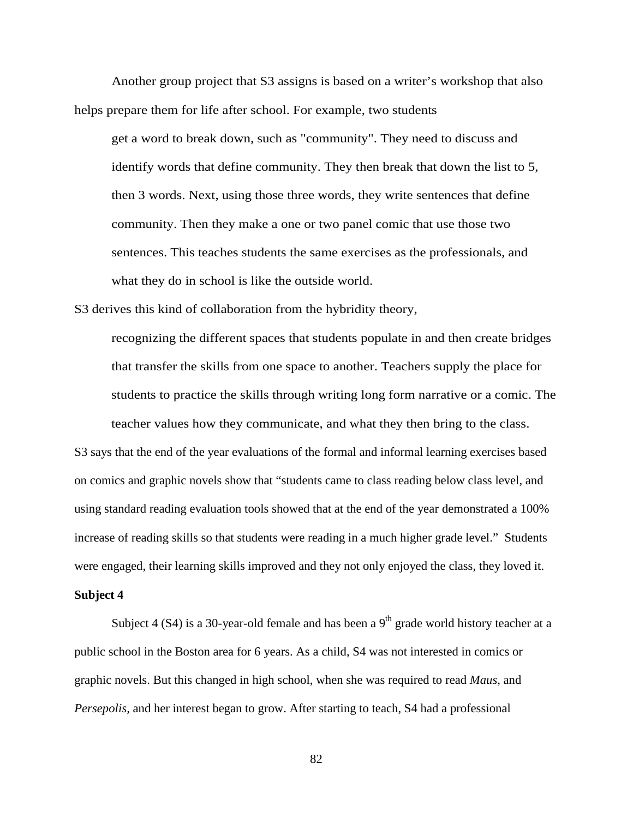Another group project that S3 assigns is based on a writer's workshop that also helps prepare them for life after school. For example, two students

get a word to break down, such as "community". They need to discuss and identify words that define community. They then break that down the list to 5, then 3 words. Next, using those three words, they write sentences that define community. Then they make a one or two panel comic that use those two sentences. This teaches students the same exercises as the professionals, and what they do in school is like the outside world.

S3 derives this kind of collaboration from the hybridity theory,

recognizing the different spaces that students populate in and then create bridges that transfer the skills from one space to another. Teachers supply the place for students to practice the skills through writing long form narrative or a comic. The teacher values how they communicate, and what they then bring to the class.

S3 says that the end of the year evaluations of the formal and informal learning exercises based on comics and graphic novels show that "students came to class reading below class level, and using standard reading evaluation tools showed that at the end of the year demonstrated a 100% increase of reading skills so that students were reading in a much higher grade level." Students were engaged, their learning skills improved and they not only enjoyed the class, they loved it.

#### **Subject 4**

Subject 4 (S4) is a 30-year-old female and has been a  $9<sup>th</sup>$  grade world history teacher at a public school in the Boston area for 6 years. As a child, S4 was not interested in comics or graphic novels. But this changed in high school, when she was required to read *Maus*, and *Persepolis,* and her interest began to grow. After starting to teach, S4 had a professional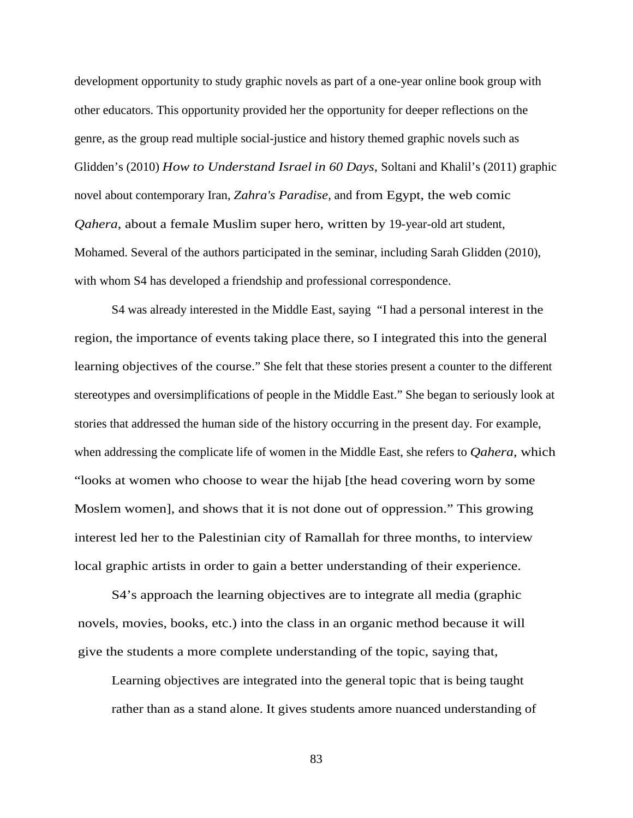development opportunity to study graphic novels as part of a one-year online book group with other educators. This opportunity provided her the opportunity for deeper reflections on the genre, as the group read multiple social-justice and history themed graphic novels such as Glidden's (2010) *How to Understand Israel in 60 Days*, Soltani and Khalil's (2011) graphic novel about contemporary Iran, *Zahra's Paradise*, and from Egypt, the web comic *Qahera*, about a female Muslim super hero, written by 19-year-old art student, Mohamed. Several of the authors participated in the seminar, including Sarah Glidden (2010), with whom S4 has developed a friendship and professional correspondence.

S4 was already interested in the Middle East, saying "I had a personal interest in the region, the importance of events taking place there, so I integrated this into the general learning objectives of the course." She felt that these stories present a counter to the different stereotypes and oversimplifications of people in the Middle East." She began to seriously look at stories that addressed the human side of the history occurring in the present day. For example, when addressing the complicate life of women in the Middle East, she refers to *Qahera,* which "looks at women who choose to wear the hijab [the head covering worn by some Moslem women], and shows that it is not done out of oppression." This growing interest led her to the Palestinian city of Ramallah for three months, to interview local graphic artists in order to gain a better understanding of their experience.

S4's approach the learning objectives are to integrate all media (graphic novels, movies, books, etc.) into the class in an organic method because it will give the students a more complete understanding of the topic, saying that,

Learning objectives are integrated into the general topic that is being taught rather than as a stand alone. It gives students amore nuanced understanding of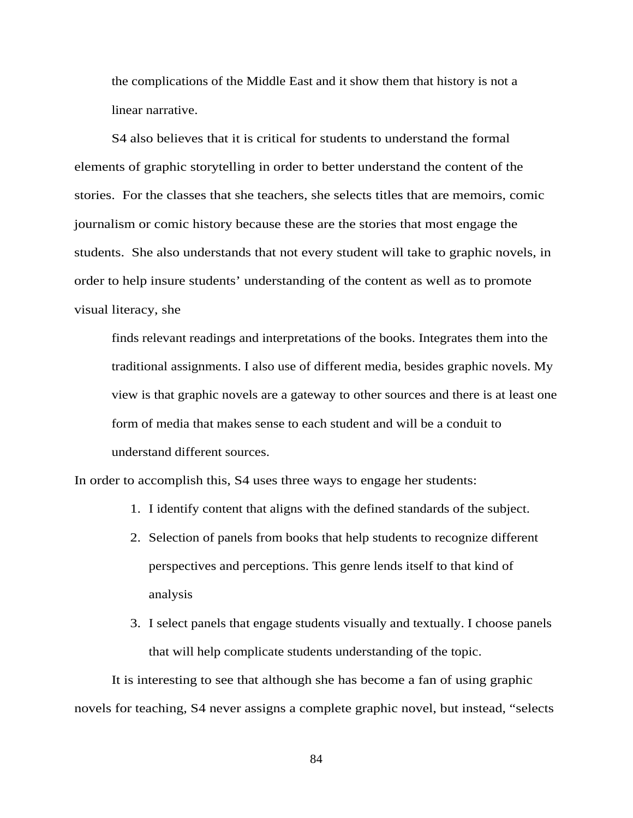the complications of the Middle East and it show them that history is not a linear narrative.

S4 also believes that it is critical for students to understand the formal elements of graphic storytelling in order to better understand the content of the stories. For the classes that she teachers, she selects titles that are memoirs, comic journalism or comic history because these are the stories that most engage the students. She also understands that not every student will take to graphic novels, in order to help insure students' understanding of the content as well as to promote visual literacy, she

finds relevant readings and interpretations of the books. Integrates them into the traditional assignments. I also use of different media, besides graphic novels. My view is that graphic novels are a gateway to other sources and there is at least one form of media that makes sense to each student and will be a conduit to understand different sources.

In order to accomplish this, S4 uses three ways to engage her students:

- 1. I identify content that aligns with the defined standards of the subject.
- 2. Selection of panels from books that help students to recognize different perspectives and perceptions. This genre lends itself to that kind of analysis
- 3. I select panels that engage students visually and textually. I choose panels that will help complicate students understanding of the topic.

It is interesting to see that although she has become a fan of using graphic novels for teaching, S4 never assigns a complete graphic novel, but instead, "selects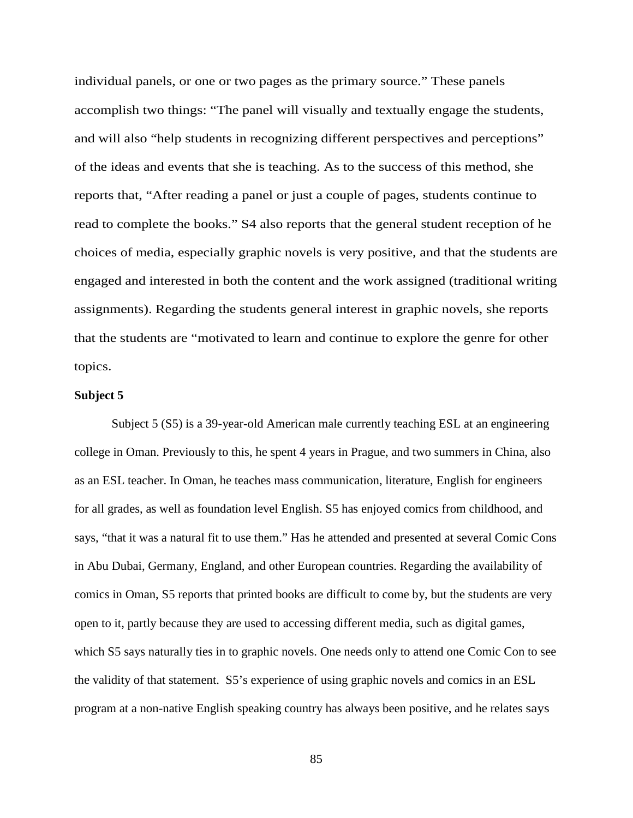individual panels, or one or two pages as the primary source." These panels accomplish two things: "The panel will visually and textually engage the students, and will also "help students in recognizing different perspectives and perceptions" of the ideas and events that she is teaching. As to the success of this method, she reports that, "After reading a panel or just a couple of pages, students continue to read to complete the books." S4 also reports that the general student reception of he choices of media, especially graphic novels is very positive, and that the students are engaged and interested in both the content and the work assigned (traditional writing assignments). Regarding the students general interest in graphic novels, she reports that the students are "motivated to learn and continue to explore the genre for other topics.

## **Subject 5**

Subject 5 (S5) is a 39-year-old American male currently teaching ESL at an engineering college in Oman. Previously to this, he spent 4 years in Prague, and two summers in China, also as an ESL teacher. In Oman, he teaches mass communication, literature, English for engineers for all grades, as well as foundation level English. S5 has enjoyed comics from childhood, and says, "that it was a natural fit to use them." Has he attended and presented at several Comic Cons in Abu Dubai, Germany, England, and other European countries. Regarding the availability of comics in Oman, S5 reports that printed books are difficult to come by, but the students are very open to it, partly because they are used to accessing different media, such as digital games, which S5 says naturally ties in to graphic novels. One needs only to attend one Comic Con to see the validity of that statement. S5's experience of using graphic novels and comics in an ESL program at a non-native English speaking country has always been positive, and he relates says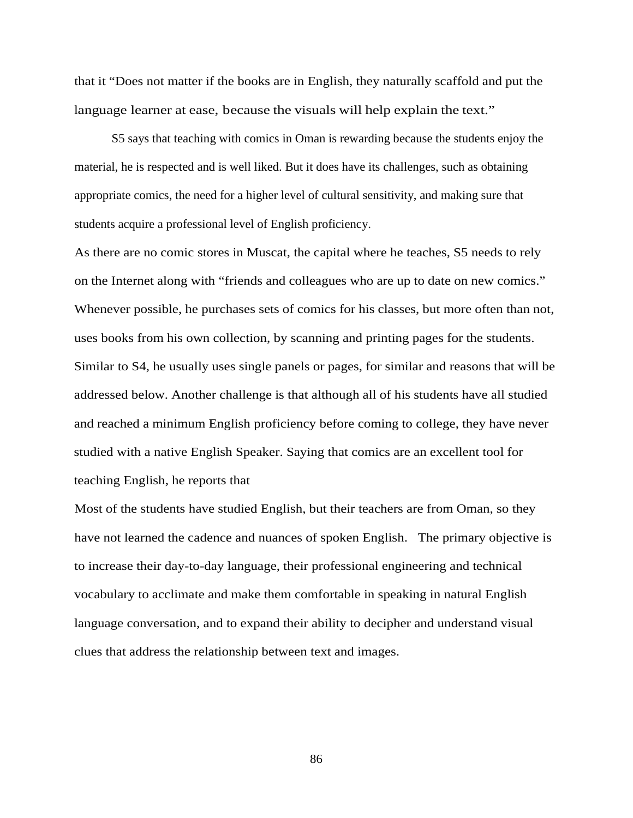that it "Does not matter if the books are in English, they naturally scaffold and put the language learner at ease, because the visuals will help explain the text."

S5 says that teaching with comics in Oman is rewarding because the students enjoy the material, he is respected and is well liked. But it does have its challenges, such as obtaining appropriate comics, the need for a higher level of cultural sensitivity, and making sure that students acquire a professional level of English proficiency.

As there are no comic stores in Muscat, the capital where he teaches, S5 needs to rely on the Internet along with "friends and colleagues who are up to date on new comics." Whenever possible, he purchases sets of comics for his classes, but more often than not, uses books from his own collection, by scanning and printing pages for the students. Similar to S4, he usually uses single panels or pages, for similar and reasons that will be addressed below. Another challenge is that although all of his students have all studied and reached a minimum English proficiency before coming to college, they have never studied with a native English Speaker. Saying that comics are an excellent tool for teaching English, he reports that

Most of the students have studied English, but their teachers are from Oman, so they have not learned the cadence and nuances of spoken English. The primary objective is to increase their day-to-day language, their professional engineering and technical vocabulary to acclimate and make them comfortable in speaking in natural English language conversation, and to expand their ability to decipher and understand visual clues that address the relationship between text and images.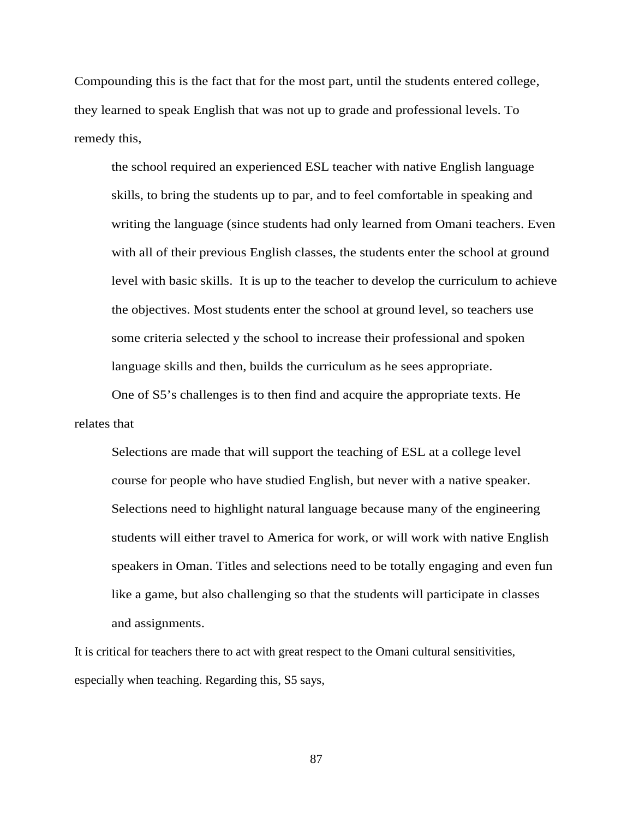Compounding this is the fact that for the most part, until the students entered college, they learned to speak English that was not up to grade and professional levels. To remedy this,

the school required an experienced ESL teacher with native English language skills, to bring the students up to par, and to feel comfortable in speaking and writing the language (since students had only learned from Omani teachers. Even with all of their previous English classes, the students enter the school at ground level with basic skills. It is up to the teacher to develop the curriculum to achieve the objectives. Most students enter the school at ground level, so teachers use some criteria selected y the school to increase their professional and spoken language skills and then, builds the curriculum as he sees appropriate.

One of S5's challenges is to then find and acquire the appropriate texts. He relates that

Selections are made that will support the teaching of ESL at a college level course for people who have studied English, but never with a native speaker. Selections need to highlight natural language because many of the engineering students will either travel to America for work, or will work with native English speakers in Oman. Titles and selections need to be totally engaging and even fun like a game, but also challenging so that the students will participate in classes and assignments.

It is critical for teachers there to act with great respect to the Omani cultural sensitivities, especially when teaching. Regarding this, S5 says,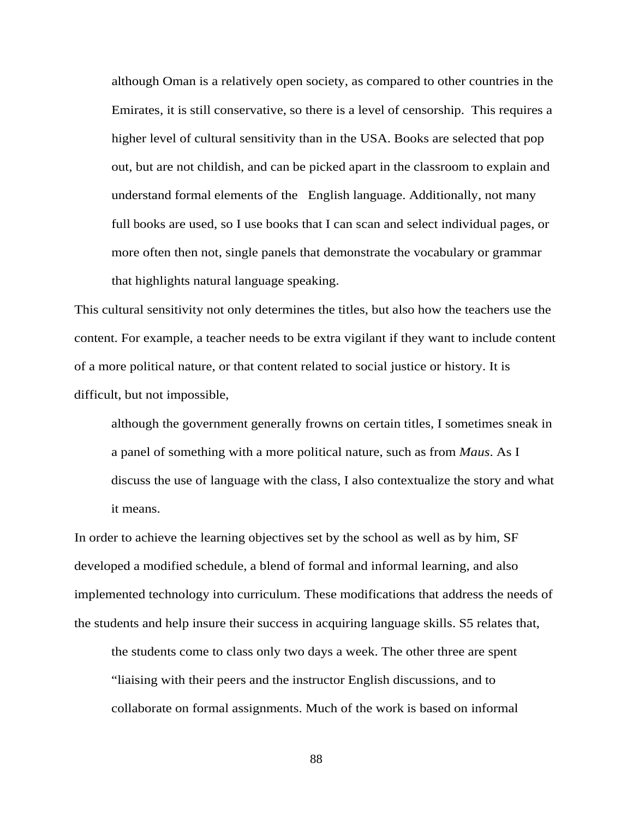although Oman is a relatively open society, as compared to other countries in the Emirates, it is still conservative, so there is a level of censorship. This requires a higher level of cultural sensitivity than in the USA. Books are selected that pop out, but are not childish, and can be picked apart in the classroom to explain and understand formal elements of the English language. Additionally, not many full books are used, so I use books that I can scan and select individual pages, or more often then not, single panels that demonstrate the vocabulary or grammar that highlights natural language speaking.

This cultural sensitivity not only determines the titles, but also how the teachers use the content. For example, a teacher needs to be extra vigilant if they want to include content of a more political nature, or that content related to social justice or history. It is difficult, but not impossible,

although the government generally frowns on certain titles, I sometimes sneak in a panel of something with a more political nature, such as from *Maus*. As I discuss the use of language with the class, I also contextualize the story and what it means.

In order to achieve the learning objectives set by the school as well as by him, SF developed a modified schedule, a blend of formal and informal learning, and also implemented technology into curriculum. These modifications that address the needs of the students and help insure their success in acquiring language skills. S5 relates that,

the students come to class only two days a week. The other three are spent "liaising with their peers and the instructor English discussions, and to collaborate on formal assignments. Much of the work is based on informal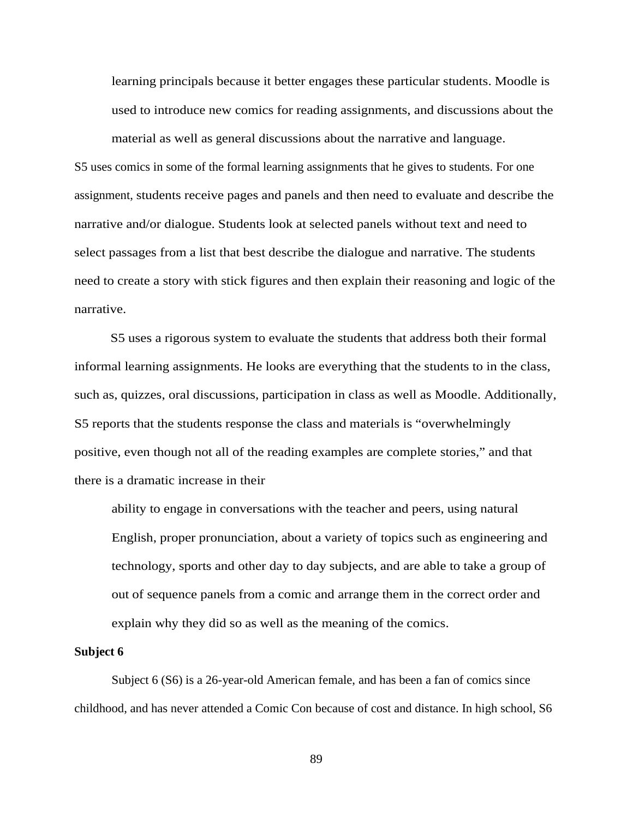learning principals because it better engages these particular students. Moodle is used to introduce new comics for reading assignments, and discussions about the

S5 uses comics in some of the formal learning assignments that he gives to students. For one assignment, students receive pages and panels and then need to evaluate and describe the narrative and/or dialogue. Students look at selected panels without text and need to select passages from a list that best describe the dialogue and narrative. The students need to create a story with stick figures and then explain their reasoning and logic of the narrative.

material as well as general discussions about the narrative and language.

S5 uses a rigorous system to evaluate the students that address both their formal informal learning assignments. He looks are everything that the students to in the class, such as, quizzes, oral discussions, participation in class as well as Moodle. Additionally, S5 reports that the students response the class and materials is "overwhelmingly positive, even though not all of the reading examples are complete stories," and that there is a dramatic increase in their

ability to engage in conversations with the teacher and peers, using natural English, proper pronunciation, about a variety of topics such as engineering and technology, sports and other day to day subjects, and are able to take a group of out of sequence panels from a comic and arrange them in the correct order and explain why they did so as well as the meaning of the comics.

#### **Subject 6**

Subject 6 (S6) is a 26-year-old American female, and has been a fan of comics since childhood, and has never attended a Comic Con because of cost and distance. In high school, S6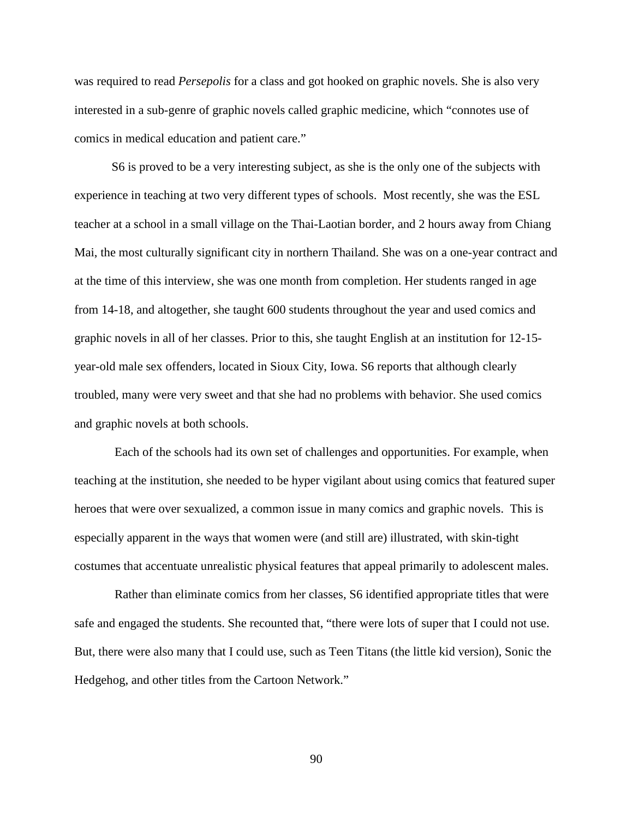was required to read *Persepolis* for a class and got hooked on graphic novels. She is also very interested in a sub-genre of graphic novels called graphic medicine, which "connotes use of comics in medical education and patient care."

S6 is proved to be a very interesting subject, as she is the only one of the subjects with experience in teaching at two very different types of schools. Most recently, she was the ESL teacher at a school in a small village on the Thai-Laotian border, and 2 hours away from Chiang Mai, the most culturally significant city in northern Thailand. She was on a one-year contract and at the time of this interview, she was one month from completion. Her students ranged in age from 14-18, and altogether, she taught 600 students throughout the year and used comics and graphic novels in all of her classes. Prior to this, she taught English at an institution for 12-15 year-old male sex offenders, located in Sioux City, Iowa. S6 reports that although clearly troubled, many were very sweet and that she had no problems with behavior. She used comics and graphic novels at both schools.

Each of the schools had its own set of challenges and opportunities. For example, when teaching at the institution, she needed to be hyper vigilant about using comics that featured super heroes that were over sexualized, a common issue in many comics and graphic novels. This is especially apparent in the ways that women were (and still are) illustrated, with skin-tight costumes that accentuate unrealistic physical features that appeal primarily to adolescent males.

Rather than eliminate comics from her classes, S6 identified appropriate titles that were safe and engaged the students. She recounted that, "there were lots of super that I could not use. But, there were also many that I could use, such as Teen Titans (the little kid version), Sonic the Hedgehog, and other titles from the Cartoon Network."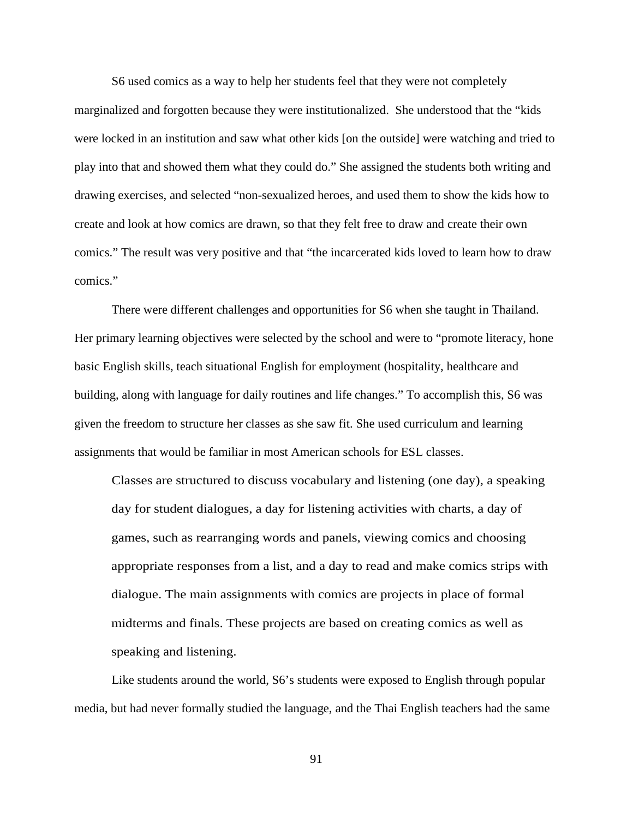S6 used comics as a way to help her students feel that they were not completely marginalized and forgotten because they were institutionalized. She understood that the "kids were locked in an institution and saw what other kids [on the outside] were watching and tried to play into that and showed them what they could do." She assigned the students both writing and drawing exercises, and selected "non-sexualized heroes, and used them to show the kids how to create and look at how comics are drawn, so that they felt free to draw and create their own comics." The result was very positive and that "the incarcerated kids loved to learn how to draw comics."

There were different challenges and opportunities for S6 when she taught in Thailand. Her primary learning objectives were selected by the school and were to "promote literacy, hone basic English skills, teach situational English for employment (hospitality, healthcare and building, along with language for daily routines and life changes." To accomplish this, S6 was given the freedom to structure her classes as she saw fit. She used curriculum and learning assignments that would be familiar in most American schools for ESL classes.

Classes are structured to discuss vocabulary and listening (one day), a speaking day for student dialogues, a day for listening activities with charts, a day of games, such as rearranging words and panels, viewing comics and choosing appropriate responses from a list, and a day to read and make comics strips with dialogue. The main assignments with comics are projects in place of formal midterms and finals. These projects are based on creating comics as well as speaking and listening.

Like students around the world, S6's students were exposed to English through popular media, but had never formally studied the language, and the Thai English teachers had the same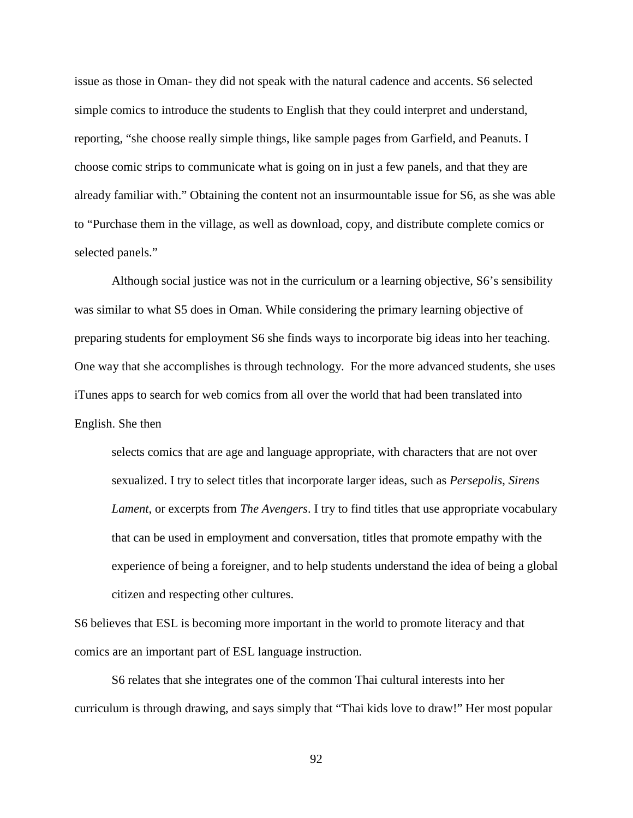issue as those in Oman- they did not speak with the natural cadence and accents. S6 selected simple comics to introduce the students to English that they could interpret and understand, reporting, "she choose really simple things, like sample pages from Garfield, and Peanuts. I choose comic strips to communicate what is going on in just a few panels, and that they are already familiar with." Obtaining the content not an insurmountable issue for S6, as she was able to "Purchase them in the village, as well as download, copy, and distribute complete comics or selected panels."

Although social justice was not in the curriculum or a learning objective, S6's sensibility was similar to what S5 does in Oman. While considering the primary learning objective of preparing students for employment S6 she finds ways to incorporate big ideas into her teaching. One way that she accomplishes is through technology. For the more advanced students, she uses iTunes apps to search for web comics from all over the world that had been translated into English. She then

selects comics that are age and language appropriate, with characters that are not over sexualized. I try to select titles that incorporate larger ideas, such as *Persepolis*, *Sirens Lament*, or excerpts from *The Avengers*. I try to find titles that use appropriate vocabulary that can be used in employment and conversation, titles that promote empathy with the experience of being a foreigner, and to help students understand the idea of being a global citizen and respecting other cultures.

S6 believes that ESL is becoming more important in the world to promote literacy and that comics are an important part of ESL language instruction.

S6 relates that she integrates one of the common Thai cultural interests into her curriculum is through drawing, and says simply that "Thai kids love to draw!" Her most popular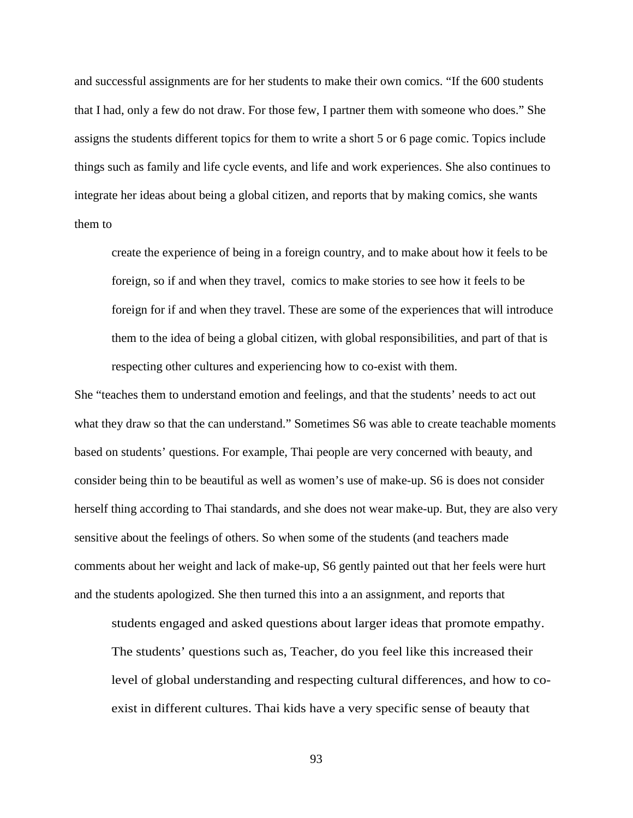and successful assignments are for her students to make their own comics. "If the 600 students that I had, only a few do not draw. For those few, I partner them with someone who does." She assigns the students different topics for them to write a short 5 or 6 page comic. Topics include things such as family and life cycle events, and life and work experiences. She also continues to integrate her ideas about being a global citizen, and reports that by making comics, she wants them to

create the experience of being in a foreign country, and to make about how it feels to be foreign, so if and when they travel, comics to make stories to see how it feels to be foreign for if and when they travel. These are some of the experiences that will introduce them to the idea of being a global citizen, with global responsibilities, and part of that is respecting other cultures and experiencing how to co-exist with them.

She "teaches them to understand emotion and feelings, and that the students' needs to act out what they draw so that the can understand." Sometimes S6 was able to create teachable moments based on students' questions. For example, Thai people are very concerned with beauty, and consider being thin to be beautiful as well as women's use of make-up. S6 is does not consider herself thing according to Thai standards, and she does not wear make-up. But, they are also very sensitive about the feelings of others. So when some of the students (and teachers made comments about her weight and lack of make-up, S6 gently painted out that her feels were hurt and the students apologized. She then turned this into a an assignment, and reports that

students engaged and asked questions about larger ideas that promote empathy. The students' questions such as, Teacher, do you feel like this increased their level of global understanding and respecting cultural differences, and how to coexist in different cultures. Thai kids have a very specific sense of beauty that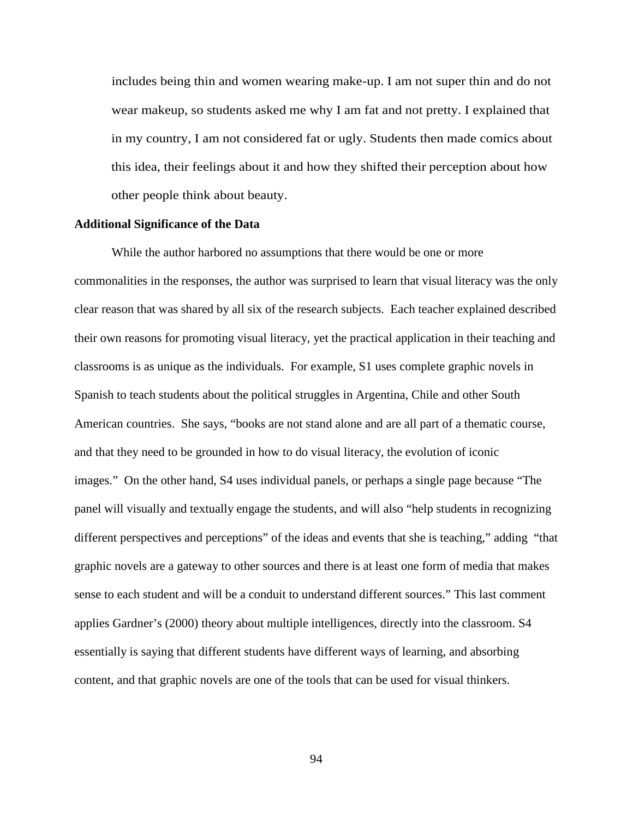includes being thin and women wearing make-up. I am not super thin and do not wear makeup, so students asked me why I am fat and not pretty. I explained that in my country, I am not considered fat or ugly. Students then made comics about this idea, their feelings about it and how they shifted their perception about how other people think about beauty.

#### **Additional Significance of the Data**

While the author harbored no assumptions that there would be one or more commonalities in the responses, the author was surprised to learn that visual literacy was the only clear reason that was shared by all six of the research subjects. Each teacher explained described their own reasons for promoting visual literacy, yet the practical application in their teaching and classrooms is as unique as the individuals. For example, S1 uses complete graphic novels in Spanish to teach students about the political struggles in Argentina, Chile and other South American countries. She says, "books are not stand alone and are all part of a thematic course, and that they need to be grounded in how to do visual literacy, the evolution of iconic images." On the other hand, S4 uses individual panels, or perhaps a single page because "The panel will visually and textually engage the students, and will also "help students in recognizing different perspectives and perceptions" of the ideas and events that she is teaching," adding "that graphic novels are a gateway to other sources and there is at least one form of media that makes sense to each student and will be a conduit to understand different sources." This last comment applies Gardner's (2000) theory about multiple intelligences, directly into the classroom. S4 essentially is saying that different students have different ways of learning, and absorbing content, and that graphic novels are one of the tools that can be used for visual thinkers.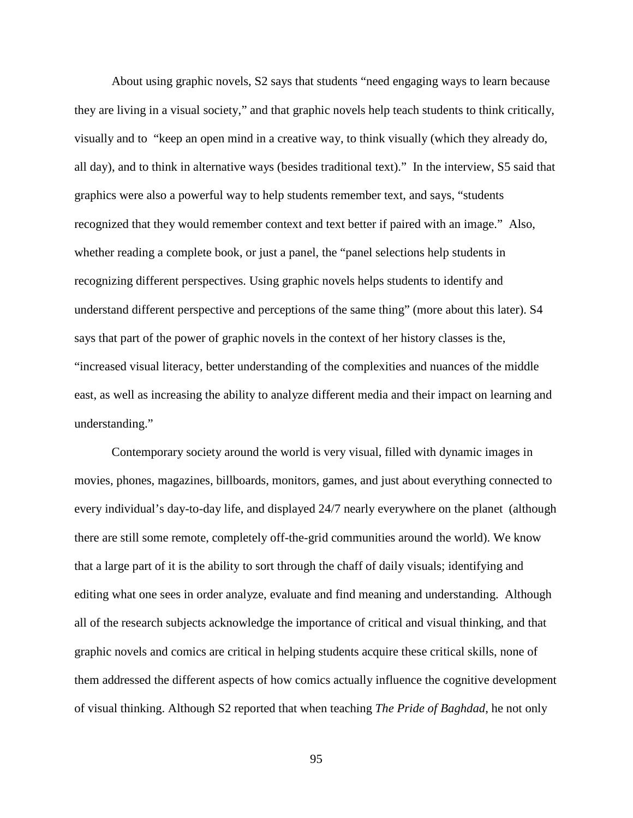About using graphic novels, S2 says that students "need engaging ways to learn because they are living in a visual society," and that graphic novels help teach students to think critically, visually and to "keep an open mind in a creative way, to think visually (which they already do, all day), and to think in alternative ways (besides traditional text)." In the interview, S5 said that graphics were also a powerful way to help students remember text, and says, "students recognized that they would remember context and text better if paired with an image." Also, whether reading a complete book, or just a panel, the "panel selections help students in recognizing different perspectives. Using graphic novels helps students to identify and understand different perspective and perceptions of the same thing" (more about this later). S4 says that part of the power of graphic novels in the context of her history classes is the, "increased visual literacy, better understanding of the complexities and nuances of the middle east, as well as increasing the ability to analyze different media and their impact on learning and understanding."

Contemporary society around the world is very visual, filled with dynamic images in movies, phones, magazines, billboards, monitors, games, and just about everything connected to every individual's day-to-day life, and displayed 24/7 nearly everywhere on the planet (although there are still some remote, completely off-the-grid communities around the world). We know that a large part of it is the ability to sort through the chaff of daily visuals; identifying and editing what one sees in order analyze, evaluate and find meaning and understanding. Although all of the research subjects acknowledge the importance of critical and visual thinking, and that graphic novels and comics are critical in helping students acquire these critical skills, none of them addressed the different aspects of how comics actually influence the cognitive development of visual thinking. Although S2 reported that when teaching *The Pride of Baghdad*, he not only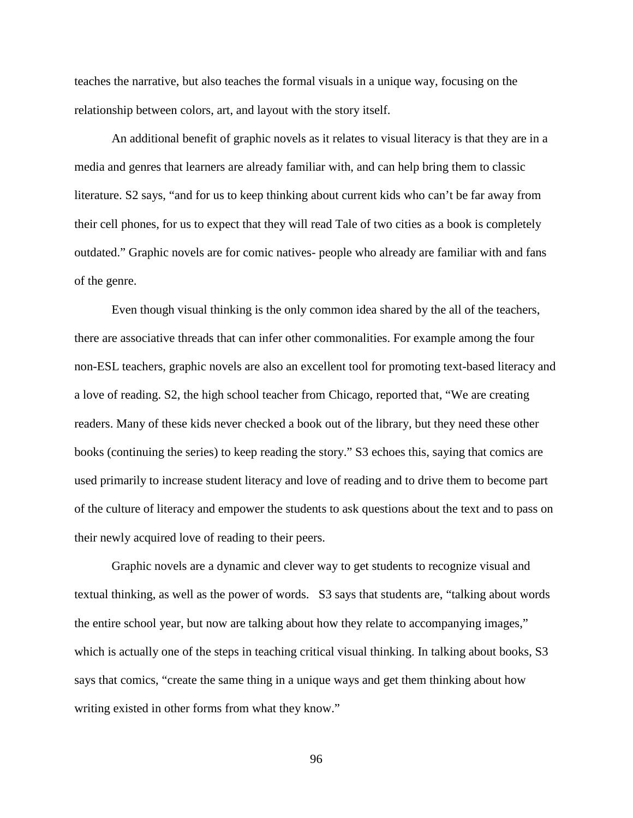teaches the narrative, but also teaches the formal visuals in a unique way, focusing on the relationship between colors, art, and layout with the story itself.

An additional benefit of graphic novels as it relates to visual literacy is that they are in a media and genres that learners are already familiar with, and can help bring them to classic literature. S2 says, "and for us to keep thinking about current kids who can't be far away from their cell phones, for us to expect that they will read Tale of two cities as a book is completely outdated." Graphic novels are for comic natives- people who already are familiar with and fans of the genre.

Even though visual thinking is the only common idea shared by the all of the teachers, there are associative threads that can infer other commonalities. For example among the four non-ESL teachers, graphic novels are also an excellent tool for promoting text-based literacy and a love of reading. S2, the high school teacher from Chicago, reported that, "We are creating readers. Many of these kids never checked a book out of the library, but they need these other books (continuing the series) to keep reading the story." S3 echoes this, saying that comics are used primarily to increase student literacy and love of reading and to drive them to become part of the culture of literacy and empower the students to ask questions about the text and to pass on their newly acquired love of reading to their peers.

Graphic novels are a dynamic and clever way to get students to recognize visual and textual thinking, as well as the power of words. S3 says that students are, "talking about words the entire school year, but now are talking about how they relate to accompanying images," which is actually one of the steps in teaching critical visual thinking. In talking about books, S3 says that comics, "create the same thing in a unique ways and get them thinking about how writing existed in other forms from what they know."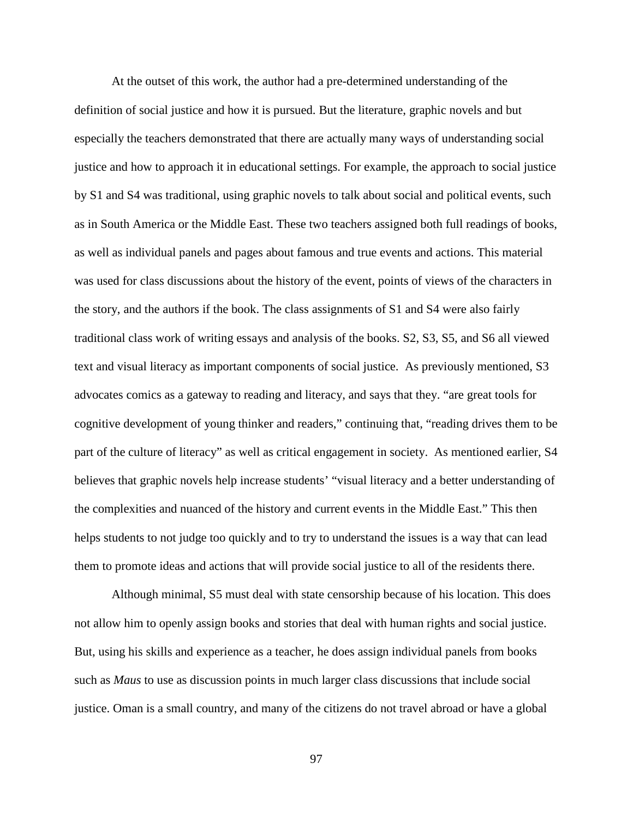At the outset of this work, the author had a pre-determined understanding of the definition of social justice and how it is pursued. But the literature, graphic novels and but especially the teachers demonstrated that there are actually many ways of understanding social justice and how to approach it in educational settings. For example, the approach to social justice by S1 and S4 was traditional, using graphic novels to talk about social and political events, such as in South America or the Middle East. These two teachers assigned both full readings of books, as well as individual panels and pages about famous and true events and actions. This material was used for class discussions about the history of the event, points of views of the characters in the story, and the authors if the book. The class assignments of S1 and S4 were also fairly traditional class work of writing essays and analysis of the books. S2, S3, S5, and S6 all viewed text and visual literacy as important components of social justice. As previously mentioned, S3 advocates comics as a gateway to reading and literacy, and says that they. "are great tools for cognitive development of young thinker and readers," continuing that, "reading drives them to be part of the culture of literacy" as well as critical engagement in society. As mentioned earlier, S4 believes that graphic novels help increase students' "visual literacy and a better understanding of the complexities and nuanced of the history and current events in the Middle East." This then helps students to not judge too quickly and to try to understand the issues is a way that can lead them to promote ideas and actions that will provide social justice to all of the residents there.

Although minimal, S5 must deal with state censorship because of his location. This does not allow him to openly assign books and stories that deal with human rights and social justice. But, using his skills and experience as a teacher, he does assign individual panels from books such as *Maus* to use as discussion points in much larger class discussions that include social justice. Oman is a small country, and many of the citizens do not travel abroad or have a global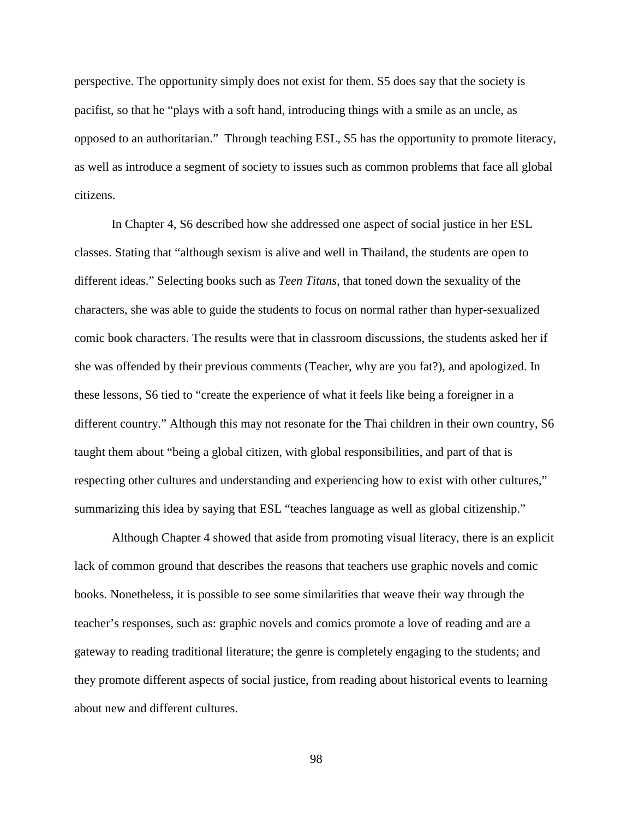perspective. The opportunity simply does not exist for them. S5 does say that the society is pacifist, so that he "plays with a soft hand, introducing things with a smile as an uncle, as opposed to an authoritarian." Through teaching ESL, S5 has the opportunity to promote literacy, as well as introduce a segment of society to issues such as common problems that face all global citizens.

In Chapter 4, S6 described how she addressed one aspect of social justice in her ESL classes. Stating that "although sexism is alive and well in Thailand, the students are open to different ideas." Selecting books such as *Teen Titans*, that toned down the sexuality of the characters, she was able to guide the students to focus on normal rather than hyper-sexualized comic book characters. The results were that in classroom discussions, the students asked her if she was offended by their previous comments (Teacher, why are you fat?), and apologized. In these lessons, S6 tied to "create the experience of what it feels like being a foreigner in a different country." Although this may not resonate for the Thai children in their own country, S6 taught them about "being a global citizen, with global responsibilities, and part of that is respecting other cultures and understanding and experiencing how to exist with other cultures," summarizing this idea by saying that ESL "teaches language as well as global citizenship."

Although Chapter 4 showed that aside from promoting visual literacy, there is an explicit lack of common ground that describes the reasons that teachers use graphic novels and comic books. Nonetheless, it is possible to see some similarities that weave their way through the teacher's responses, such as: graphic novels and comics promote a love of reading and are a gateway to reading traditional literature; the genre is completely engaging to the students; and they promote different aspects of social justice, from reading about historical events to learning about new and different cultures.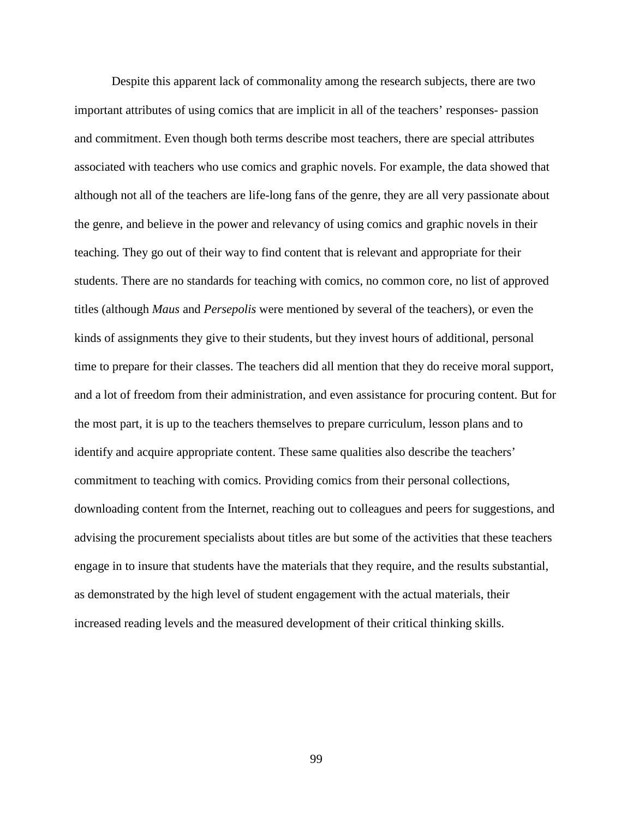Despite this apparent lack of commonality among the research subjects, there are two important attributes of using comics that are implicit in all of the teachers' responses- passion and commitment. Even though both terms describe most teachers, there are special attributes associated with teachers who use comics and graphic novels. For example, the data showed that although not all of the teachers are life-long fans of the genre, they are all very passionate about the genre, and believe in the power and relevancy of using comics and graphic novels in their teaching. They go out of their way to find content that is relevant and appropriate for their students. There are no standards for teaching with comics, no common core, no list of approved titles (although *Maus* and *Persepolis* were mentioned by several of the teachers), or even the kinds of assignments they give to their students, but they invest hours of additional, personal time to prepare for their classes. The teachers did all mention that they do receive moral support, and a lot of freedom from their administration, and even assistance for procuring content. But for the most part, it is up to the teachers themselves to prepare curriculum, lesson plans and to identify and acquire appropriate content. These same qualities also describe the teachers' commitment to teaching with comics. Providing comics from their personal collections, downloading content from the Internet, reaching out to colleagues and peers for suggestions, and advising the procurement specialists about titles are but some of the activities that these teachers engage in to insure that students have the materials that they require, and the results substantial, as demonstrated by the high level of student engagement with the actual materials, their increased reading levels and the measured development of their critical thinking skills.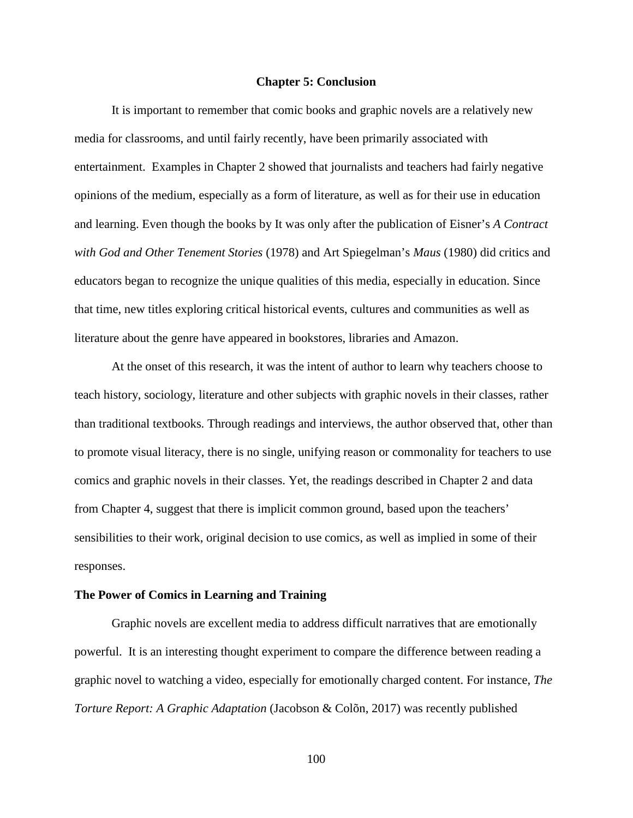### **Chapter 5: Conclusion**

It is important to remember that comic books and graphic novels are a relatively new media for classrooms, and until fairly recently, have been primarily associated with entertainment. Examples in Chapter 2 showed that journalists and teachers had fairly negative opinions of the medium, especially as a form of literature, as well as for their use in education and learning. Even though the books by It was only after the publication of Eisner's *A Contract with God and Other Tenement Stories* (1978) and Art Spiegelman's *Maus* (1980) did critics and educators began to recognize the unique qualities of this media, especially in education. Since that time, new titles exploring critical historical events, cultures and communities as well as literature about the genre have appeared in bookstores, libraries and Amazon.

At the onset of this research, it was the intent of author to learn why teachers choose to teach history, sociology, literature and other subjects with graphic novels in their classes, rather than traditional textbooks. Through readings and interviews, the author observed that, other than to promote visual literacy, there is no single, unifying reason or commonality for teachers to use comics and graphic novels in their classes. Yet, the readings described in Chapter 2 and data from Chapter 4, suggest that there is implicit common ground, based upon the teachers' sensibilities to their work, original decision to use comics, as well as implied in some of their responses.

## **The Power of Comics in Learning and Training**

Graphic novels are excellent media to address difficult narratives that are emotionally powerful. It is an interesting thought experiment to compare the difference between reading a graphic novel to watching a video, especially for emotionally charged content. For instance, *The Torture Report: A Graphic Adaptation* (Jacobson & Colõn, 2017) was recently published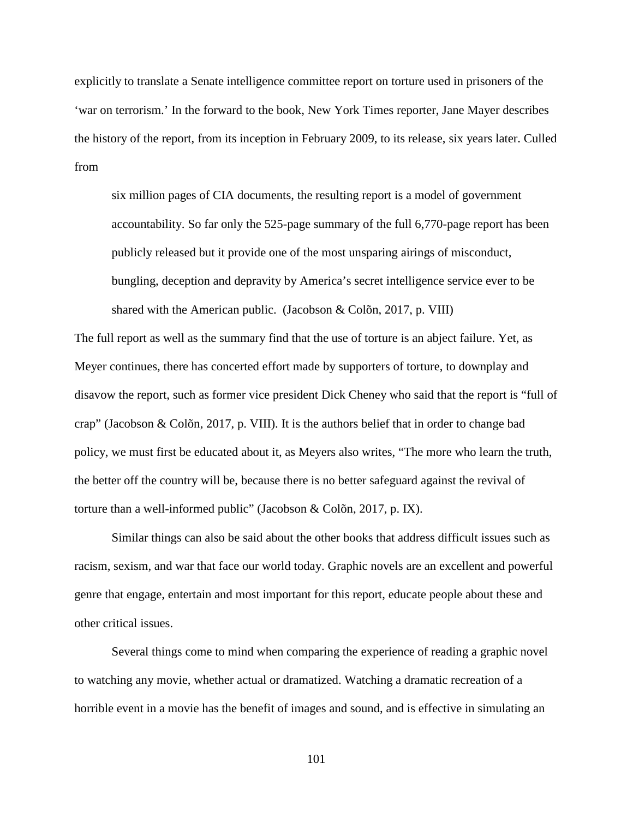explicitly to translate a Senate intelligence committee report on torture used in prisoners of the 'war on terrorism.' In the forward to the book, New York Times reporter, Jane Mayer describes the history of the report, from its inception in February 2009, to its release, six years later. Culled from

six million pages of CIA documents, the resulting report is a model of government accountability. So far only the 525-page summary of the full 6,770-page report has been publicly released but it provide one of the most unsparing airings of misconduct, bungling, deception and depravity by America's secret intelligence service ever to be shared with the American public. (Jacobson & Colõn, 2017, p. VIII)

The full report as well as the summary find that the use of torture is an abject failure. Yet, as Meyer continues, there has concerted effort made by supporters of torture, to downplay and disavow the report, such as former vice president Dick Cheney who said that the report is "full of crap" (Jacobson & Colõn, 2017, p. VIII). It is the authors belief that in order to change bad policy, we must first be educated about it, as Meyers also writes, "The more who learn the truth, the better off the country will be, because there is no better safeguard against the revival of torture than a well-informed public" (Jacobson & Colõn, 2017, p. IX).

Similar things can also be said about the other books that address difficult issues such as racism, sexism, and war that face our world today. Graphic novels are an excellent and powerful genre that engage, entertain and most important for this report, educate people about these and other critical issues.

Several things come to mind when comparing the experience of reading a graphic novel to watching any movie, whether actual or dramatized. Watching a dramatic recreation of a horrible event in a movie has the benefit of images and sound, and is effective in simulating an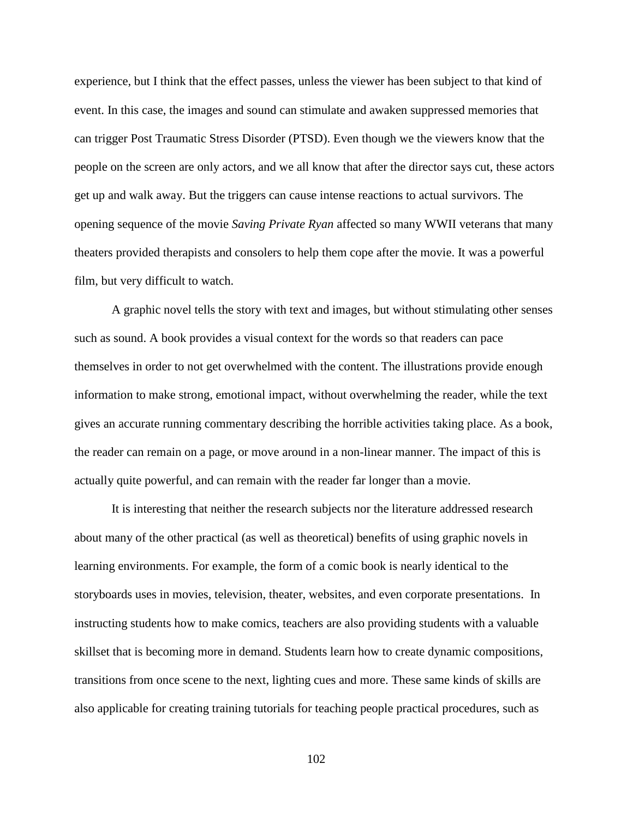experience, but I think that the effect passes, unless the viewer has been subject to that kind of event. In this case, the images and sound can stimulate and awaken suppressed memories that can trigger Post Traumatic Stress Disorder (PTSD). Even though we the viewers know that the people on the screen are only actors, and we all know that after the director says cut, these actors get up and walk away. But the triggers can cause intense reactions to actual survivors. The opening sequence of the movie *Saving Private Ryan* affected so many WWII veterans that many theaters provided therapists and consolers to help them cope after the movie. It was a powerful film, but very difficult to watch.

A graphic novel tells the story with text and images, but without stimulating other senses such as sound. A book provides a visual context for the words so that readers can pace themselves in order to not get overwhelmed with the content. The illustrations provide enough information to make strong, emotional impact, without overwhelming the reader, while the text gives an accurate running commentary describing the horrible activities taking place. As a book, the reader can remain on a page, or move around in a non-linear manner. The impact of this is actually quite powerful, and can remain with the reader far longer than a movie.

It is interesting that neither the research subjects nor the literature addressed research about many of the other practical (as well as theoretical) benefits of using graphic novels in learning environments. For example, the form of a comic book is nearly identical to the storyboards uses in movies, television, theater, websites, and even corporate presentations. In instructing students how to make comics, teachers are also providing students with a valuable skillset that is becoming more in demand. Students learn how to create dynamic compositions, transitions from once scene to the next, lighting cues and more. These same kinds of skills are also applicable for creating training tutorials for teaching people practical procedures, such as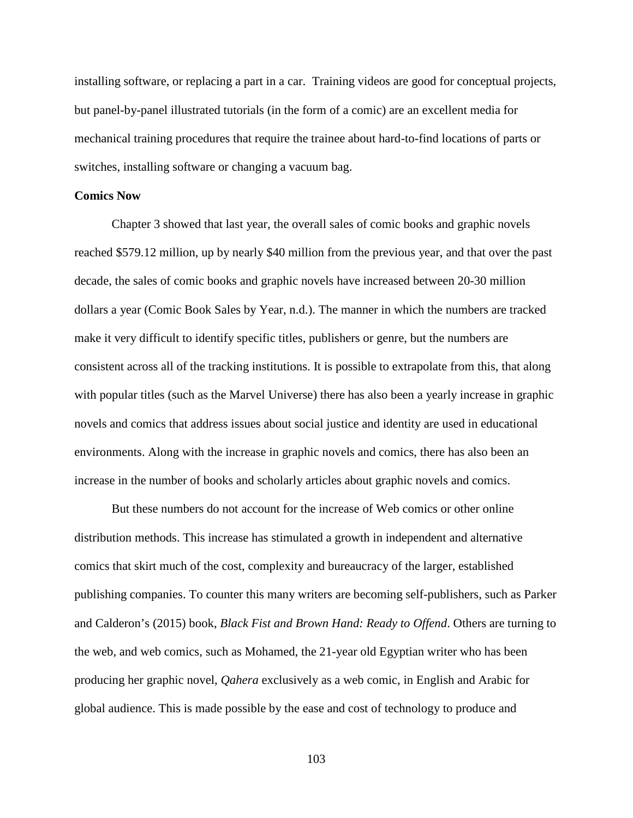installing software, or replacing a part in a car. Training videos are good for conceptual projects, but panel-by-panel illustrated tutorials (in the form of a comic) are an excellent media for mechanical training procedures that require the trainee about hard-to-find locations of parts or switches, installing software or changing a vacuum bag.

# **Comics Now**

Chapter 3 showed that last year, the overall sales of comic books and graphic novels reached \$579.12 million, up by nearly \$40 million from the previous year, and that over the past decade, the sales of comic books and graphic novels have increased between 20-30 million dollars a year (Comic Book Sales by Year, n.d.). The manner in which the numbers are tracked make it very difficult to identify specific titles, publishers or genre, but the numbers are consistent across all of the tracking institutions. It is possible to extrapolate from this, that along with popular titles (such as the Marvel Universe) there has also been a yearly increase in graphic novels and comics that address issues about social justice and identity are used in educational environments. Along with the increase in graphic novels and comics, there has also been an increase in the number of books and scholarly articles about graphic novels and comics.

But these numbers do not account for the increase of Web comics or other online distribution methods. This increase has stimulated a growth in independent and alternative comics that skirt much of the cost, complexity and bureaucracy of the larger, established publishing companies. To counter this many writers are becoming self-publishers, such as Parker and Calderon's (2015) book, *Black Fist and Brown Hand: Ready to Offend*. Others are turning to the web, and web comics, such as Mohamed, the 21-year old Egyptian writer who has been producing her graphic novel, *Qahera* exclusively as a web comic, in English and Arabic for global audience. This is made possible by the ease and cost of technology to produce and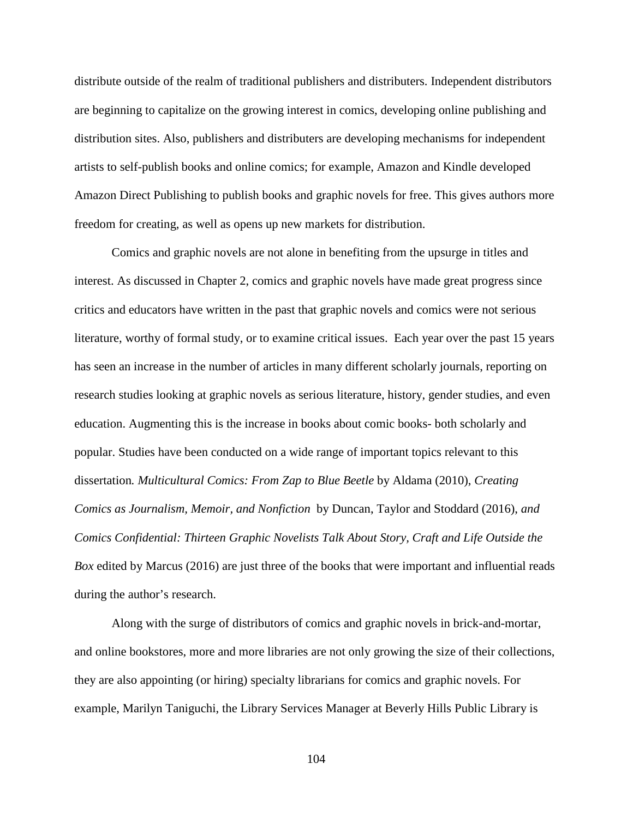distribute outside of the realm of traditional publishers and distributers. Independent distributors are beginning to capitalize on the growing interest in comics, developing online publishing and distribution sites. Also, publishers and distributers are developing mechanisms for independent artists to self-publish books and online comics; for example, Amazon and Kindle developed Amazon Direct Publishing to publish books and graphic novels for free. This gives authors more freedom for creating, as well as opens up new markets for distribution.

Comics and graphic novels are not alone in benefiting from the upsurge in titles and interest. As discussed in Chapter 2, comics and graphic novels have made great progress since critics and educators have written in the past that graphic novels and comics were not serious literature, worthy of formal study, or to examine critical issues. Each year over the past 15 years has seen an increase in the number of articles in many different scholarly journals, reporting on research studies looking at graphic novels as serious literature, history, gender studies, and even education. Augmenting this is the increase in books about comic books- both scholarly and popular. Studies have been conducted on a wide range of important topics relevant to this dissertation*. Multicultural Comics: From Zap to Blue Beetle* by Aldama (2010), *Creating Comics as Journalism, Memoir, and Nonfiction* by Duncan, Taylor and Stoddard (2016), *and Comics Confidential: Thirteen Graphic Novelists Talk About Story, Craft and Life Outside the Box* edited by Marcus (2016) are just three of the books that were important and influential reads during the author's research.

Along with the surge of distributors of comics and graphic novels in brick-and-mortar, and online bookstores, more and more libraries are not only growing the size of their collections, they are also appointing (or hiring) specialty librarians for comics and graphic novels. For example, Marilyn Taniguchi, the Library Services Manager at Beverly Hills Public Library is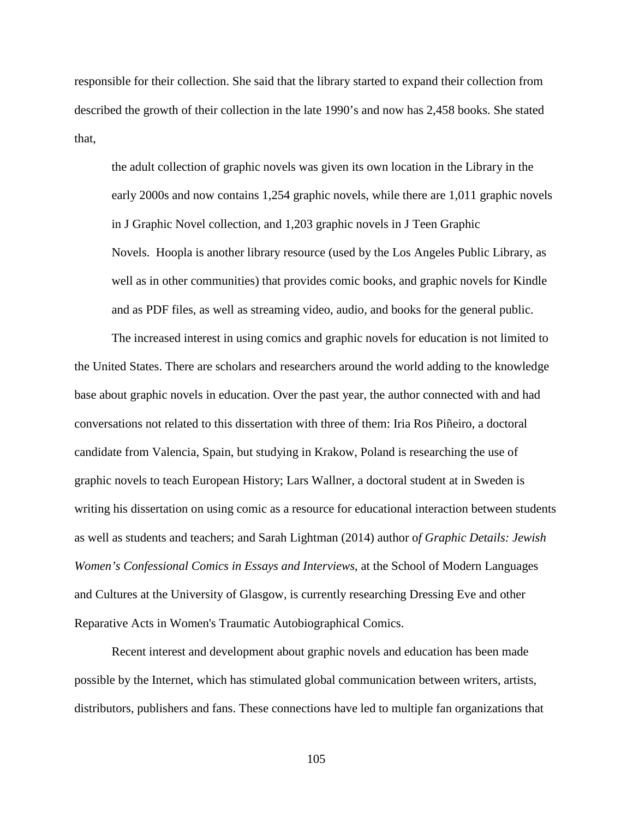responsible for their collection. She said that the library started to expand their collection from described the growth of their collection in the late 1990's and now has 2,458 books. She stated that,

the adult collection of graphic novels was given its own location in the Library in the early 2000s and now contains 1,254 graphic novels, while there are 1,011 graphic novels in J Graphic Novel collection, and 1,203 graphic novels in J Teen Graphic Novels. Hoopla is another library resource (used by the Los Angeles Public Library, as well as in other communities) that provides comic books, and graphic novels for Kindle and as PDF files, as well as streaming video, audio, and books for the general public.

The increased interest in using comics and graphic novels for education is not limited to the United States. There are scholars and researchers around the world adding to the knowledge base about graphic novels in education. Over the past year, the author connected with and had conversations not related to this dissertation with three of them: Iria Ros Piñeiro, a doctoral candidate from Valencia, Spain, but studying in Krakow, Poland is researching the use of graphic novels to teach European History; Lars Wallner, a doctoral student at in Sweden is writing his dissertation on using comic as a resource for educational interaction between students as well as students and teachers; and Sarah Lightman (2014) author o*f Graphic Details: Jewish Women's Confessional Comics in Essays and Interviews*, at the School of Modern Languages and Cultures at the University of Glasgow, is currently researching Dressing Eve and other Reparative Acts in Women's Traumatic Autobiographical Comics.

Recent interest and development about graphic novels and education has been made possible by the Internet, which has stimulated global communication between writers, artists, distributors, publishers and fans. These connections have led to multiple fan organizations that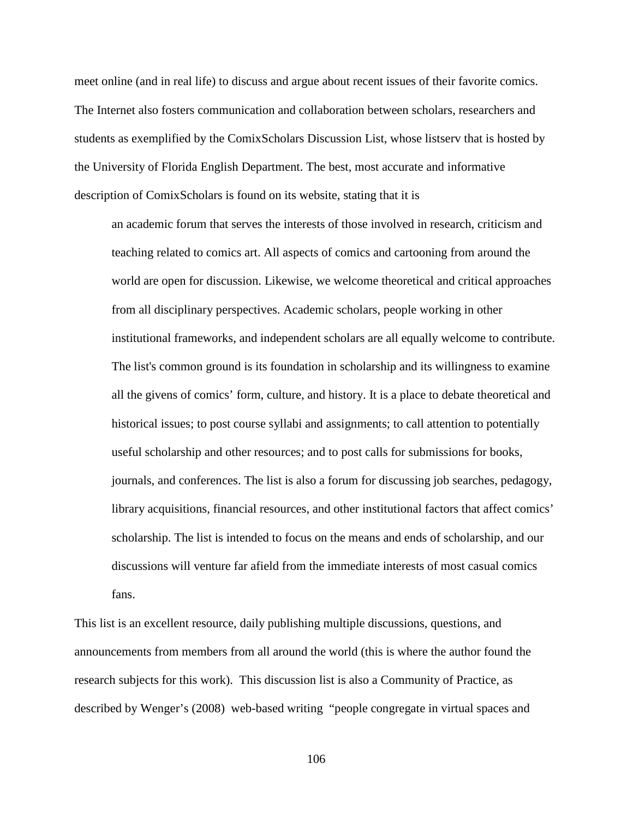meet online (and in real life) to discuss and argue about recent issues of their favorite comics. The Internet also fosters communication and collaboration between scholars, researchers and students as exemplified by the ComixScholars Discussion List, whose listserv that is hosted by the University of Florida English Department. The best, most accurate and informative description of ComixScholars is found on its website, stating that it is

an academic forum that serves the interests of those involved in research, criticism and teaching related to comics art. All aspects of comics and cartooning from around the world are open for discussion. Likewise, we welcome theoretical and critical approaches from all disciplinary perspectives. Academic scholars, people working in other institutional frameworks, and independent scholars are all equally welcome to contribute. The list's common ground is its foundation in scholarship and its willingness to examine all the givens of comics' form, culture, and history. It is a place to debate theoretical and historical issues; to post course syllabi and assignments; to call attention to potentially useful scholarship and other resources; and to post calls for submissions for books, journals, and conferences. The list is also a forum for discussing job searches, pedagogy, library acquisitions, financial resources, and other institutional factors that affect comics' scholarship. The list is intended to focus on the means and ends of scholarship, and our discussions will venture far afield from the immediate interests of most casual comics fans.

This list is an excellent resource, daily publishing multiple discussions, questions, and announcements from members from all around the world (this is where the author found the research subjects for this work). This discussion list is also a Community of Practice, as described by Wenger's (2008) web-based writing "people congregate in virtual spaces and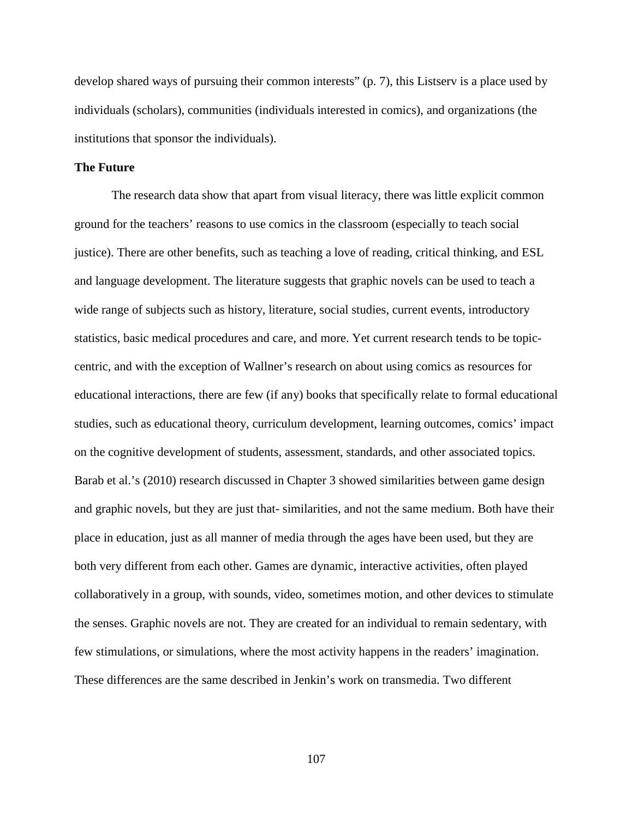develop shared ways of pursuing their common interests" (p. 7), this Listserv is a place used by individuals (scholars), communities (individuals interested in comics), and organizations (the institutions that sponsor the individuals).

# **The Future**

The research data show that apart from visual literacy, there was little explicit common ground for the teachers' reasons to use comics in the classroom (especially to teach social justice). There are other benefits, such as teaching a love of reading, critical thinking, and ESL and language development. The literature suggests that graphic novels can be used to teach a wide range of subjects such as history, literature, social studies, current events, introductory statistics, basic medical procedures and care, and more. Yet current research tends to be topiccentric, and with the exception of Wallner's research on about using comics as resources for educational interactions, there are few (if any) books that specifically relate to formal educational studies, such as educational theory, curriculum development, learning outcomes, comics' impact on the cognitive development of students, assessment, standards, and other associated topics. Barab et al.'s (2010) research discussed in Chapter 3 showed similarities between game design and graphic novels, but they are just that- similarities, and not the same medium. Both have their place in education, just as all manner of media through the ages have been used, but they are both very different from each other. Games are dynamic, interactive activities, often played collaboratively in a group, with sounds, video, sometimes motion, and other devices to stimulate the senses. Graphic novels are not. They are created for an individual to remain sedentary, with few stimulations, or simulations, where the most activity happens in the readers' imagination. These differences are the same described in Jenkin's work on transmedia. Two different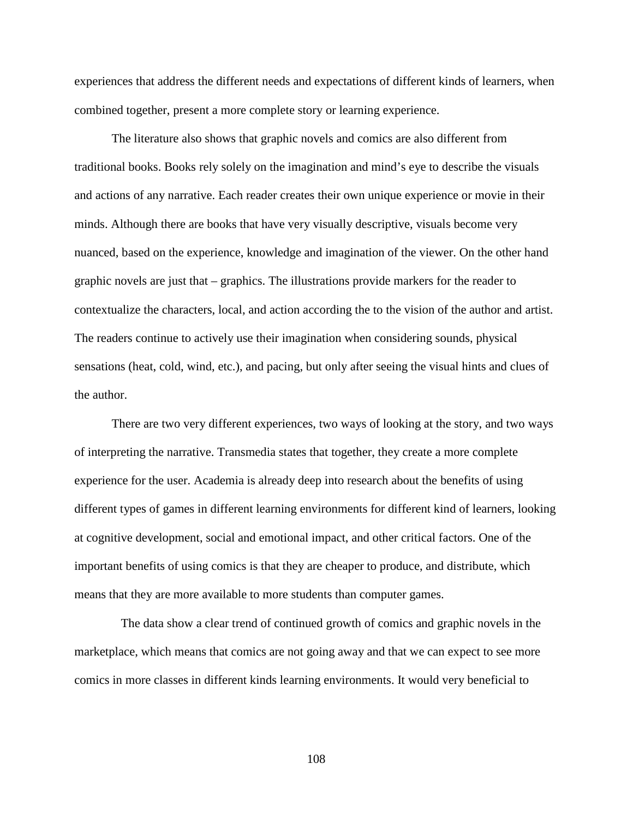experiences that address the different needs and expectations of different kinds of learners, when combined together, present a more complete story or learning experience.

The literature also shows that graphic novels and comics are also different from traditional books. Books rely solely on the imagination and mind's eye to describe the visuals and actions of any narrative. Each reader creates their own unique experience or movie in their minds. Although there are books that have very visually descriptive, visuals become very nuanced, based on the experience, knowledge and imagination of the viewer. On the other hand graphic novels are just that – graphics. The illustrations provide markers for the reader to contextualize the characters, local, and action according the to the vision of the author and artist. The readers continue to actively use their imagination when considering sounds, physical sensations (heat, cold, wind, etc.), and pacing, but only after seeing the visual hints and clues of the author.

There are two very different experiences, two ways of looking at the story, and two ways of interpreting the narrative. Transmedia states that together, they create a more complete experience for the user. Academia is already deep into research about the benefits of using different types of games in different learning environments for different kind of learners, looking at cognitive development, social and emotional impact, and other critical factors. One of the important benefits of using comics is that they are cheaper to produce, and distribute, which means that they are more available to more students than computer games.

 The data show a clear trend of continued growth of comics and graphic novels in the marketplace, which means that comics are not going away and that we can expect to see more comics in more classes in different kinds learning environments. It would very beneficial to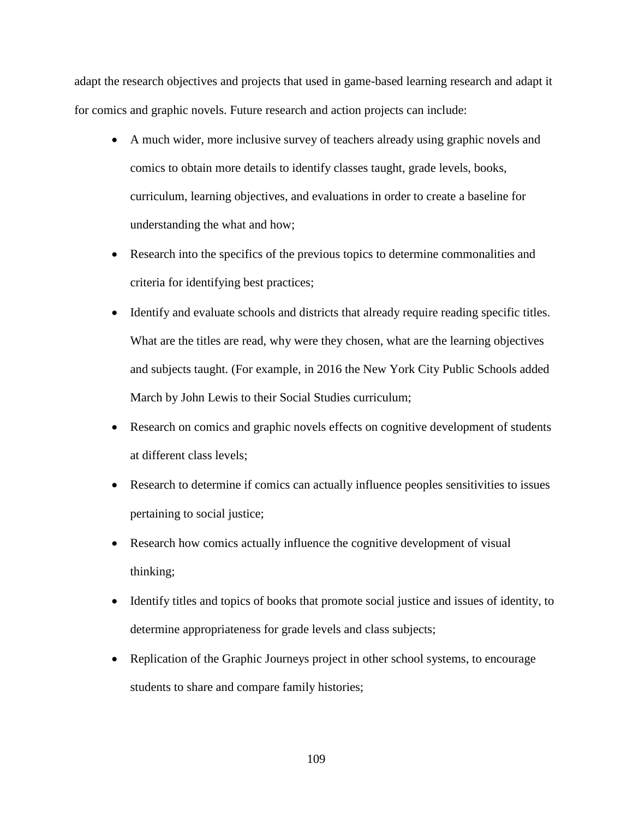adapt the research objectives and projects that used in game-based learning research and adapt it for comics and graphic novels. Future research and action projects can include:

- A much wider, more inclusive survey of teachers already using graphic novels and comics to obtain more details to identify classes taught, grade levels, books, curriculum, learning objectives, and evaluations in order to create a baseline for understanding the what and how;
- Research into the specifics of the previous topics to determine commonalities and criteria for identifying best practices;
- Identify and evaluate schools and districts that already require reading specific titles. What are the titles are read, why were they chosen, what are the learning objectives and subjects taught. (For example, in 2016 the New York City Public Schools added March by John Lewis to their Social Studies curriculum;
- Research on comics and graphic novels effects on cognitive development of students at different class levels;
- Research to determine if comics can actually influence peoples sensitivities to issues pertaining to social justice;
- Research how comics actually influence the cognitive development of visual thinking;
- Identify titles and topics of books that promote social justice and issues of identity, to determine appropriateness for grade levels and class subjects;
- Replication of the Graphic Journeys project in other school systems, to encourage students to share and compare family histories;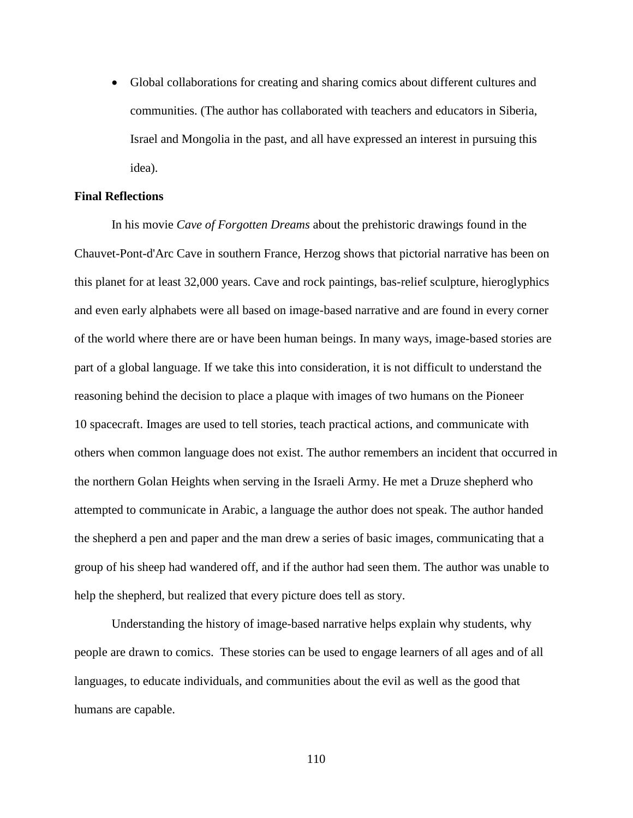• Global collaborations for creating and sharing comics about different cultures and communities. (The author has collaborated with teachers and educators in Siberia, Israel and Mongolia in the past, and all have expressed an interest in pursuing this idea).

# **Final Reflections**

In his movie *Cave of Forgotten Dreams* about the prehistoric drawings found in the Chauvet-Pont-d'Arc Cave in southern France, Herzog shows that pictorial narrative has been on this planet for at least 32,000 years. Cave and rock paintings, bas-relief sculpture, hieroglyphics and even early alphabets were all based on image-based narrative and are found in every corner of the world where there are or have been human beings. In many ways, image-based stories are part of a global language. If we take this into consideration, it is not difficult to understand the reasoning behind the decision to place a plaque with images of two humans on the Pioneer 10 spacecraft. Images are used to tell stories, teach practical actions, and communicate with others when common language does not exist. The author remembers an incident that occurred in the northern Golan Heights when serving in the Israeli Army. He met a Druze shepherd who attempted to communicate in Arabic, a language the author does not speak. The author handed the shepherd a pen and paper and the man drew a series of basic images, communicating that a group of his sheep had wandered off, and if the author had seen them. The author was unable to help the shepherd, but realized that every picture does tell as story.

Understanding the history of image-based narrative helps explain why students, why people are drawn to comics. These stories can be used to engage learners of all ages and of all languages, to educate individuals, and communities about the evil as well as the good that humans are capable.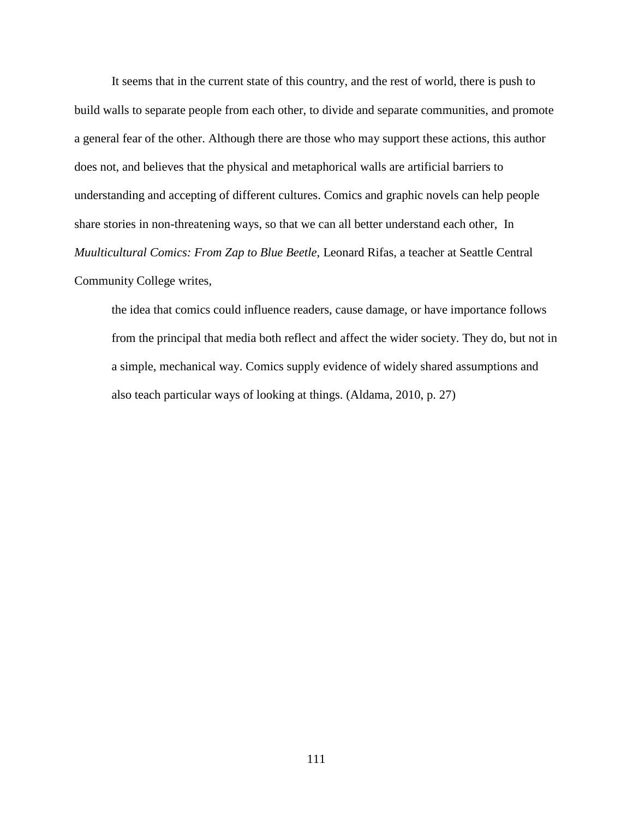It seems that in the current state of this country, and the rest of world, there is push to build walls to separate people from each other, to divide and separate communities, and promote a general fear of the other. Although there are those who may support these actions, this author does not, and believes that the physical and metaphorical walls are artificial barriers to understanding and accepting of different cultures. Comics and graphic novels can help people share stories in non-threatening ways, so that we can all better understand each other, In *Muulticultural Comics: From Zap to Blue Beetle*, Leonard Rifas, a teacher at Seattle Central Community College writes,

the idea that comics could influence readers, cause damage, or have importance follows from the principal that media both reflect and affect the wider society. They do, but not in a simple, mechanical way. Comics supply evidence of widely shared assumptions and also teach particular ways of looking at things. (Aldama, 2010, p. 27)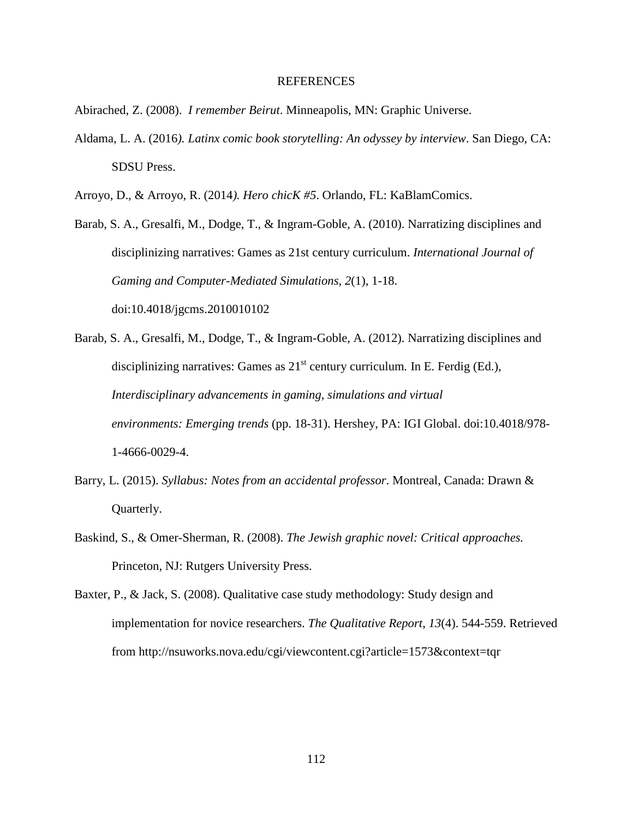## REFERENCES

Abirached, Z. (2008). *I remember Beirut*. Minneapolis, MN: Graphic Universe.

- Aldama, L. A. (2016*). Latinx comic book storytelling: An odyssey by interview*. San Diego, CA: SDSU Press.
- Arroyo, D., & Arroyo, R. (2014*). Hero chicK #5*. Orlando, FL: KaBlamComics.

Barab, S. A., Gresalfi, M., Dodge, T., & Ingram-Goble, A. (2010). Narratizing disciplines and disciplinizing narratives: Games as 21st century curriculum. *International Journal of Gaming and Computer-Mediated Simulations*, *2*(1), 1-18. doi:10.4018/jgcms.2010010102

- Barab, S. A., Gresalfi, M., Dodge, T., & Ingram-Goble, A. (2012). Narratizing disciplines and disciplinizing narratives: Games as  $21<sup>st</sup>$  century curriculum. In E. Ferdig (Ed.), *Interdisciplinary advancements in gaming, simulations and virtual environments: Emerging trends* (pp. 18-31). Hershey, PA: IGI Global. doi:10.4018/978- 1-4666-0029-4.
- Barry, L. (2015). *Syllabus: Notes from an accidental professor*. Montreal, Canada: Drawn & Quarterly.
- Baskind, S., & Omer-Sherman, R. (2008). *The Jewish graphic novel: Critical approaches.* Princeton, NJ: Rutgers University Press.
- Baxter, P., & Jack, S. (2008). Qualitative case study methodology: Study design and implementation for novice researchers. *The Qualitative Report*, *13*(4). 544-559. Retrieved from http://nsuworks.nova.edu/cgi/viewcontent.cgi?article=1573&context=tqr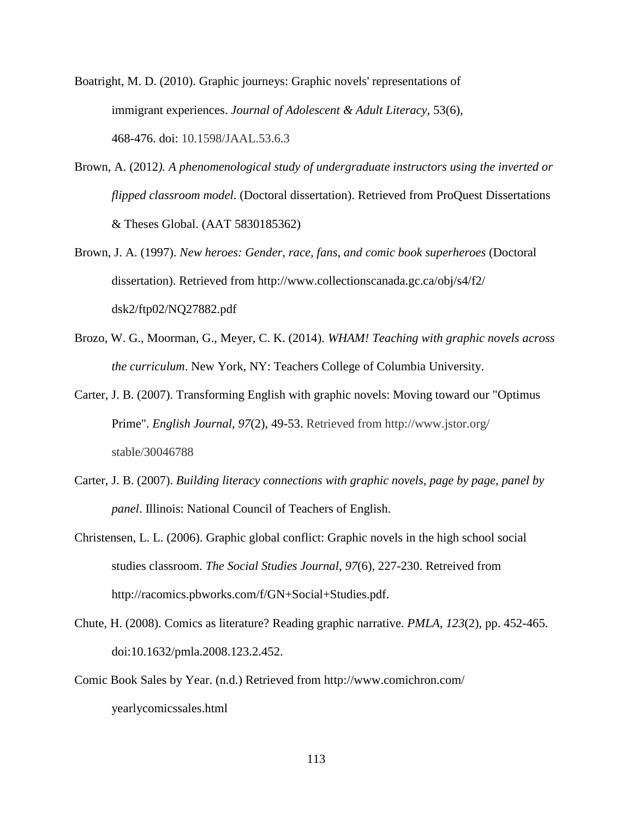Boatright, M. D. (2010). Graphic journeys: Graphic novels' representations of immigrant experiences. *Journal of Adolescent & Adult Literacy*, 53(6), 468-476. doi: 10.1598/JAAL.53.6.3

- Brown, A. (2012*). A phenomenological study of undergraduate instructors using the inverted or flipped classroom model*. (Doctoral dissertation). Retrieved from ProQuest Dissertations & Theses Global. (AAT 5830185362)
- Brown, J. A. (1997). *New heroes: Gender, race, fans, and comic book superheroes* (Doctoral dissertation). Retrieved from http://www.collectionscanada.gc.ca/obj/s4/f2/ dsk2/ftp02/NQ27882.pdf
- Brozo, W. G., Moorman, G., Meyer, C. K. (2014). *WHAM! Teaching with graphic novels across the curriculum*. New York, NY: Teachers College of Columbia University.
- Carter, J. B. (2007). Transforming English with graphic novels: Moving toward our "Optimus Prime". *English Journal*, *97*(2), 49-53. Retrieved from http://www.jstor.org/ stable/30046788
- Carter, J. B. (2007). *Building literacy connections with graphic novels, page by page, panel by panel*. Illinois: National Council of Teachers of English.
- Christensen, L. L. (2006). Graphic global conflict: Graphic novels in the high school social studies classroom. *The Social Studies Journal*, *97*(6), 227-230. Retreived from http://racomics.pbworks.com/f/GN+Social+Studies.pdf.
- Chute, H. (2008). Comics as literature? Reading graphic narrative. *PMLA*, *123*(2), pp. 452-465. doi:10.1632/pmla.2008.123.2.452.
- Comic Book Sales by Year. (n.d.) Retrieved from http://www.comichron.com/ yearlycomicssales.html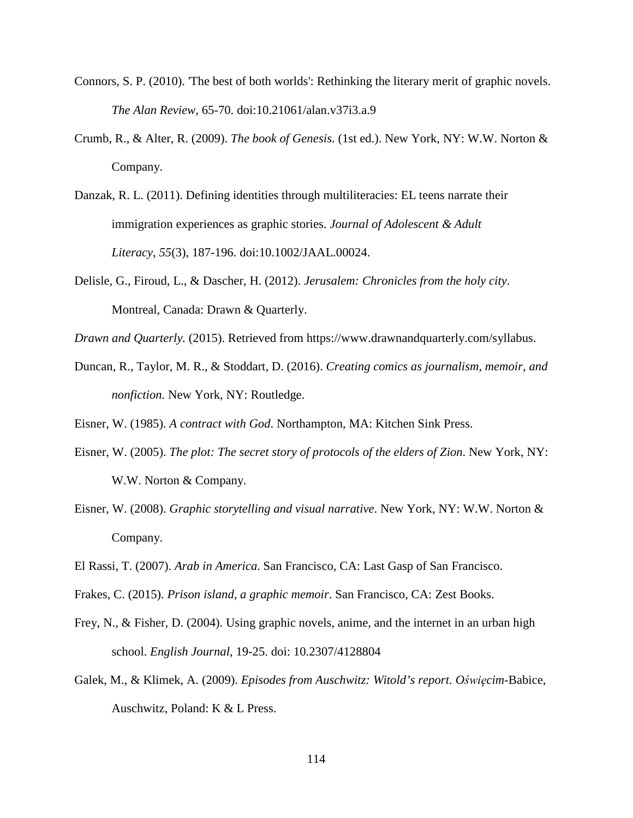- Connors, S. P. (2010). 'The best of both worlds': Rethinking the literary merit of graphic novels. *The Alan Review*, 65-70. doi:10.21061/alan.v37i3.a.9
- Crumb, R., & Alter, R. (2009). *The book of Genesis*. (1st ed.). New York, NY: W.W. Norton & Company.
- Danzak, R. L. (2011). Defining identities through multiliteracies: EL teens narrate their immigration experiences as graphic stories. *Journal of Adolescent & Adult Literacy*, *55*(3), 187-196. doi:10.1002/JAAL.00024.
- Delisle, G., Firoud, L., & Dascher, H. (2012). *Jerusalem: Chronicles from the holy city*. Montreal, Canada: Drawn & Quarterly.
- *Drawn and Quarterly.* (2015). Retrieved from https://www.drawnandquarterly.com/syllabus.
- Duncan, R., Taylor, M. R., & Stoddart, D. (2016). *Creating comics as journalism, memoir, and nonfiction.* New York, NY: Routledge.

Eisner, W. (1985). *A contract with God*. Northampton, MA: Kitchen Sink Press.

- Eisner, W. (2005). *The plot: The secret story of protocols of the elders of Zion*. New York, NY: W.W. Norton & Company.
- Eisner, W. (2008). *Graphic storytelling and visual narrative*. New York, NY: W.W. Norton & Company.
- El Rassi, T. (2007). *Arab in America*. San Francisco, CA: Last Gasp of San Francisco.
- Frakes, C. (2015). *Prison island, a graphic memoir*. San Francisco, CA: Zest Books.
- Frey, N., & Fisher, D. (2004). Using graphic novels, anime, and the internet in an urban high school. *English Journal*, 19-25. doi: 10.2307/4128804
- Galek, M., & Klimek, A. (2009). *Episodes from Auschwitz: Witold's report. Oświęcim*-Babice, Auschwitz, Poland: K & L Press.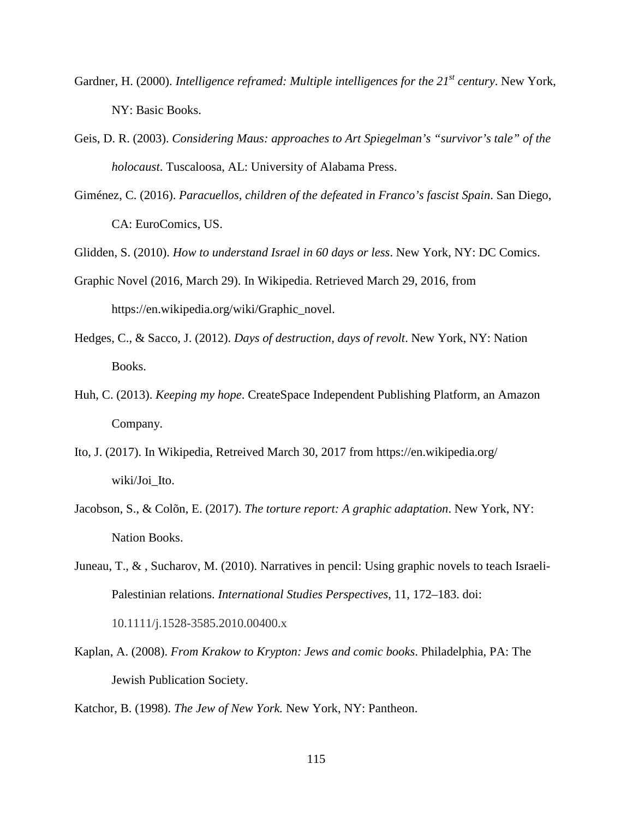- Gardner, H. (2000). *Intelligence reframed: Multiple intelligences for the 21<sup>st</sup> century*. New York, NY: Basic Books.
- Geis, D. R. (2003). *Considering Maus: approaches to Art Spiegelman's "survivor's tale" of the holocaust*. Tuscaloosa, AL: University of Alabama Press.
- Giménez, C. (2016). *Paracuellos, children of the defeated in Franco's fascist Spain*. San Diego, CA: EuroComics, US.

Glidden, S. (2010). *How to understand Israel in 60 days or less*. New York, NY: DC Comics.

- Graphic Novel (2016, March 29). In Wikipedia. Retrieved March 29, 2016, from https://en.wikipedia.org/wiki/Graphic\_novel.
- Hedges, C., & Sacco, J. (2012). *Days of destruction, days of revolt*. New York, NY: Nation Books.
- Huh, C. (2013). *Keeping my hope*. CreateSpace Independent Publishing Platform, an Amazon Company.
- Ito, J. (2017). In Wikipedia, Retreived March 30, 2017 from https://en.wikipedia.org/ wiki/Joi\_Ito.
- Jacobson, S., & Colõn, E. (2017). *The torture report: A graphic adaptation*. New York, NY: Nation Books.
- Juneau, T., & , Sucharov, M. (2010). Narratives in pencil: Using graphic novels to teach Israeli-Palestinian relations. *International Studies Perspectives*, 11, 172–183. doi: 10.1111/j.1528-3585.2010.00400.x
- Kaplan, A. (2008). *From Krakow to Krypton: Jews and comic books*. Philadelphia, PA: The Jewish Publication Society.
- Katchor, B. (1998). *The Jew of New York.* New York, NY: Pantheon.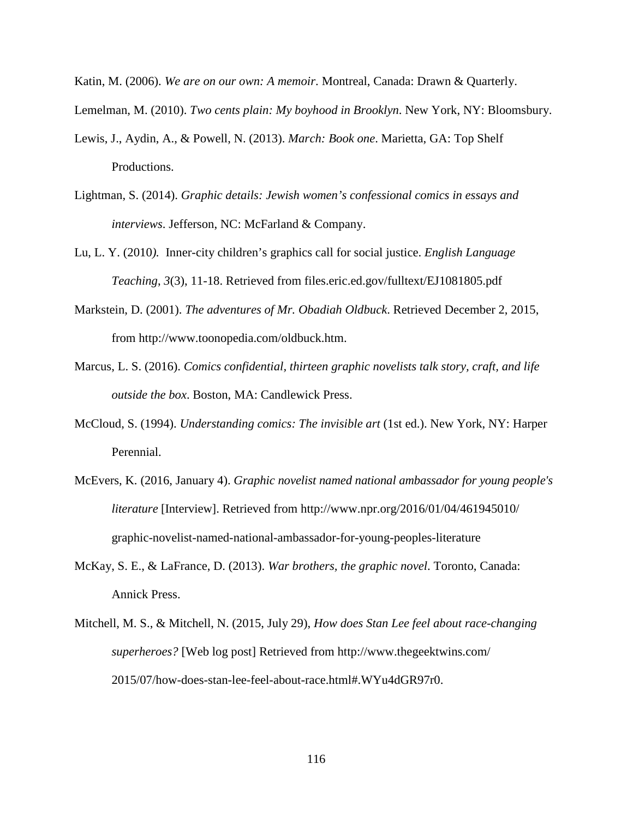Katin, M. (2006). *We are on our own: A memoir*. Montreal, Canada: Drawn & Quarterly. Lemelman, M. (2010). *Two cents plain: My boyhood in Brooklyn*. New York, NY: Bloomsbury.

- Lewis, J., Aydin, A., & Powell, N. (2013). *March: Book one*. Marietta, GA: Top Shelf Productions.
- Lightman, S. (2014). *Graphic details: Jewish women's confessional comics in essays and interviews*. Jefferson, NC: McFarland & Company.
- Lu, L. Y. (2010*).* Inner-city children's graphics call for social justice. *English Language Teaching*, *3*(3), 11-18. Retrieved from files.eric.ed.gov/fulltext/EJ1081805.pdf
- Markstein, D. (2001). *The adventures of Mr. Obadiah Oldbuck*. Retrieved December 2, 2015, from http://www.toonopedia.com/oldbuck.htm.
- Marcus, L. S. (2016). *Comics confidential, thirteen graphic novelists talk story, craft, and life outside the box*. Boston, MA: Candlewick Press.
- McCloud, S. (1994). *Understanding comics: The invisible art* (1st ed.). New York, NY: Harper Perennial.
- McEvers, K. (2016, January 4). *Graphic novelist named national ambassador for young people's literature* [Interview]. Retrieved from http://www.npr.org/2016/01/04/461945010/ graphic-novelist-named-national-ambassador-for-young-peoples-literature
- McKay, S. E., & LaFrance, D. (2013). *War brothers, the graphic novel*. Toronto, Canada: Annick Press.
- Mitchell, M. S., & Mitchell, N. (2015, July 29), *How does Stan Lee feel about race-changing superheroes?* [Web log post] Retrieved from http://www.thegeektwins.com/ 2015/07/how-does-stan-lee-feel-about-race.html#.WYu4dGR97r0.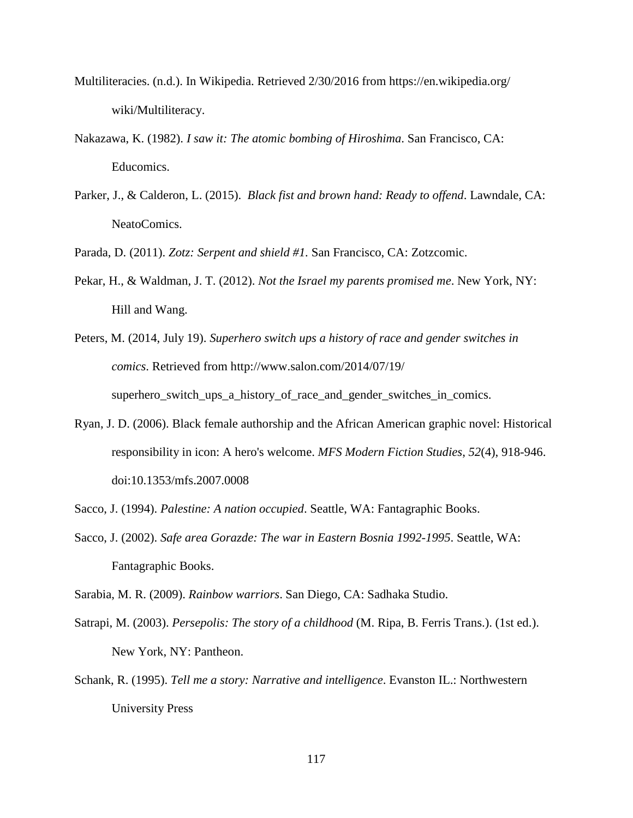- Multiliteracies. (n.d.). In Wikipedia. Retrieved 2/30/2016 from https://en.wikipedia.org/ wiki/Multiliteracy.
- Nakazawa, K. (1982). *I saw it: The atomic bombing of Hiroshima*. San Francisco, CA: Educomics.
- Parker, J., & Calderon, L. (2015). *Black fist and brown hand: Ready to offend*. Lawndale, CA: NeatoComics.

Parada, D. (2011). *Zotz: Serpent and shield #1.* San Francisco, CA: Zotzcomic.

- Pekar, H., & Waldman, J. T. (2012). *Not the Israel my parents promised me*. New York, NY: Hill and Wang.
- Peters, M. (2014, July 19). *Superhero switch ups a history of race and gender switches in comics*. Retrieved from http://www.salon.com/2014/07/19/ superhero\_switch\_ups\_a\_history\_of\_race\_and\_gender\_switches\_in\_comics.
- Ryan, J. D. (2006). Black female authorship and the African American graphic novel: Historical responsibility in icon: A hero's welcome. *MFS Modern Fiction Studies*, *52*(4), 918-946. doi:10.1353/mfs.2007.0008
- Sacco, J. (1994). *Palestine: A nation occupied*. Seattle, WA: Fantagraphic Books.
- Sacco, J. (2002). *Safe area Gorazde: The war in Eastern Bosnia 1992-1995*. Seattle, WA: Fantagraphic Books.

Sarabia, M. R. (2009). *Rainbow warriors*. San Diego, CA: Sadhaka Studio.

- Satrapi, M. (2003). *Persepolis: The story of a childhood* (M. Ripa, B. Ferris Trans.). (1st ed.). New York, NY: Pantheon.
- Schank, R. (1995). *Tell me a story: Narrative and intelligence*. Evanston IL.: Northwestern University Press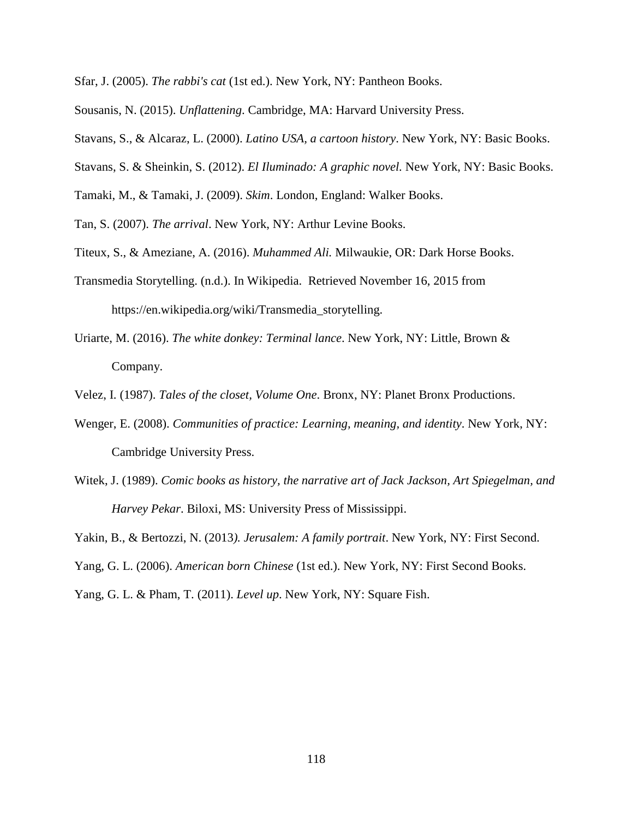Sfar, J. (2005). *The rabbi's cat* (1st ed.). New York, NY: Pantheon Books.

Sousanis, N. (2015). *Unflattening*. Cambridge, MA: Harvard University Press.

Stavans, S., & Alcaraz, L. (2000). *Latino USA, a cartoon history*. New York, NY: Basic Books.

Stavans, S. & Sheinkin, S. (2012). *El Iluminado: A graphic novel.* New York, NY: Basic Books.

Tamaki, M., & Tamaki, J. (2009). *Skim*. London, England: Walker Books.

Tan, S. (2007). *The arrival*. New York, NY: Arthur Levine Books.

Titeux, S., & Ameziane, A. (2016). *Muhammed Ali.* Milwaukie, OR: Dark Horse Books.

Transmedia Storytelling. (n.d.). In Wikipedia. Retrieved November 16, 2015 from https://en.wikipedia.org/wiki/Transmedia\_storytelling.

Uriarte, M. (2016). *The white donkey: Terminal lance*. New York, NY: Little, Brown & Company.

Velez, I. (1987). *Tales of the closet, Volume One*. Bronx, NY: Planet Bronx Productions.

- Wenger, E. (2008). *Communities of practice: Learning, meaning, and identity*. New York, NY: Cambridge University Press.
- Witek, J. (1989). *Comic books as history, the narrative art of Jack Jackson, Art Spiegelman, and Harvey Pekar*. Biloxi, MS: University Press of Mississippi.
- Yakin, B., & Bertozzi, N. (2013*). Jerusalem: A family portrait*. New York, NY: First Second.
- Yang, G. L. (2006). *American born Chinese* (1st ed.). New York, NY: First Second Books.

Yang, G. L. & Pham, T. (2011). *Level up*. New York, NY: Square Fish.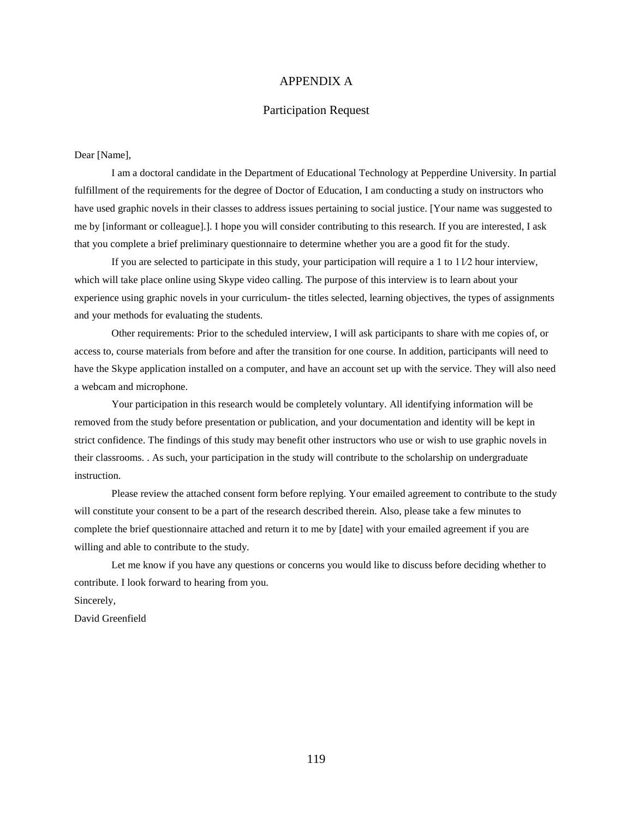# APPENDIX A

# Participation Request

### Dear [Name],

I am a doctoral candidate in the Department of Educational Technology at Pepperdine University. In partial fulfillment of the requirements for the degree of Doctor of Education, I am conducting a study on instructors who have used graphic novels in their classes to address issues pertaining to social justice. [Your name was suggested to me by [informant or colleague].]. I hope you will consider contributing to this research. If you are interested, I ask that you complete a brief preliminary questionnaire to determine whether you are a good fit for the study.

If you are selected to participate in this study, your participation will require a 1 to  $1/2$  hour interview, which will take place online using Skype video calling. The purpose of this interview is to learn about your experience using graphic novels in your curriculum- the titles selected, learning objectives, the types of assignments and your methods for evaluating the students.

Other requirements: Prior to the scheduled interview, I will ask participants to share with me copies of, or access to, course materials from before and after the transition for one course. In addition, participants will need to have the Skype application installed on a computer, and have an account set up with the service. They will also need a webcam and microphone.

Your participation in this research would be completely voluntary. All identifying information will be removed from the study before presentation or publication, and your documentation and identity will be kept in strict confidence. The findings of this study may benefit other instructors who use or wish to use graphic novels in their classrooms. . As such, your participation in the study will contribute to the scholarship on undergraduate instruction.

Please review the attached consent form before replying. Your emailed agreement to contribute to the study will constitute your consent to be a part of the research described therein. Also, please take a few minutes to complete the brief questionnaire attached and return it to me by [date] with your emailed agreement if you are willing and able to contribute to the study.

Let me know if you have any questions or concerns you would like to discuss before deciding whether to contribute. I look forward to hearing from you.

Sincerely,

David Greenfield